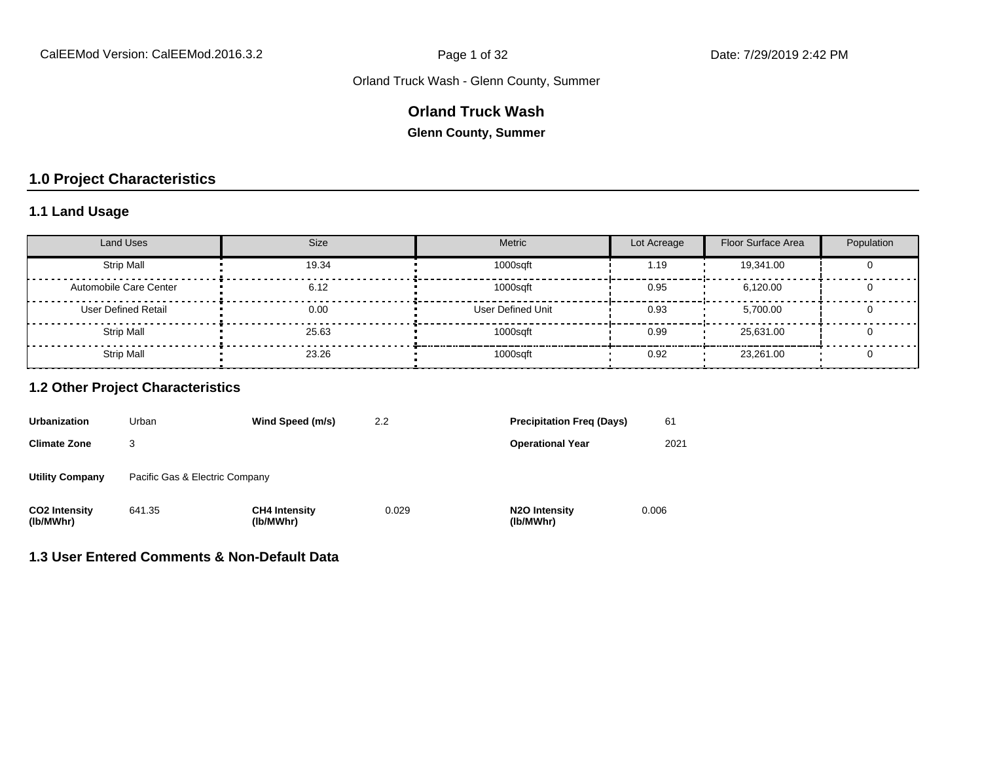### **Orland Truck Wash**

**Glenn County, Summer**

## **1.0 Project Characteristics**

## **1.1 Land Usage**

| Land Uses                  | <b>Size</b> | Metric            | Lot Acreage | Floor Surface Area | Population |
|----------------------------|-------------|-------------------|-------------|--------------------|------------|
| <b>Strip Mall</b>          | 19.34       | 1000sqft          | 1.19        | 19,341.00          |            |
| Automobile Care Center     | 6.12        | 1000sqft          | 0.95        | 6.120.00           |            |
| <b>User Defined Retail</b> | 0.00        | User Defined Unit | 0.93        | 5.700.00           |            |
| <b>Strip Mall</b>          | 25.63       | 1000sqft          | 0.99        | 25.631.00          |            |
| <b>Strip Mall</b>          | 23.26       | 1000sqft          | 0.92        | 23,261.00          |            |

#### **1.2 Other Project Characteristics**

| <b>Urbanization</b>               | Urban                          | Wind Speed (m/s)                  | 2.2   | <b>Precipitation Freg (Days)</b>        | 61    |
|-----------------------------------|--------------------------------|-----------------------------------|-------|-----------------------------------------|-------|
| <b>Climate Zone</b>               | 3                              |                                   |       | <b>Operational Year</b>                 | 2021  |
| <b>Utility Company</b>            | Pacific Gas & Electric Company |                                   |       |                                         |       |
| <b>CO2 Intensity</b><br>(lb/MWhr) | 641.35                         | <b>CH4 Intensity</b><br>(lb/MWhr) | 0.029 | N <sub>2</sub> O Intensity<br>(lb/MWhr) | 0.006 |

#### **1.3 User Entered Comments & Non-Default Data**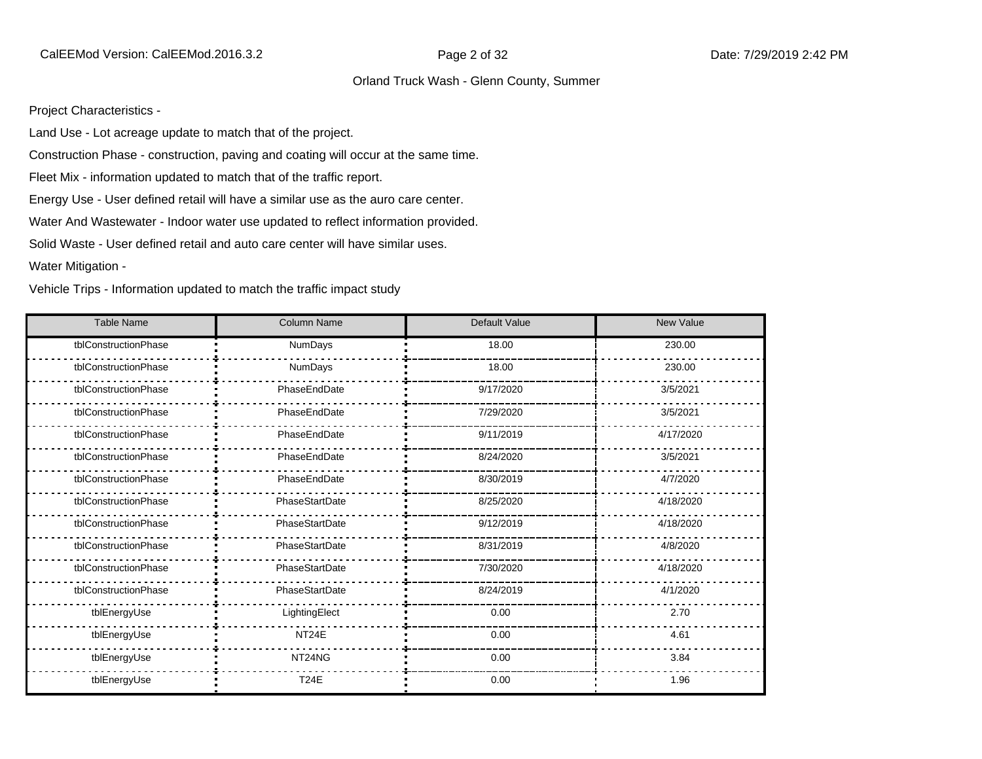Project Characteristics -

Land Use - Lot acreage update to match that of the project.

Construction Phase - construction, paving and coating will occur at the same time.

Fleet Mix - information updated to match that of the traffic report.

Energy Use - User defined retail will have a similar use as the auro care center.

Water And Wastewater - Indoor water use updated to reflect information provided.

Solid Waste - User defined retail and auto care center will have similar uses.

Water Mitigation -

Vehicle Trips - Information updated to match the traffic impact study

| <b>Table Name</b>    | Column Name        | Default Value | <b>New Value</b> |
|----------------------|--------------------|---------------|------------------|
| tblConstructionPhase | <b>NumDays</b>     | 18.00         | 230.00           |
| tblConstructionPhase | NumDays            | 18.00         | 230.00           |
| tblConstructionPhase | PhaseEndDate       | 9/17/2020     | 3/5/2021         |
| tblConstructionPhase | PhaseEndDate       | 7/29/2020     | 3/5/2021         |
| tblConstructionPhase | PhaseEndDate       | 9/11/2019     | 4/17/2020        |
| tblConstructionPhase | PhaseEndDate       | 8/24/2020     | 3/5/2021         |
| tblConstructionPhase | PhaseEndDate       | 8/30/2019     | 4/7/2020         |
| tblConstructionPhase | PhaseStartDate     | 8/25/2020     | 4/18/2020        |
| tblConstructionPhase | PhaseStartDate     | 9/12/2019     | 4/18/2020        |
| tblConstructionPhase | PhaseStartDate     | 8/31/2019     | 4/8/2020         |
| tblConstructionPhase | PhaseStartDate     | 7/30/2020     | 4/18/2020        |
| tblConstructionPhase | PhaseStartDate     | 8/24/2019     | 4/1/2020         |
| tblEnergyUse         | LightingElect      | 0.00          | 2.70             |
| tblEnergyUse         | NT <sub>24</sub> E | 0.00          | 4.61             |
| tblEnergyUse         | NT24NG             | 0.00          | 3.84             |
| tblEnergyUse         | <b>T24E</b>        | 0.00          | 1.96             |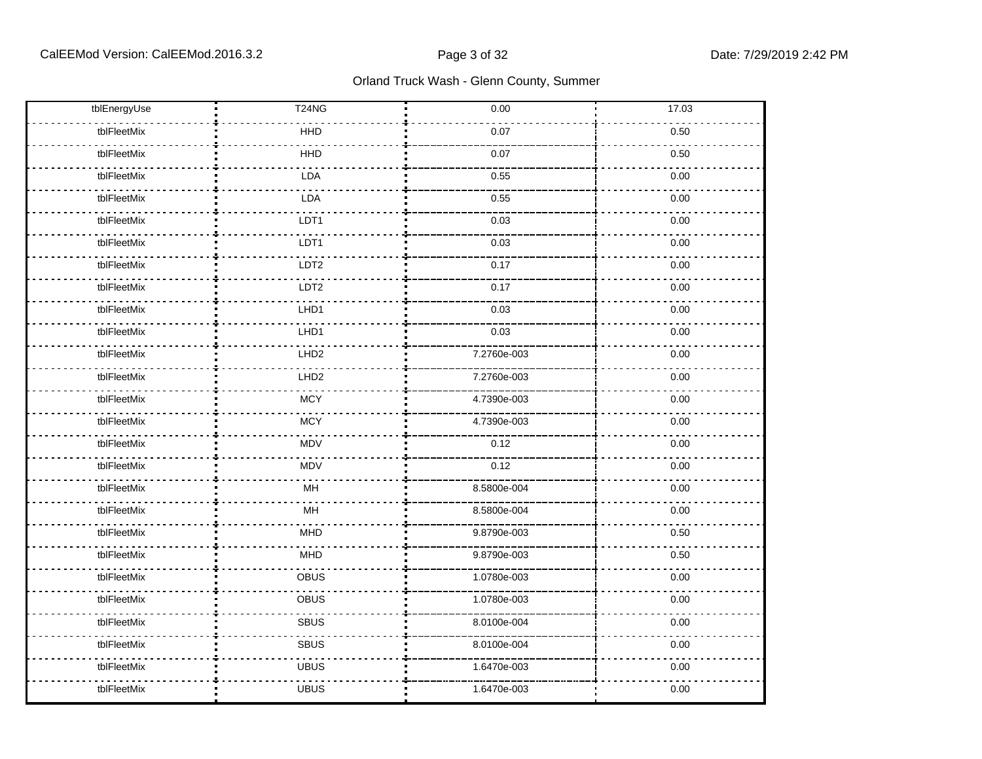| tblEnergyUse | <b>T24NG</b>     | 0.00        | 17.03 |
|--------------|------------------|-------------|-------|
| tblFleetMix  | HHD              | 0.07        | 0.50  |
| tblFleetMix  | HHD              | 0.07        | 0.50  |
| tblFleetMix  | <b>LDA</b>       | 0.55        | 0.00  |
| tblFleetMix  | LDA              | 0.55        | 0.00  |
| tblFleetMix  | LDT1             | 0.03        | 0.00  |
| tblFleetMix  | LDT1             | 0.03        | 0.00  |
| tblFleetMix  | LDT2             | 0.17        | 0.00  |
| tblFleetMix  | LDT <sub>2</sub> | 0.17        | 0.00  |
| tblFleetMix  | LHD1             | 0.03        | 0.00  |
| tblFleetMix  | LHD1             | 0.03        | 0.00  |
| tblFleetMix  | LHD <sub>2</sub> | 7.2760e-003 | 0.00  |
| tblFleetMix  | LHD <sub>2</sub> | 7.2760e-003 | 0.00  |
| tblFleetMix  | <b>MCY</b>       | 4.7390e-003 | 0.00  |
| tblFleetMix  | <b>MCY</b>       | 4.7390e-003 | 0.00  |
| tblFleetMix  | <b>MDV</b>       | 0.12        | 0.00  |
| tblFleetMix  | <b>MDV</b>       | 0.12        | 0.00  |
| tblFleetMix  | MH               | 8.5800e-004 | 0.00  |
| tblFleetMix  | MH               | 8.5800e-004 | 0.00  |
| tblFleetMix  | <b>MHD</b>       | 9.8790e-003 | 0.50  |
| tblFleetMix  | <b>MHD</b>       | 9.8790e-003 | 0.50  |
| tblFleetMix  | OBUS             | 1.0780e-003 | 0.00  |
| tblFleetMix  | OBUS             | 1.0780e-003 | 0.00  |
| tblFleetMix  | <b>SBUS</b>      | 8.0100e-004 | 0.00  |
| tblFleetMix  | SBUS             | 8.0100e-004 | 0.00  |
| tblFleetMix  | <b>UBUS</b>      | 1.6470e-003 | 0.00  |
| tblFleetMix  | <b>UBUS</b>      | 1.6470e-003 | 0.00  |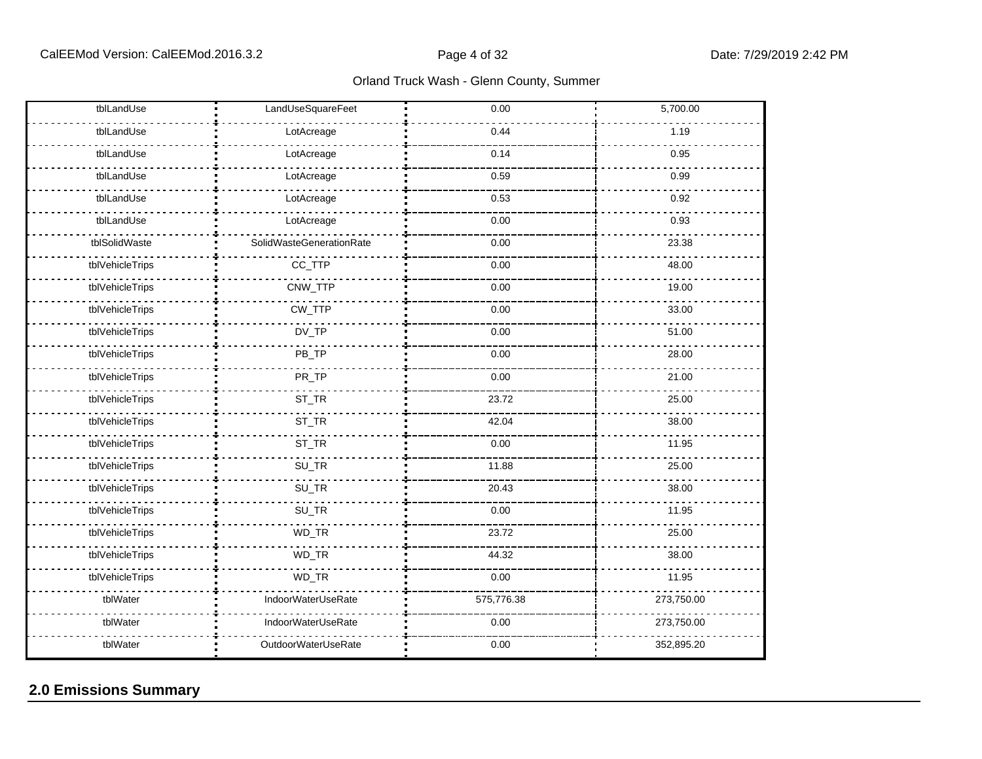| tblLandUse      | LandUseSquareFeet        | 0.00       | 5,700.00   |
|-----------------|--------------------------|------------|------------|
| tblLandUse      | LotAcreage               | 0.44       | 1.19       |
| tblLandUse      | LotAcreage               | 0.14       | 0.95       |
| tblLandUse      | LotAcreage               | 0.59       | 0.99       |
| tblLandUse      | LotAcreage               | 0.53       | 0.92       |
| tblLandUse      | LotAcreage               | 0.00       | 0.93       |
| tblSolidWaste   | SolidWasteGenerationRate | 0.00       | 23.38      |
| tblVehicleTrips | CC_TTP                   | 0.00       | 48.00      |
| tblVehicleTrips | CNW_TTP                  | 0.00       | 19.00      |
| tblVehicleTrips | CW_TTP                   | 0.00       | 33.00      |
| tblVehicleTrips | DV_TP                    | 0.00       | 51.00      |
| tblVehicleTrips | PB_TP                    | 0.00       | 28.00      |
| tblVehicleTrips | PR_TP                    | 0.00       | 21.00      |
| tblVehicleTrips | ST_TR                    | 23.72      | 25.00      |
| tblVehicleTrips | ST_TR                    | 42.04      | 38.00      |
| tblVehicleTrips | ST_TR                    | 0.00       | 11.95      |
| tblVehicleTrips | SU_TR                    | 11.88      | 25.00      |
| tblVehicleTrips | SU_TR                    | 20.43      | 38.00      |
| tblVehicleTrips | SU_TR                    | 0.00       | 11.95      |
| tblVehicleTrips | WD_TR                    | 23.72      | 25.00      |
| tblVehicleTrips | WD_TR                    | 44.32      | 38.00      |
| tblVehicleTrips | WD_TR                    | 0.00       | 11.95      |
| tblWater        | IndoorWaterUseRate       | 575,776.38 | 273,750.00 |
| tblWater        | IndoorWaterUseRate       | 0.00       | 273,750.00 |
| tblWater        | OutdoorWaterUseRate      | 0.00       | 352,895.20 |

## **2.0 Emissions Summary**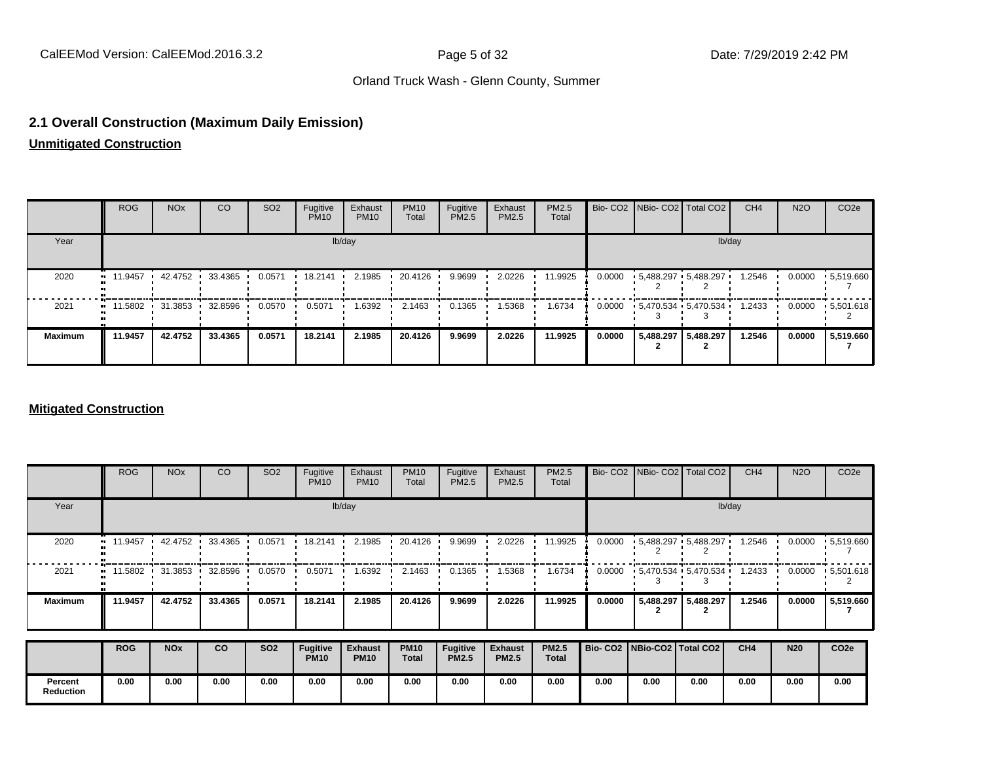#### **2.1 Overall Construction (Maximum Daily Emission)**

## **Unmitigated Construction**

|                | <b>ROG</b>                                    | <b>NO<sub>x</sub></b> | CO      | SO <sub>2</sub> | Fugitive<br><b>PM10</b> | Exhaust<br><b>PM10</b> | <b>PM10</b><br>Total | Fugitive<br><b>PM2.5</b> | Exhaust<br><b>PM2.5</b> | PM2.5<br>Total |        |           | Bio- CO2   NBio- CO2   Total CO2 | CH <sub>4</sub> | <b>N2O</b> | CO <sub>2</sub> e |
|----------------|-----------------------------------------------|-----------------------|---------|-----------------|-------------------------|------------------------|----------------------|--------------------------|-------------------------|----------------|--------|-----------|----------------------------------|-----------------|------------|-------------------|
| Year           |                                               |                       |         |                 |                         | lb/day                 |                      |                          |                         |                |        |           | lb/day                           |                 |            |                   |
| 2020           | $\blacksquare$ 11.9457                        | 42.4752               | 33.4365 | 0.0571          | 18.2141                 | 2.1985                 | 20.4126              | 9.9699                   | 2.0226                  | 11.9925        | 0.0000 |           | $-5,488.297 - 5,488.297$         | 1.2546          | 0.0000     | .5,519.660        |
| 2021           | $\blacksquare$ 11.5802 31.3853 $\blacksquare$ |                       | 32.8596 | 0.0570          | 0.5071                  | 1.6392                 | 2.1463               | 0.1365                   | 1.5368                  | 1.6734         |        |           | $0.0000 + 5.470.534 + 5.470.534$ | 1.2433          | 0.0000     | .5,501.618        |
| <b>Maximum</b> | 11.9457                                       | 42.4752               | 33.4365 | 0.0571          | 18.2141                 | 2.1985                 | 20.4126              | 9.9699                   | 2.0226                  | 11.9925        | 0.0000 | 5,488.297 | 5,488.297                        | 1.2546          | 0.0000     | 5,519.660         |

#### **Mitigated Construction**

|                             | <b>ROG</b>        | <b>NO<sub>x</sub></b> | CO        | SO <sub>2</sub> | Fugitive<br><b>PM10</b> | Exhaust<br><b>PM10</b>        | <b>PM10</b><br>Total        | Fugitive<br>PM2.5        | Exhaust<br>PM2.5               | PM2.5<br>Total               |        | Bio- CO2 NBio- CO2 Total CO2    |           | CH <sub>4</sub> | <b>N2O</b> | CO <sub>2e</sub>  |  |  |
|-----------------------------|-------------------|-----------------------|-----------|-----------------|-------------------------|-------------------------------|-----------------------------|--------------------------|--------------------------------|------------------------------|--------|---------------------------------|-----------|-----------------|------------|-------------------|--|--|
| Year                        |                   | lb/day                |           |                 |                         |                               |                             |                          |                                |                              |        |                                 | lb/day    |                 |            |                   |  |  |
| 2020                        | 11.9457           | 42.4752               | 33.4365   | 0.0571          | 18.2141                 | 2.1985                        | 20.4126                     | 9.9699                   | 2.0226                         | 11.9925                      | 0.0000 | $-5,488.297 - 5,488.297$        |           | 1.2546          | 0.0000     | .5,519.660        |  |  |
| 2021                        | $11.5802$ $\cdot$ | 31.3853               | 32.8596 · | 0.0570          | 0.5071                  | 1.6392                        | 2.1463                      | 0.1365                   | 1.5368                         | 1.6734                       | 0.0000 | $-5,470.534 - 5,470.534$        |           | 1.2433          | 0.0000     | $\cdot$ 5,501.618 |  |  |
| <b>Maximum</b>              | 11.9457           | 42.4752               | 33.4365   | 0.0571          | 18.2141                 | 2.1985                        | 20.4126                     | 9.9699                   | 2.0226                         | 11.9925                      | 0.0000 | 5,488.297                       | 5,488.297 | 1.2546          | 0.0000     | 5,519.660         |  |  |
|                             | <b>ROG</b>        | <b>NO<sub>x</sub></b> | co        | <b>SO2</b>      | Fugitive<br><b>PM10</b> | <b>Exhaust</b><br><b>PM10</b> | <b>PM10</b><br><b>Total</b> | Fugitive<br><b>PM2.5</b> | <b>Exhaust</b><br><b>PM2.5</b> | <b>PM2.5</b><br><b>Total</b> |        | Bio- CO2   NBio-CO2   Total CO2 |           | CH <sub>4</sub> | <b>N20</b> | CO <sub>2e</sub>  |  |  |
| Percent<br><b>Reduction</b> | 0.00              | 0.00                  | 0.00      | 0.00            | 0.00                    | 0.00                          | 0.00                        | 0.00                     | 0.00                           | 0.00                         | 0.00   | 0.00                            | 0.00      | 0.00            | 0.00       | 0.00              |  |  |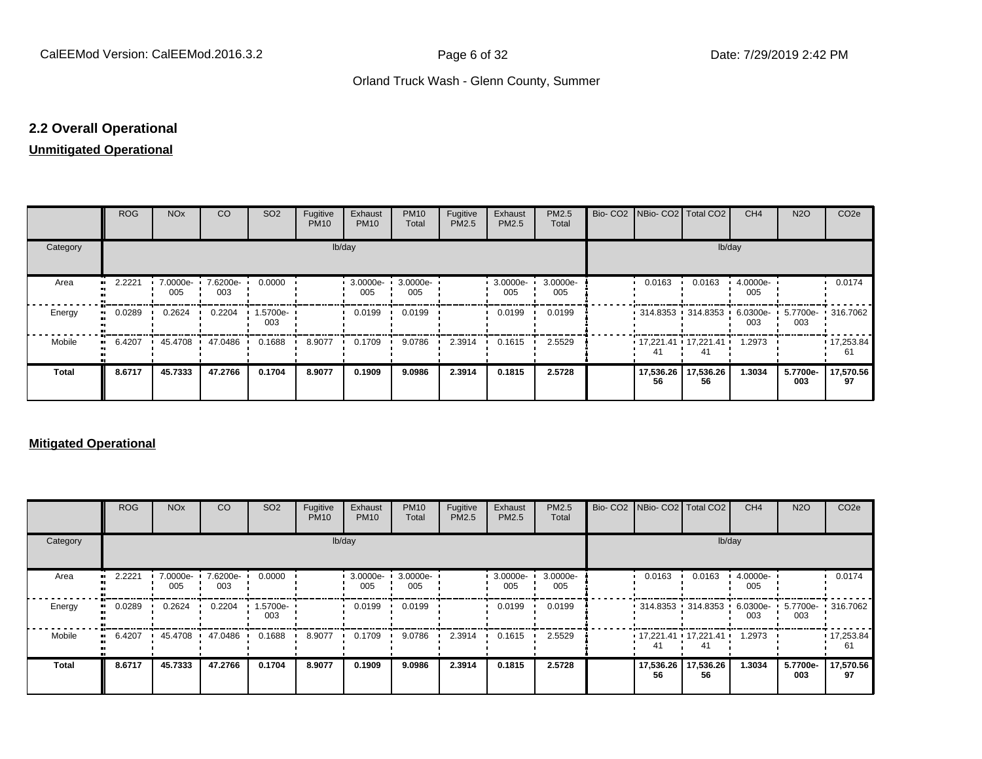## **2.2 Overall Operational**

#### **Unmitigated Operational**

|          | ROG        | <b>NO<sub>x</sub></b> | CO              | SO <sub>2</sub> | Fugitive<br><b>PM10</b> | Exhaust<br><b>PM10</b> | <b>PM10</b><br>Total | Fugitive<br>PM2.5 | Exhaust<br>PM2.5 | PM2.5<br>Total  |  | Bio- CO2 NBio- CO2 Total CO2                |                 | CH <sub>4</sub> | <b>N2O</b>                        | CO <sub>2e</sub>        |
|----------|------------|-----------------------|-----------------|-----------------|-------------------------|------------------------|----------------------|-------------------|------------------|-----------------|--|---------------------------------------------|-----------------|-----------------|-----------------------------------|-------------------------|
| Category |            | lb/day                |                 |                 |                         |                        |                      |                   |                  |                 |  |                                             | lb/day          |                 |                                   |                         |
| Area     | 2.2221<br> | 7.0000e-<br>005       | 7.6200e-<br>003 | 0.0000          |                         | 3.0000e-<br>005        | 3.0000e-<br>005      |                   | 3.0000e-<br>005  | 3.0000e-<br>005 |  | 0.0163                                      | 0.0163          | 4.0000e-<br>005 |                                   | 0.0174                  |
| Energy   | 0.0289     | 0.2624                | 0.2204          | 1.5700e-<br>003 |                         | 0.0199                 | 0.0199               |                   | 0.0199           | 0.0199          |  | • 314.8353 • 314.8353 •                     |                 | 003             | 6.0300e- 5.7700e- 316.7062<br>003 |                         |
| Mobile   | 6.4207<br> | 45.4708 ·             | 47.0486         | 0.1688          | 8.9077                  | 0.1709                 | 9.0786               | 2.3914            | 0.1615           | 2.5529          |  | $\cdot$ 17,221.41 $\cdot$ 17,221.41 $\cdot$ | 41              | 1.2973          |                                   | $\cdot$ 17,253.84<br>61 |
| Total    | 8.6717     | 45.7333               | 47.2766         | 0.1704          | 8.9077                  | 0.1909                 | 9.0986               | 2.3914            | 0.1815           | 2.5728          |  | 17,536.26<br>56                             | 17,536.26<br>56 | 1.3034          | 5.7700e-<br>003                   | 17,570.56<br>97         |

#### **Mitigated Operational**

|          | <b>ROG</b> | <b>NO<sub>x</sub></b> | CO              | SO <sub>2</sub> | Fugitive<br><b>PM10</b> | Exhaust<br><b>PM10</b> | <b>PM10</b><br>Total | Fugitive<br>PM2.5 | Exhaust<br><b>PM2.5</b> | PM2.5<br>Total  |  |                                   | Bio- CO2 NBio- CO2   Total CO2                    | CH <sub>4</sub> | <b>N2O</b>      | CO <sub>2e</sub> |
|----------|------------|-----------------------|-----------------|-----------------|-------------------------|------------------------|----------------------|-------------------|-------------------------|-----------------|--|-----------------------------------|---------------------------------------------------|-----------------|-----------------|------------------|
| Category |            | lb/day                |                 |                 |                         |                        |                      |                   |                         |                 |  |                                   | lb/day                                            |                 |                 |                  |
| Area     | 2.2221     | 7.0000e-<br>005       | 7.6200e-<br>003 | 0.0000          |                         | 3.0000e-<br>005        | 3.0000e-<br>005      |                   | 3.0000e ·<br>005        | 3.0000e-<br>005 |  | 0.0163                            | 0.0163                                            | 4.0000e-<br>005 |                 | 0.0174           |
| Energy   | 0.0289     | 0.2624                | 0.2204          | 1.5700e-<br>003 |                         | 0.0199                 | 0.0199               |                   | 0.0199                  | 0.0199          |  | $\cdot$ 314.8353 $\cdot$ 314.8353 |                                                   | 6.0300e-<br>003 | 5.7700e-<br>003 | .316.7062        |
| Mobile   | 6.4207     | 45.4708               | 47.0486         | 0.1688          | 8.9077                  | 0.1709                 | 9.0786               | 2.3914            | 0.1615                  | 2.5529          |  | 41                                | $\cdot$ 17,221.41 $\cdot$ 17,221.41 $\cdot$<br>41 | 1.2973          |                 | 17,253.84<br>61  |
| Total    | 8.6717     | 45.7333               | 47.2766         | 0.1704          | 8.9077                  | 0.1909                 | 9.0986               | 2.3914            | 0.1815                  | 2.5728          |  | 17,536.26<br>56                   | 17,536.26<br>56                                   | 1.3034          | 5.7700e-<br>003 | 17,570.56<br>97  |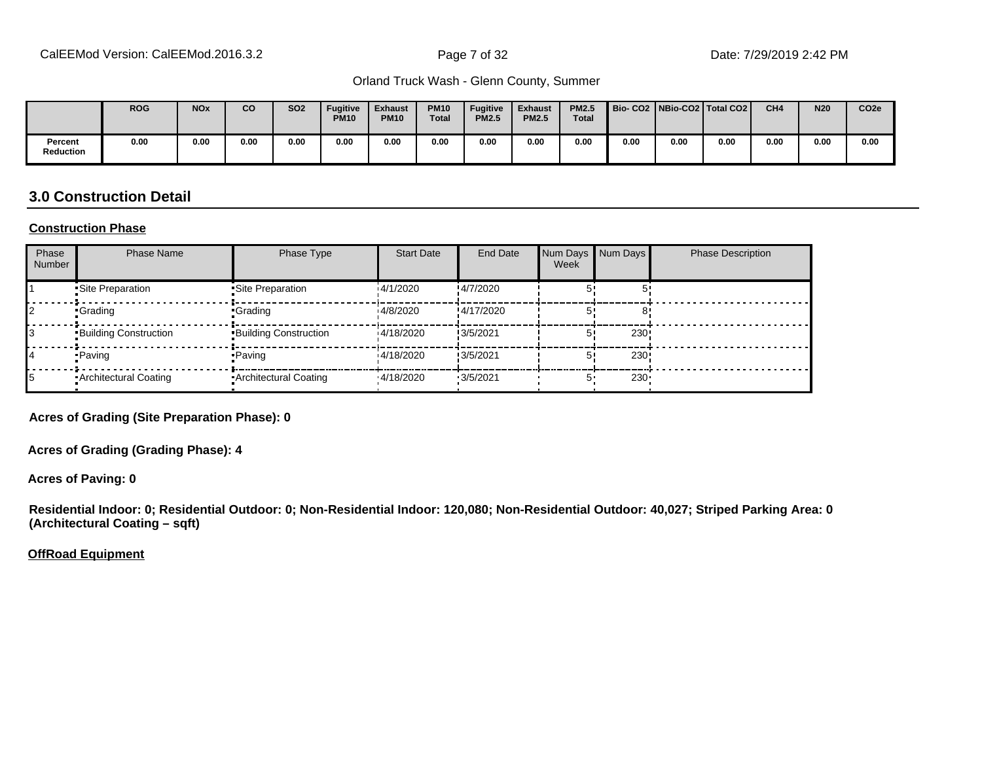|                      | <b>ROG</b> | <b>NO<sub>x</sub></b> | <b>CO</b> | <b>SO2</b> | <b>Fugitive</b><br><b>PM10</b> | <b>Exhaust</b><br><b>PM10</b> | <b>PM10</b><br><b>Total</b> | <b>Fugitive</b><br><b>PM2.5</b> | <b>Exhaust</b><br><b>PM2.5</b> | <b>PM2.5</b><br><b>Total</b> | Bio-CO2   NBio-CO2   Total CO2 |      |      | CH <sub>4</sub> | <b>N20</b> | CO <sub>2e</sub> |
|----------------------|------------|-----------------------|-----------|------------|--------------------------------|-------------------------------|-----------------------------|---------------------------------|--------------------------------|------------------------------|--------------------------------|------|------|-----------------|------------|------------------|
| Percent<br>Reduction | 0.00       | 0.00                  | 0.00      | 0.00       | 0.00                           | 0.00                          | 0.00                        | 0.00                            | 0.00                           | 0.00                         | 0.00                           | 0.00 | 0.00 | 0.00            | 0.00       | 0.00             |

#### **3.0 Construction Detail**

#### **Construction Phase**

| Phase<br><b>Number</b> | <b>Phase Name</b>            | Phase Type                   | <b>Start Date</b> | End Date    | Num Days Num Days<br>Week |                  | <b>Phase Description</b> |
|------------------------|------------------------------|------------------------------|-------------------|-------------|---------------------------|------------------|--------------------------|
|                        | Site Preparation             | •Site Preparation            | 14/1/2020         | !4/7/2020   |                           |                  |                          |
|                        | •Grading                     | •Grading                     | 14/8/2020         | !4/17/2020  |                           |                  |                          |
|                        | <b>Building Construction</b> | <b>Building Construction</b> | 14/18/2020        | !3/5/2021   |                           | 230              |                          |
|                        | • Paving                     | •Paving                      | 14/18/2020        | !3/5/2021   | 51                        | 230              |                          |
|                        | Architectural Coating        | Architectural Coating        | 14/18/2020        | $-3/5/2021$ | 5'                        | 230 <sub>1</sub> |                          |

**Acres of Grading (Site Preparation Phase): 0**

**Acres of Grading (Grading Phase): 4**

**Acres of Paving: 0**

**Residential Indoor: 0; Residential Outdoor: 0; Non-Residential Indoor: 120,080; Non-Residential Outdoor: 40,027; Striped Parking Area: 0 (Architectural Coating – sqft)**

**OffRoad Equipment**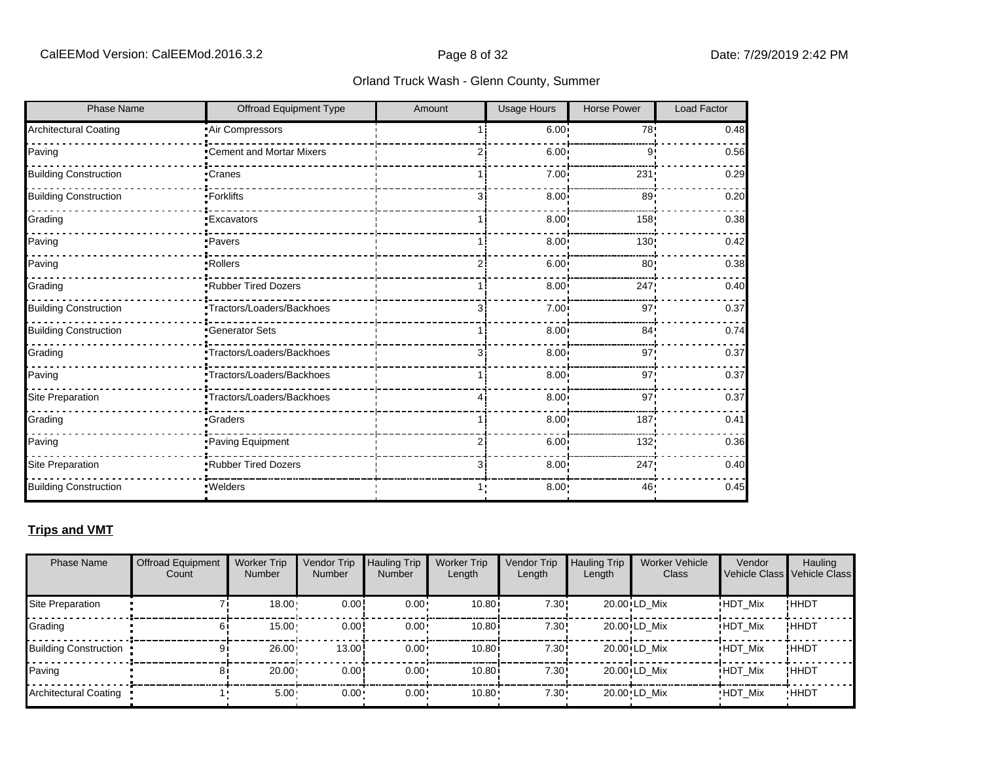| <b>Phase Name</b>            | <b>Offroad Equipment Type</b> | Amount | Usage Hours       | <b>Horse Power</b> | <b>Load Factor</b> |
|------------------------------|-------------------------------|--------|-------------------|--------------------|--------------------|
| <b>Architectural Coating</b> | Air Compressors               |        | 6.00:             | 78                 | 0.48               |
| Paving                       | •Cement and Mortar Mixers     |        | 6.00              | 9'                 | 0.56               |
| <b>Building Construction</b> | ∙Cranes                       |        | 7.00              | 231                | 0.29               |
| <b>Building Construction</b> | -Forklifts                    | Зi     | 8.00              | 89 <sub>1</sub>    | 0.20               |
| Grading                      | <b>Excavators</b>             |        | 8.00              | 158                | 0.38               |
| Paving                       | ·Pavers                       |        | 8.00              | 130                | 0.42               |
| Paving                       | Rollers                       |        | 6.00              | 80 <sub>1</sub>    | 0.38               |
| Grading                      | Rubber Tired Dozers           |        | 8.00              | 247                | 0.40               |
| <b>Building Construction</b> | Tractors/Loaders/Backhoes     |        | 7.00              | 97                 | 0.37               |
| <b>Building Construction</b> | <b>Generator Sets</b>         |        | 8.00              | 84 <sub>1</sub>    | 0.74               |
| Grading                      | Tractors/Loaders/Backhoes     | з      | 8.00              | 97                 | 0.37               |
| Paving                       | Tractors/Loaders/Backhoes     |        | 8.00              | 97                 | 0.37               |
| Site Preparation             | -Tractors/Loaders/Backhoes    |        | 8.00              | 97 <sub>1</sub>    | 0.37               |
| Grading                      | <b>Craders</b>                |        | 8.00              | 187                | 0.41               |
| Paving                       | Paving Equipment              |        | 6.00              | 132                | 0.36               |
| Site Preparation             | Rubber Tired Dozers           | Зi     | 8.00 <sub>1</sub> | 247                | 0.40               |
| <b>Building Construction</b> | · Welders                     |        | 8.00:             | 46                 | 0.45               |

#### **Trips and VMT**

| <b>Phase Name</b>            | <b>Offroad Equipment</b><br>Count | <b>Worker Trip</b><br><b>Number</b> | Vendor Trip<br><b>Number</b> | Hauling Trip<br><b>Number</b> | <b>Worker Trip</b><br>Length | Vendor Trip<br>Length | <b>Hauling Trip</b><br>Length | <b>Worker Vehicle</b><br>Class | Vendor         | Hauling<br>Vehicle Class Vehicle Class |
|------------------------------|-----------------------------------|-------------------------------------|------------------------------|-------------------------------|------------------------------|-----------------------|-------------------------------|--------------------------------|----------------|----------------------------------------|
| Site Preparation             |                                   | 18.00                               | 0.00                         | $0.00 \cdot$                  | 10.80i                       | 7.30!                 |                               | 20.00 LD Mix                   | <b>HDT Mix</b> | !ННDТ                                  |
| Grading                      |                                   | 15.00                               | 0.00!                        | $0.00 \cdot$                  | 10.80i                       | 7.30!                 |                               | 20.00 LD Mix                   | <b>HDT Mix</b> | ! ННDТ                                 |
| <b>Building Construction</b> | 9                                 | 26.00                               | 13.00                        | $0.00 \cdot$                  | 10.80i                       | 7.30!                 |                               | 20.00 LD Mix                   | <b>HDT Mix</b> | ! ННDТ                                 |
| Paving                       |                                   | 20.00                               | 0.00!                        | $0.00 \cdot$                  | 10.80i                       | 7.30!                 |                               | 20.00 LD Mix                   | <b>HDT Mix</b> | ! ННDТ                                 |
| Architectural Coating        |                                   | $5.00 -$                            | $0.00 -$                     | $0.00 \cdot$                  | $10.80 -$                    | $7.30 \cdot$          |                               | 20.00 LD Mix                   | <b>HDT Mix</b> | <b>HHDT</b>                            |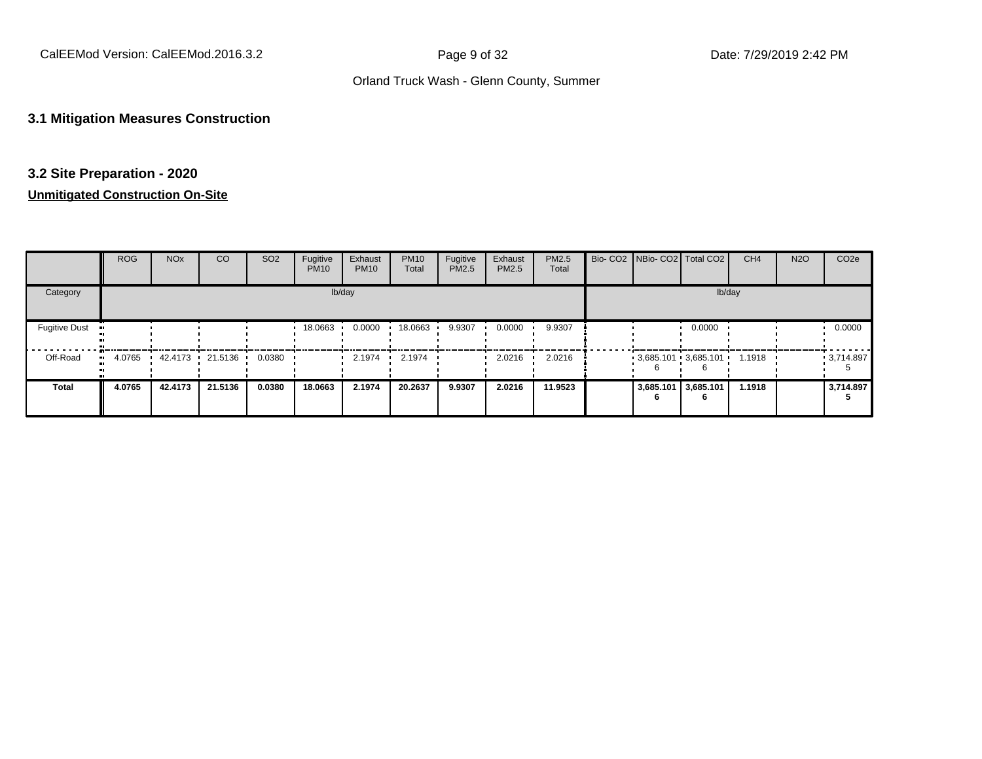#### **3.1 Mitigation Measures Construction**

#### **3.2 Site Preparation - 2020**

|                      | <b>ROG</b> | <b>NO<sub>x</sub></b> | <sub>CO</sub>   | SO <sub>2</sub> | Fugitive<br><b>PM10</b> | Exhaust<br><b>PM10</b> | <b>PM10</b><br>Total | Fugitive<br><b>PM2.5</b> | Exhaust<br>PM2.5 | PM2.5<br>Total |           | Bio- CO2 NBio- CO2 Total CO2 | CH <sub>4</sub> | <b>N2O</b> | CO <sub>2e</sub> |
|----------------------|------------|-----------------------|-----------------|-----------------|-------------------------|------------------------|----------------------|--------------------------|------------------|----------------|-----------|------------------------------|-----------------|------------|------------------|
| Category             |            |                       |                 |                 |                         | lb/day                 |                      |                          |                  |                |           | lb/day                       |                 |            |                  |
| <b>Fugitive Dust</b> |            |                       |                 |                 | 18.0663                 | 0.0000                 | 18.0663              | 9.9307                   | 0.0000           | 9.9307         |           | 0.0000                       |                 |            | 0.0000           |
| Off-Road             | 4.0765     |                       | 42.4173 21.5136 | 0.0380          |                         | 2.1974                 | 2.1974               |                          | 2.0216           | 2.0216         |           | $-3.685.101 - 3.685.101 -$   | 1.1918          |            | $-3,714.897$     |
| <b>Total</b>         | 4.0765     | 42.4173               | 21.5136         | 0.0380          | 18.0663                 | 2.1974                 | 20.2637              | 9.9307                   | 2.0216           | 11.9523        | 3,685.101 | 3,685.101<br>6               | 1.1918          |            | 3,714.897        |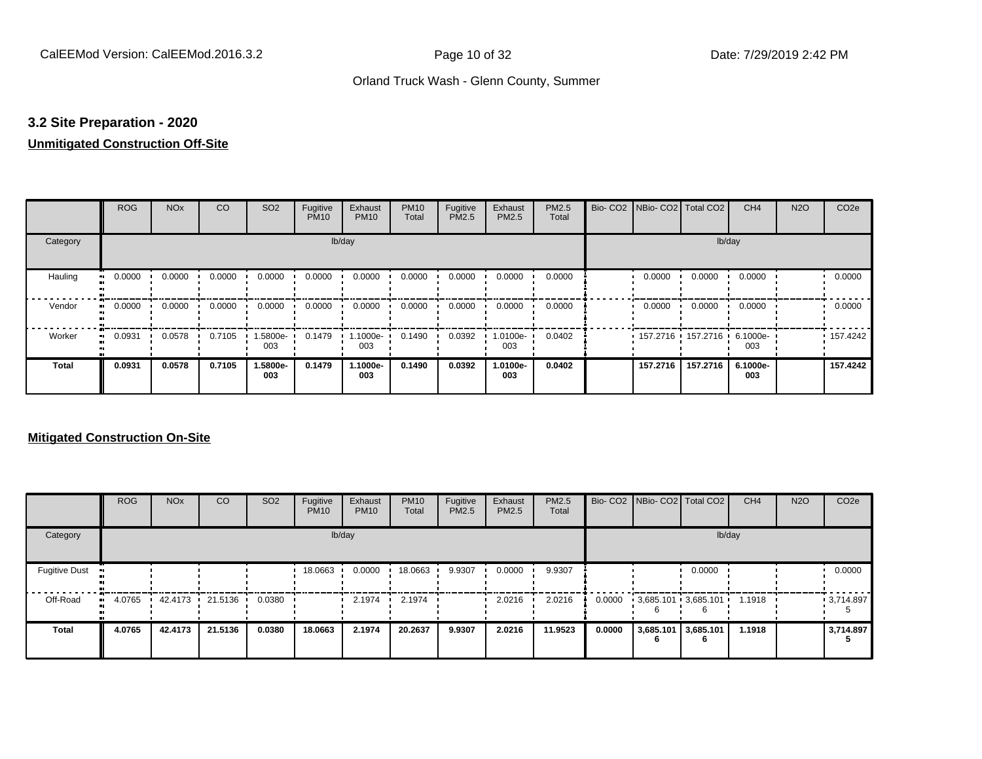#### **3.2 Site Preparation - 2020**

## **Unmitigated Construction Off-Site**

|                     | <b>ROG</b> | <b>NO<sub>x</sub></b> | CO     | SO <sub>2</sub> | Fugitive<br><b>PM10</b> | Exhaust<br><b>PM10</b> | <b>PM10</b><br>Total | Fugitive<br>PM2.5 | Exhaust<br>PM2.5 | PM2.5<br>Total | Bio-CO <sub>2</sub> | NBio- CO2   Total CO2 |          | CH <sub>4</sub> | <b>N2O</b> | CO <sub>2e</sub> |
|---------------------|------------|-----------------------|--------|-----------------|-------------------------|------------------------|----------------------|-------------------|------------------|----------------|---------------------|-----------------------|----------|-----------------|------------|------------------|
| Category            |            |                       |        |                 | lb/day                  |                        |                      |                   |                  |                |                     |                       |          | lb/day          |            |                  |
| Hauling             | 0.0000     | 0.0000                | 0.0000 | 0.0000          | 0.0000                  | 0.0000                 | 0.0000               | 0.0000            | 0.0000           | 0.0000         |                     | 0.0000                | 0.0000   | 0.0000          |            | 0.0000           |
| Vendor<br>$\bullet$ | 0.0000     | 0.0000                | 0.0000 | 0.0000          | 0.0000                  | 0.0000                 | 0.0000               | 0.0000            | 0.0000           | 0.0000         |                     | 0.0000                | 0.0000   | 0.0000          |            | 0.0000           |
| Worker<br>$\bullet$ | 0.0931     | 0.0578                | 0.7105 | -5800e.<br>003  | 0.1479                  | 1.1000e-<br>003        | 0.1490               | 0.0392            | 1.0100e-<br>003  | 0.0402         |                     | 157.2716 157.2716     |          | 6.1000e-<br>003 |            | .157.4242        |
| <b>Total</b>        | 0.0931     | 0.0578                | 0.7105 | 1.5800e-<br>003 | 0.1479                  | 1.1000e-<br>003        | 0.1490               | 0.0392            | 1.0100e-<br>003  | 0.0402         |                     | 157.2716              | 157.2716 | 6.1000e-<br>003 |            | 157.4242         |

|                      | <b>ROG</b>   | <b>NO<sub>x</sub></b> | <b>CO</b> | SO <sub>2</sub> | Fugitive<br><b>PM10</b> | Exhaust<br><b>PM10</b> | <b>PM10</b><br>Total | Fugitive<br><b>PM2.5</b> | Exhaust<br><b>PM2.5</b> | PM2.5<br>Total |        |                          | Bio- CO2   NBio- CO2   Total CO2 | CH <sub>4</sub> | <b>N2O</b> | CO <sub>2e</sub>  |
|----------------------|--------------|-----------------------|-----------|-----------------|-------------------------|------------------------|----------------------|--------------------------|-------------------------|----------------|--------|--------------------------|----------------------------------|-----------------|------------|-------------------|
| Category             |              |                       |           |                 |                         | lb/day                 |                      |                          |                         |                |        |                          | lb/day                           |                 |            |                   |
| <b>Fugitive Dust</b> |              |                       |           |                 | 18.0663                 | 0.0000                 | 18.0663              | 9.9307                   | 0.0000                  | 9.9307         |        |                          | 0.0000                           |                 |            | 0.0000            |
| Off-Road             | 4.0765<br>ш. | 42.4173 21.5136       |           | 0.0380          |                         | 2.1974                 | 2.1974               |                          | 2.0216                  | 2.0216         | 0.0000 |                          | $3,685.101$ 3,685.101            | 1.1918          |            | $\cdot$ 3,714.897 |
| Total                | 4.0765       | 42.4173               | 21.5136   | 0.0380          | 18.0663                 | 2.1974                 | 20.2637              | 9.9307                   | 2.0216                  | 11.9523        | 0.0000 | 3,685.101 3,685.101<br>n | 6                                | 1.1918          |            | 3,714.897         |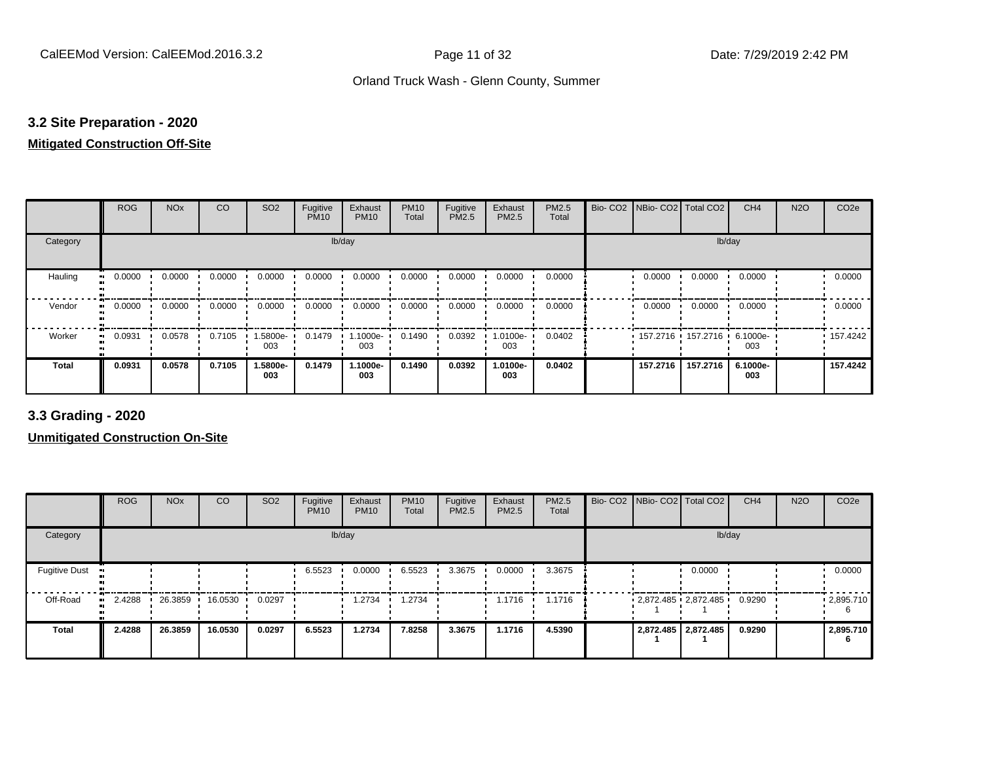#### **3.2 Site Preparation - 2020**

#### **Mitigated Construction Off-Site**

|                            | <b>ROG</b> | <b>NO<sub>x</sub></b> | CO     | SO <sub>2</sub> | Fugitive<br><b>PM10</b> | Exhaust<br><b>PM10</b> | <b>PM10</b><br>Total | Fugitive<br>PM2.5 | Exhaust<br>PM2.5 | PM2.5<br>Total | Bio- CO2   NBio- CO2   Total CO2 |                     | CH <sub>4</sub> | <b>N2O</b> | CO <sub>2e</sub> |
|----------------------------|------------|-----------------------|--------|-----------------|-------------------------|------------------------|----------------------|-------------------|------------------|----------------|----------------------------------|---------------------|-----------------|------------|------------------|
| Category                   |            |                       |        |                 |                         | lb/day                 |                      |                   |                  |                |                                  | lb/day              |                 |            |                  |
| Hauling<br>$\bullet$       | 0.0000     | 0.0000                | 0.0000 | 0.0000          | 0.0000                  | 0.0000                 | 0.0000               | 0.0000            | 0.0000           | 0.0000         | 0.0000                           | 0.0000              | 0.0000          |            | 0.0000           |
| Vendor<br>$\bullet$        | 0.0000     | 0.0000                | 0.0000 | 0.0000          | 0.0000                  | 0.0000                 | 0.0000               | 0.0000            | 0.0000           | 0.0000         | 0.0000                           | 0.0000              | 0.0000          |            | 0.0000           |
| Worker<br>$\bullet\bullet$ | 0.0931     | 0.0578                | 0.7105 | 1.5800e-<br>003 | 0.1479                  | 1.1000e-<br>003        | 0.1490               | 0.0392            | -0100e-<br>003   | 0.0402         |                                  | 157.2716 157.2716 1 | 6.1000e-<br>003 |            | 157.4242         |
| <b>Total</b>               | 0.0931     | 0.0578                | 0.7105 | 1.5800e-<br>003 | 0.1479                  | 1.1000e-<br>003        | 0.1490               | 0.0392            | 1.0100e-<br>003  | 0.0402         | 157.2716                         | 157.2716            | 6.1000e-<br>003 |            | 157.4242         |

**3.3 Grading - 2020**

|                      | <b>ROG</b> | <b>NO<sub>x</sub></b> | CO      | SO <sub>2</sub> | Fugitive<br><b>PM10</b> | Exhaust<br><b>PM10</b> | <b>PM10</b><br>Total | Fugitive<br><b>PM2.5</b> | Exhaust<br>PM2.5 | <b>PM2.5</b><br>Total |  | Bio- CO2 NBio- CO2 Total CO2        | CH <sub>4</sub> | <b>N2O</b> | CO <sub>2e</sub> |
|----------------------|------------|-----------------------|---------|-----------------|-------------------------|------------------------|----------------------|--------------------------|------------------|-----------------------|--|-------------------------------------|-----------------|------------|------------------|
| Category             |            |                       |         |                 |                         | lb/day                 |                      |                          |                  |                       |  | lb/day                              |                 |            |                  |
| <b>Fugitive Dust</b> |            |                       |         |                 | 6.5523                  | 0.0000                 | 6.5523               | 3.3675                   | 0.0000           | 3.3675                |  | 0.0000                              |                 |            | 0.0000           |
| Off-Road             | 2.4288     | 26.3859               | 16.0530 | 0.0297          |                         | .2734                  | 1.2734               |                          | 1.1716           | 1.1716                |  | $-2,872.485$ $-2,872.485$ $-0.9290$ |                 |            | .2,895.710       |
| <b>Total</b>         | 2.4288     | 26.3859               | 16.0530 | 0.0297          | 6.5523                  | 1.2734                 | 7.8258               | 3.3675                   | 1.1716           | 4.5390                |  | 2,872.485 2,872.485                 | 0.9290          |            | 2,895.710        |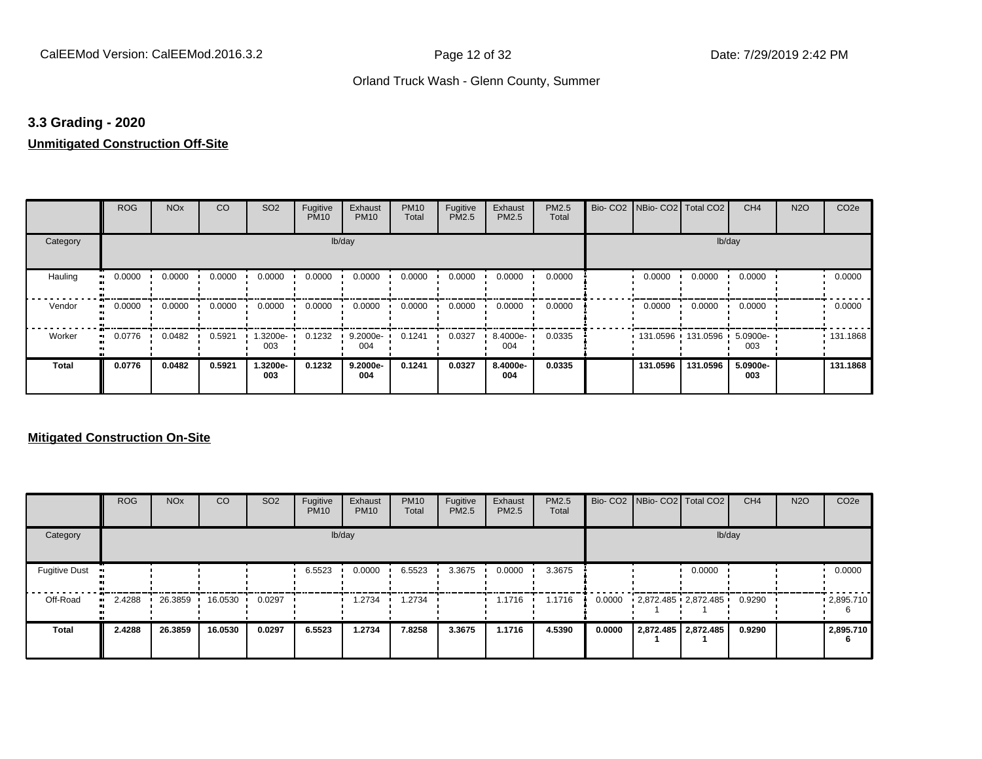#### **3.3 Grading - 2020**

#### **Unmitigated Construction Off-Site**

|                     | <b>ROG</b>   | <b>NO<sub>x</sub></b> | CO     | SO <sub>2</sub> | Fugitive<br><b>PM10</b> | Exhaust<br><b>PM10</b> | <b>PM10</b><br>Total | Fugitive<br><b>PM2.5</b> | Exhaust<br>PM2.5 | <b>PM2.5</b><br>Total | Bio- CO2   NBio- CO2   Total CO2 |                     | CH <sub>4</sub> | <b>N2O</b> | CO <sub>2e</sub> |
|---------------------|--------------|-----------------------|--------|-----------------|-------------------------|------------------------|----------------------|--------------------------|------------------|-----------------------|----------------------------------|---------------------|-----------------|------------|------------------|
| Category            |              |                       |        |                 | lb/day                  |                        |                      |                          |                  |                       |                                  | lb/day              |                 |            |                  |
| Hauling             | 0.0000       | 0.0000                | 0.0000 | 0.0000          | 0.0000                  | 0.0000                 | 0.0000               | 0.0000                   | 0.0000           | 0.0000                | 0.0000                           | 0.0000              | 0.0000          |            | 0.0000           |
| Vendor<br>$\bullet$ | 0.0000       | 0.0000                | 0.0000 | 0.0000          | 0.0000                  | 0.0000                 | 0.0000               | 0.0000                   | 0.0000           | 0.0000                | 0.0000                           | 0.0000              | 0.0000          |            | 0.0000           |
| Worker              | 0.0776<br>ш. | 0.0482                | 0.5921 | 1.3200e-<br>003 | 0.1232                  | 9.2000e-<br>004        | 0.1241               | 0.0327                   | 8.4000e-<br>004  | 0.0335                |                                  | 131.0596 131.0596 1 | 5.0900e-<br>003 |            | .131.1868        |
| <b>Total</b>        | 0.0776       | 0.0482                | 0.5921 | 1.3200e-<br>003 | 0.1232                  | 9.2000e-<br>004        | 0.1241               | 0.0327                   | 8.4000e-<br>004  | 0.0335                | 131.0596                         | 131.0596            | 5.0900e-<br>003 |            | 131.1868         |

|                      | <b>ROG</b>   | <b>NO<sub>x</sub></b> | CO      | SO <sub>2</sub> | Fugitive<br><b>PM10</b> | Exhaust<br><b>PM10</b> | <b>PM10</b><br>Total | Fugitive<br><b>PM2.5</b> | Exhaust<br><b>PM2.5</b> | PM2.5<br>Total |        | Bio- CO2   NBio- CO2   Total CO2 | CH <sub>4</sub> | <b>N2O</b> | CO <sub>2e</sub>  |
|----------------------|--------------|-----------------------|---------|-----------------|-------------------------|------------------------|----------------------|--------------------------|-------------------------|----------------|--------|----------------------------------|-----------------|------------|-------------------|
| Category             |              |                       |         |                 |                         | lb/day                 |                      |                          |                         |                |        | lb/day                           |                 |            |                   |
| <b>Fugitive Dust</b> |              |                       |         |                 | 6.5523                  | 0.0000                 | 6.5523               | 3.3675                   | 0.0000                  | 3.3675         |        | 0.0000                           |                 |            | 0.0000            |
| Off-Road             | 2.4288<br>ш. | 26.3859               | 16.0530 | 0.0297          |                         | 1.2734                 | .2734                |                          | 1.1716                  | 1.1716         | 0.0000 | 2,872.485 2,872.485              | 0.9290          |            | $\cdot$ 2,895.710 |
| <b>Total</b>         | 2.4288       | 26.3859               | 16.0530 | 0.0297          | 6.5523                  | 1.2734                 | 7.8258               | 3.3675                   | 1.1716                  | 4.5390         | 0.0000 | 2,872.485   2,872.485            | 0.9290          |            | 2,895.710<br>6    |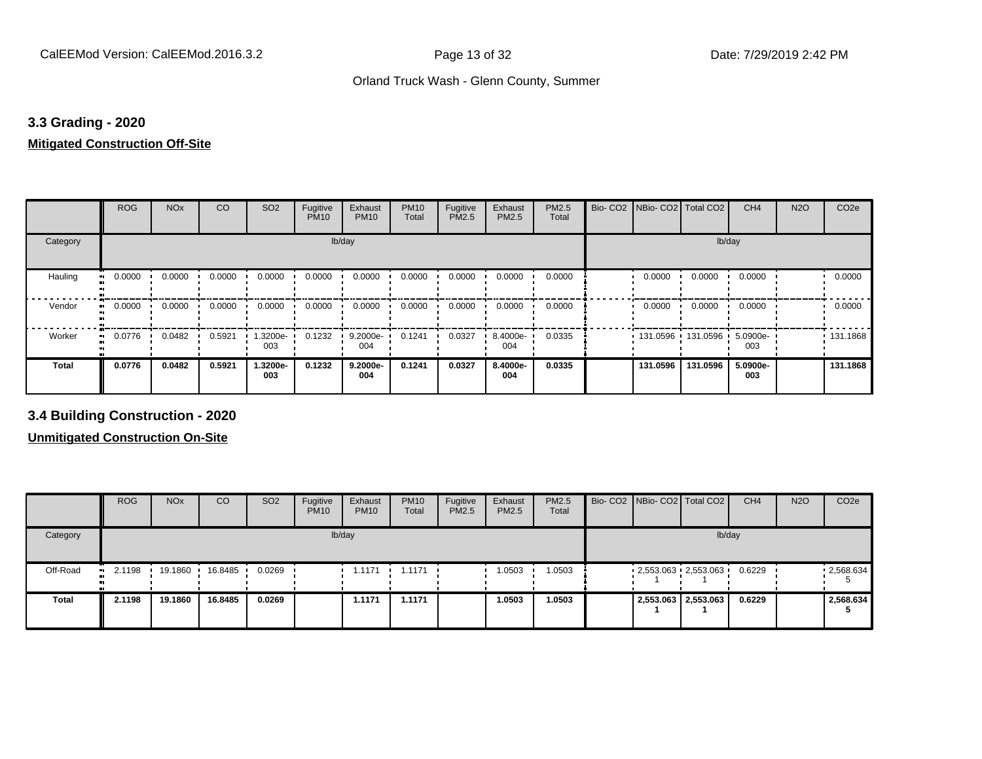#### **3.3 Grading - 2020**

#### **Mitigated Construction Off-Site**

|              | <b>ROG</b>   | <b>NO<sub>x</sub></b> | <b>CO</b> | SO <sub>2</sub> | Fugitive<br><b>PM10</b> | Exhaust<br><b>PM10</b> | <b>PM10</b><br>Total | Fugitive<br>PM2.5 | Exhaust<br>PM2.5 | PM2.5<br>Total | Bio-CO <sub>2</sub> | NBio- CO2   Total CO2 |            | CH <sub>4</sub> | <b>N2O</b> | CO <sub>2e</sub> |
|--------------|--------------|-----------------------|-----------|-----------------|-------------------------|------------------------|----------------------|-------------------|------------------|----------------|---------------------|-----------------------|------------|-----------------|------------|------------------|
| Category     |              |                       |           |                 | lb/day                  |                        |                      |                   |                  |                |                     |                       | lb/day     |                 |            |                  |
| Hauling      | 0.0000<br>ш. | 0.0000                | 0.0000    | 0.0000          | 0.0000                  | 0.0000                 | 0.0000               | 0.0000            | 0.0000           | 0.0000         |                     | 0.0000                | 0.0000     | 0.0000          |            | 0.0000           |
| Vendor       | 0.0000<br>ш. | 0.0000                | 0.0000    | 0.0000          | 0.0000                  | 0.0000                 | 0.0000               | 0.0000            | 0.0000           | 0.0000         |                     | 0.0000                | 0.0000     | 0.0000          |            | 0.0000           |
| Worker       | 0.0776<br>ш. | 0.0482                | 0.5921    | 1.3200e-<br>003 | 0.1232                  | 9.2000e-<br>004        | 0.1241               | 0.0327            | 8.4000e-<br>004  | 0.0335         |                     | 131.0596              | 131.0596 ' | 5.0900e-<br>003 |            | .131.1868        |
| <b>Total</b> | 0.0776       | 0.0482                | 0.5921    | 1.3200e-<br>003 | 0.1232                  | 9.2000e-<br>004        | 0.1241               | 0.0327            | 8.4000e-<br>004  | 0.0335         |                     | 131.0596              | 131.0596   | 5.0900e-<br>003 |            | 131.1868         |

**3.4 Building Construction - 2020**

|              | <b>ROG</b>          | <b>NO<sub>x</sub></b> | CO      | SO <sub>2</sub> | Fugitive<br><b>PM10</b> | Exhaust<br><b>PM10</b> | <b>PM10</b><br>Total | Fugitive<br><b>PM2.5</b> | Exhaust<br>PM2.5 | <b>PM2.5</b><br>Total |  | Bio- CO2 NBio- CO2 Total CO2 | CH <sub>4</sub> | <b>N2O</b> | CO <sub>2e</sub> |
|--------------|---------------------|-----------------------|---------|-----------------|-------------------------|------------------------|----------------------|--------------------------|------------------|-----------------------|--|------------------------------|-----------------|------------|------------------|
| Category     |                     |                       |         |                 |                         | lb/day                 |                      |                          |                  |                       |  | lb/day                       |                 |            |                  |
| Off-Road     | 2.1198<br><b>BU</b> | 19.1860               | 16.8485 | 0.0269          |                         | 1.1171                 | 1.1171               |                          | 1.0503           | 1.0503                |  | $-2,553.063 - 2,553.063$     | 0.6229          |            | .2,568.634       |
| <b>Total</b> | 2.1198              | 19.1860               | 16.8485 | 0.0269          |                         | 1.1171                 | 1.1171               |                          | 1.0503           | 1.0503                |  | 2,553.063 2,553.063          | 0.6229          |            | 2,568.634        |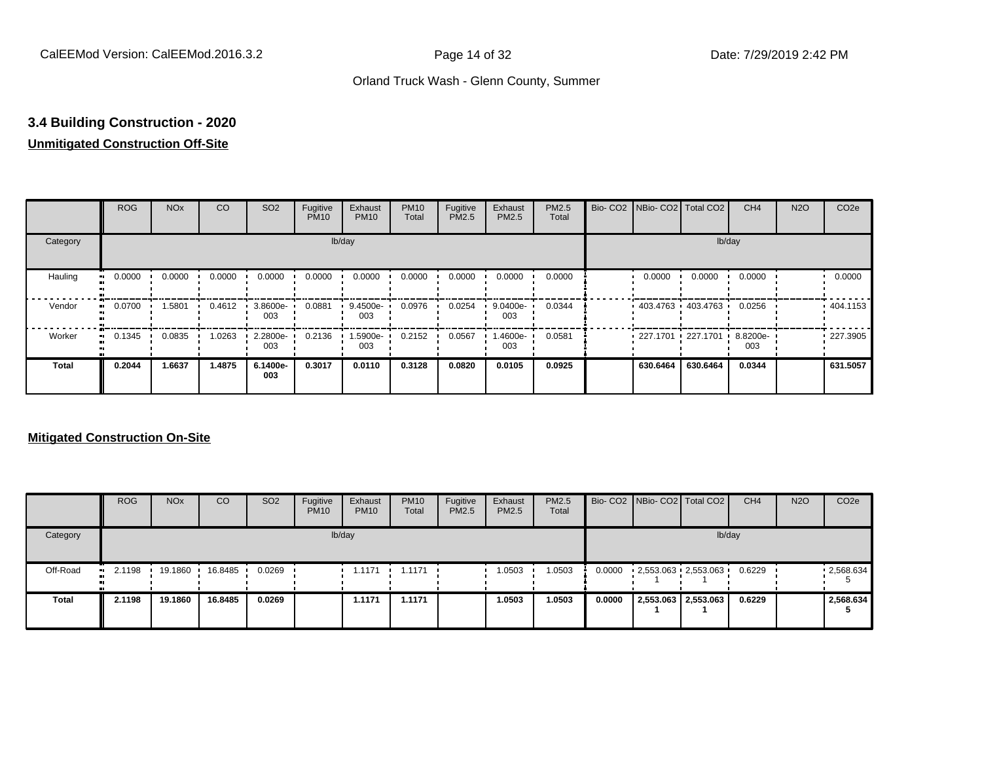## **3.4 Building Construction - 2020**

### **Unmitigated Construction Off-Site**

|              | <b>ROG</b>          | <b>NO<sub>x</sub></b> | CO     | SO <sub>2</sub> | Fugitive<br><b>PM10</b> | Exhaust<br><b>PM10</b> | <b>PM10</b><br>Total | Fugitive<br><b>PM2.5</b> | Exhaust<br>PM2.5 | <b>PM2.5</b><br>Total | Bio- CO2   NBio- CO2   Total CO2 |                     | CH <sub>4</sub> | <b>N2O</b> | CO <sub>2e</sub> |
|--------------|---------------------|-----------------------|--------|-----------------|-------------------------|------------------------|----------------------|--------------------------|------------------|-----------------------|----------------------------------|---------------------|-----------------|------------|------------------|
| Category     |                     |                       |        |                 |                         | lb/day                 |                      |                          |                  |                       |                                  | lb/day              |                 |            |                  |
| Hauling      | 0.0000              | 0.0000                | 0.0000 | 0.0000          | 0.0000                  | 0.0000                 | 0.0000               | 0.0000                   | 0.0000           | 0.0000                | 0.0000                           | 0.0000              | 0.0000          |            | 0.0000           |
| Vendor       | 0.0700<br>$\bullet$ | 1.5801                | 0.4612 | 3.8600e-<br>003 | 0.0881                  | 9.4500e-<br>003        | 0.0976               | 0.0254                   | 9.0400e-<br>003  | 0.0344                |                                  | 403.4763 403.4763 ' | 0.0256          |            | 404.1153         |
| Worker       | 0.1345<br>$\bullet$ | 0.0835                | 1.0263 | 2.2800e-<br>003 | 0.2136                  | 1.5900e-<br>003        | 0.2152               | 0.0567                   | -4600e.<br>003   | 0.0581                | 227.1701 227.1701                |                     | 8.8200e-<br>003 |            | 227.3905         |
| <b>Total</b> | 0.2044              | 1.6637                | 1.4875 | 6.1400e-<br>003 | 0.3017                  | 0.0110                 | 0.3128               | 0.0820                   | 0.0105           | 0.0925                | 630.6464                         | 630.6464            | 0.0344          |            | 631.5057         |

|              | <b>ROG</b>            | <b>NO<sub>x</sub></b> | CO      | SO <sub>2</sub> | Fugitive<br><b>PM10</b> | Exhaust<br><b>PM10</b> | <b>PM10</b><br>Total  | Fugitive<br><b>PM2.5</b> | Exhaust<br><b>PM2.5</b> | <b>PM2.5</b><br>Total |        | Bio- CO2   NBio- CO2   Total CO2 |                     | CH <sub>4</sub> | <b>N2O</b> | CO <sub>2</sub> e |
|--------------|-----------------------|-----------------------|---------|-----------------|-------------------------|------------------------|-----------------------|--------------------------|-------------------------|-----------------------|--------|----------------------------------|---------------------|-----------------|------------|-------------------|
| Category     |                       |                       |         |                 |                         | lb/day                 |                       |                          |                         |                       |        |                                  |                     | lb/day          |            |                   |
| Off-Road     | $\blacksquare$ 2.1198 | 19.1860               | 16.8485 | 0.0269          |                         | 1.1171                 | $\blacksquare$ 1.1171 |                          | 1.0503                  | 1.0503                | 0.0000 | $-2,553.063 - 2,553.063$         |                     | 0.6229          |            | $-2,568.634$      |
| <b>Total</b> | 2.1198                | 19.1860               | 16.8485 | 0.0269          |                         | 1.1171                 | 1.1171                |                          | 1.0503                  | 1.0503                | 0.0000 |                                  | 2,553.063 2,553.063 | 0.6229          |            | 2.568.634         |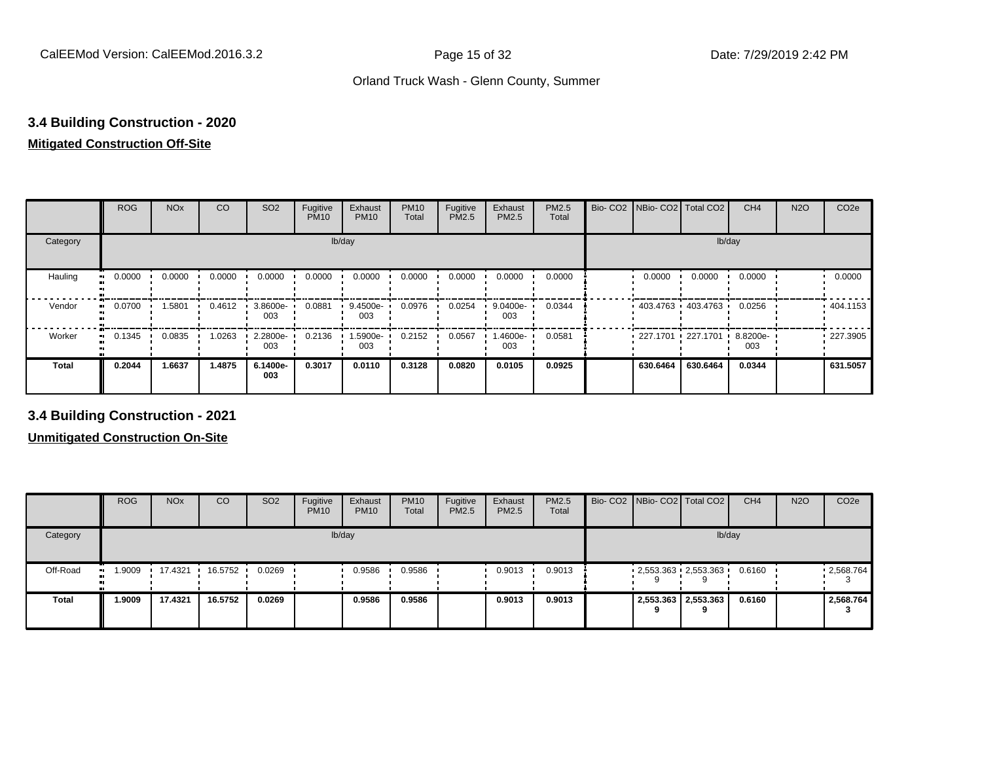## **3.4 Building Construction - 2020**

## **Mitigated Construction Off-Site**

|                     | <b>ROG</b> | <b>NO<sub>x</sub></b> | CO     | SO <sub>2</sub> | Fugitive<br><b>PM10</b> | Exhaust<br><b>PM10</b> | <b>PM10</b><br>Total | Fugitive<br>PM2.5 | Exhaust<br>PM2.5 | PM2.5<br>Total | Bio- CO2   NBio- CO2   Total CO2 |          | CH <sub>4</sub> | <b>N2O</b> | CO <sub>2e</sub> |
|---------------------|------------|-----------------------|--------|-----------------|-------------------------|------------------------|----------------------|-------------------|------------------|----------------|----------------------------------|----------|-----------------|------------|------------------|
| Category            |            |                       |        |                 | lb/day                  |                        |                      |                   |                  |                |                                  | lb/day   |                 |            |                  |
| Hauling             | 0.0000     | 0.0000                | 0.0000 | 0.0000          | 0.0000                  | 0.0000                 | 0.0000               | 0.0000            | 0.0000           | 0.0000         | 0.0000                           | 0.0000   | 0.0000          |            | 0.0000           |
| Vendor<br>$\bullet$ | 0.0700     | 1.5801                | 0.4612 | 3.8600e-<br>003 | 0.0881                  | 9.4500e-<br>003        | 0.0976               | 0.0254            | 9.0400e-<br>003  | 0.0344         | $403.4763$ $403.4763$ $\cdot$    |          | 0.0256          |            | .404.1153        |
| Worker<br>$\bullet$ | 0.1345     | 0.0835                | 1.0263 | 2.2800e-<br>003 | 0.2136                  | 1.5900e-<br>003        | 0.2152               | 0.0567            | .4600e-<br>003   | 0.0581         | 227.1701 227.1701                |          | 8.8200e-<br>003 |            | .227.3905        |
| <b>Total</b>        | 0.2044     | 1.6637                | 1.4875 | 6.1400e-<br>003 | 0.3017                  | 0.0110                 | 0.3128               | 0.0820            | 0.0105           | 0.0925         | 630.6464                         | 630.6464 | 0.0344          |            | 631.5057         |

**3.4 Building Construction - 2021**

|              | <b>ROG</b>          | <b>NO<sub>x</sub></b> | CO                | SO <sub>2</sub> | Fugitive<br><b>PM10</b> | Exhaust<br><b>PM10</b> | <b>PM10</b><br><b>Total</b> | Fugitive<br><b>PM2.5</b> | Exhaust<br><b>PM2.5</b> | <b>PM2.5</b><br>Total |  | Bio- CO2 NBio- CO2 Total CO2 | CH <sub>4</sub> | <b>N2O</b> | CO <sub>2e</sub> |
|--------------|---------------------|-----------------------|-------------------|-----------------|-------------------------|------------------------|-----------------------------|--------------------------|-------------------------|-----------------------|--|------------------------------|-----------------|------------|------------------|
| Category     |                     |                       |                   |                 |                         | lb/day                 |                             |                          |                         |                       |  |                              | lb/day          |            |                  |
| Off-Road     | 1.9009<br>$\bullet$ |                       | 17.4321 16.5752 1 | 0.0269          |                         | 0.9586                 | 0.9586                      |                          | 0.9013                  | 0.9013                |  | $2,553.363$ $2,553.363$      | 0.6160          |            | .2,568.764       |
| <b>Total</b> | 1.9009              | 17.4321               | 16.5752           | 0.0269          |                         | 0.9586                 | 0.9586                      |                          | 0.9013                  | 0.9013                |  | 2,553.363 2,553.363          | 0.6160          |            | 2,568.764        |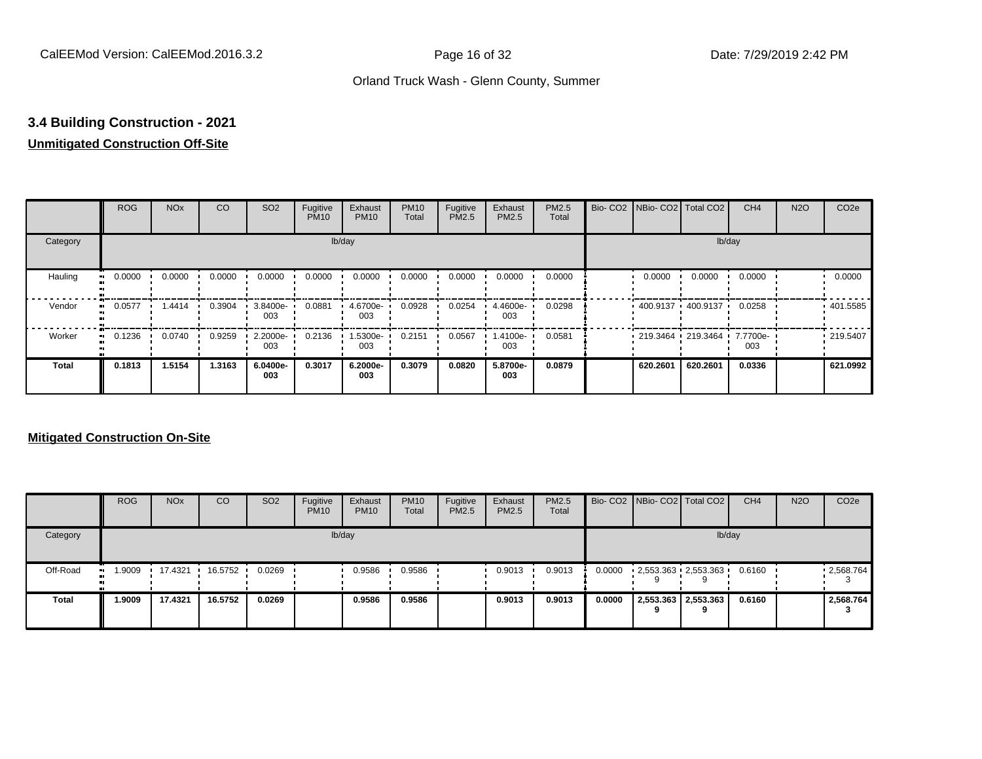## **3.4 Building Construction - 2021**

#### **Unmitigated Construction Off-Site**

|                        | <b>ROG</b> | <b>NO<sub>x</sub></b> | CO     | SO <sub>2</sub> | Fugitive<br><b>PM10</b> | Exhaust<br><b>PM10</b> | <b>PM10</b><br>Total | Fugitive<br><b>PM2.5</b> | Exhaust<br>PM2.5 | PM2.5<br>Total | Bio- CO2   NBio- CO2   Total CO2   |                         | CH <sub>4</sub> | <b>N2O</b> | CO <sub>2e</sub> |
|------------------------|------------|-----------------------|--------|-----------------|-------------------------|------------------------|----------------------|--------------------------|------------------|----------------|------------------------------------|-------------------------|-----------------|------------|------------------|
| Category               |            |                       |        |                 |                         | lb/day                 |                      |                          |                  |                |                                    |                         | lb/day          |            |                  |
| Hauling<br>œ           | 0.0000     | 0.0000                | 0.0000 | 0.0000          | 0.0000                  | 0.0000                 | 0.0000               | 0.0000                   | 0.0000           | 0.0000         | 0.0000                             | 0.0000                  | 0.0000          |            | 0.0000           |
| Vendor<br>œ            | 0.0577     | 1.4414                | 0.3904 | 3.8400e-<br>003 | 0.0881                  | 4.6700e-<br>003        | 0.0928               | 0.0254                   | 4.4600e-<br>003  | 0.0298         |                                    | $400.9137 + 400.9137 +$ | 0.0258          |            | .401.5585        |
| Worker<br>$\mathbf{u}$ | 0.1236     | 0.0740                | 0.9259 | 2.2000e-<br>003 | 0.2136                  | 1.5300e-<br>003        | 0.2151               | 0.0567                   | -.4100e<br>003   | 0.0581         | $-219.3464 - 219.3464 - 7.7700e -$ |                         | 003             |            | .219.5407        |
| <b>Total</b>           | 0.1813     | 1.5154                | 1.3163 | 6.0400e-<br>003 | 0.3017                  | 6.2000e-<br>003        | 0.3079               | 0.0820                   | 5.8700e-<br>003  | 0.0879         | 620.2601                           | 620.2601                | 0.0336          |            | 621.0992         |

|              | <b>ROG</b>          | <b>NO<sub>x</sub></b> | CO      | SO <sub>2</sub> | Fugitive<br><b>PM10</b> | Exhaust<br><b>PM10</b> | <b>PM10</b><br><b>Total</b> | Fugitive<br>PM2.5 | Exhaust<br><b>PM2.5</b> | <b>PM2.5</b><br>Total |        | Bio- CO2   NBio- CO2   Total CO2 | CH <sub>4</sub> | <b>N2O</b> | CO <sub>2</sub> e |
|--------------|---------------------|-----------------------|---------|-----------------|-------------------------|------------------------|-----------------------------|-------------------|-------------------------|-----------------------|--------|----------------------------------|-----------------|------------|-------------------|
| Category     |                     |                       |         |                 | lb/day                  |                        |                             |                   |                         |                       |        | lb/day                           |                 |            |                   |
| Off-Road     | 1.9009<br>$\bullet$ | 17.4321               | 16.5752 | 0.0269          |                         | 0.9586                 | 0.9586                      |                   | 0.9013                  | 0.9013                | 0.0000 | $2,553.363$ $2,553.363$<br>9     | 0.6160          |            | 12,568.764        |
| <b>Total</b> | 1.9009              | 17.4321               | 16.5752 | 0.0269          |                         | 0.9586                 | 0.9586                      |                   | 0.9013                  | 0.9013                | 0.0000 | 2,553.363 2,553.363<br>a         | 0.6160          |            | 2,568.764         |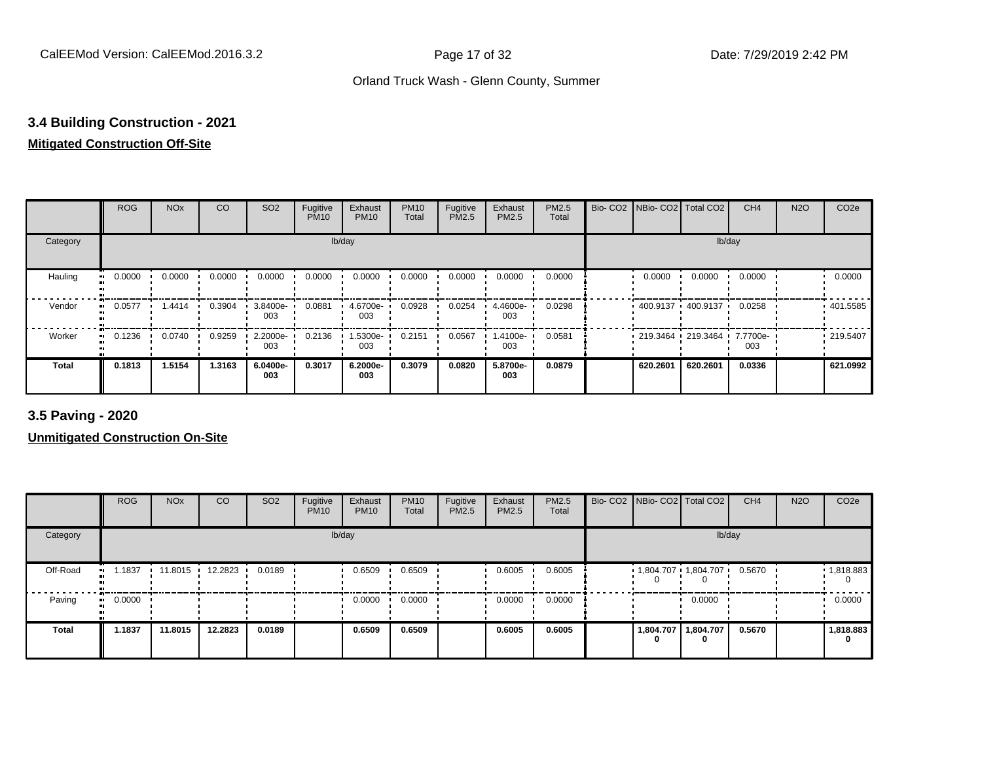## **3.4 Building Construction - 2021**

#### **Mitigated Construction Off-Site**

|                          | <b>ROG</b> | <b>NO<sub>x</sub></b> | <b>CO</b> | SO <sub>2</sub> | Fugitive<br><b>PM10</b> | Exhaust<br><b>PM10</b> | <b>PM10</b><br>Total | Fugitive<br>PM2.5 | Exhaust<br>PM2.5 | PM2.5<br>Total | Bio-CO <sub>2</sub> | NBio- CO2   Total CO2 |          | CH <sub>4</sub> | <b>N2O</b> | CO <sub>2e</sub> |
|--------------------------|------------|-----------------------|-----------|-----------------|-------------------------|------------------------|----------------------|-------------------|------------------|----------------|---------------------|-----------------------|----------|-----------------|------------|------------------|
| Category                 |            |                       |           |                 | lb/day                  |                        |                      |                   |                  |                |                     |                       | lb/day   |                 |            |                  |
| Hauling                  | 0.0000     | 0.0000                | 0.0000    | 0.0000          | 0.0000                  | 0.0000                 | 0.0000               | 0.0000            | 0.0000           | 0.0000         |                     | 0.0000                | 0.0000   | 0.0000          |            | 0.0000           |
| Vendor<br>$\blacksquare$ | 0.0577     | 1.4414                | 0.3904    | 3.8400e-<br>003 | 0.0881                  | 4.6700e-<br>003        | 0.0928               | 0.0254            | 4.4600e-<br>003  | 0.0298         |                     | 400.9137 400.9137     |          | 0.0258          |            | .401.5585        |
| Worker<br>$\bullet$      | 0.1236     | 0.0740                | 0.9259    | 2.2000e-<br>003 | 0.2136                  | 1.5300e-<br>003        | 0.2151               | 0.0567            | 1.4100e-<br>003  | 0.0581         |                     | 219.3464 219.3464     |          | 7.7700e-<br>003 |            | .219.5407        |
| <b>Total</b>             | 0.1813     | 1.5154                | 1.3163    | 6.0400e-<br>003 | 0.3017                  | 6.2000e-<br>003        | 0.3079               | 0.0820            | 5.8700e-<br>003  | 0.0879         |                     | 620.2601              | 620.2601 | 0.0336          |            | 621.0992         |

**3.5 Paving - 2020**

|              | <b>ROG</b>           | <b>NO<sub>x</sub></b> | CO      | SO <sub>2</sub> | Fugitive<br><b>PM10</b> | Exhaust<br><b>PM10</b> | <b>PM10</b><br>Total | Fugitive<br><b>PM2.5</b> | Exhaust<br>PM2.5 | <b>PM2.5</b><br>Total | Bio- CO2   NBio- CO2   Total CO2 |           | CH <sub>4</sub> | <b>N2O</b> | CO <sub>2e</sub> |
|--------------|----------------------|-----------------------|---------|-----------------|-------------------------|------------------------|----------------------|--------------------------|------------------|-----------------------|----------------------------------|-----------|-----------------|------------|------------------|
| Category     |                      |                       |         |                 |                         | lb/day                 |                      |                          |                  |                       |                                  | lb/day    |                 |            |                  |
| Off-Road     | 1.1837<br><b>ALC</b> | 11.8015 ·             | 12.2823 | 0.0189          |                         | 0.6509                 | 0.6509               |                          | 0.6005           | 0.6005                | 1,804.707 1,804.707              |           | 0.5670          |            | 1,818.883        |
| Paving       | 0.0000<br>$\bullet$  |                       |         |                 |                         | 0.0000                 | 0.0000               |                          | 0.0000           | 0.0000                |                                  | 0.0000    |                 |            | 0.0000           |
| <b>Total</b> | 1.1837               | 11.8015               | 12.2823 | 0.0189          |                         | 0.6509                 | 0.6509               |                          | 0.6005           | 0.6005                | 1,804.707<br>0                   | 1,804.707 | 0.5670          |            | 1,818.883<br>0   |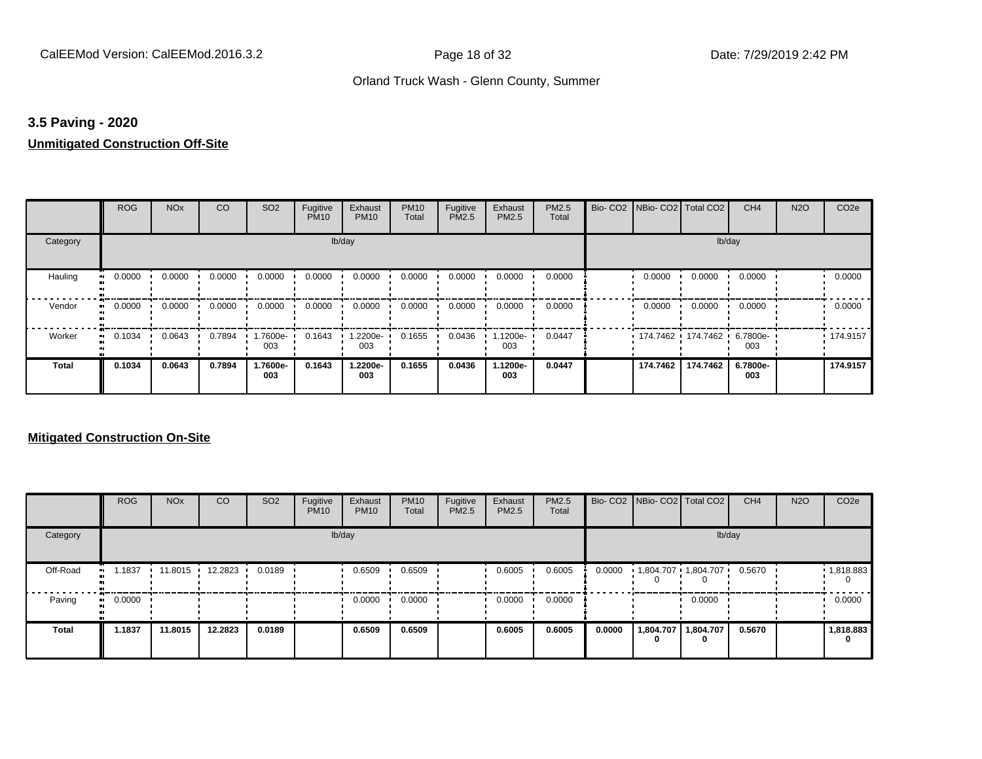#### **3.5 Paving - 2020**

#### **Unmitigated Construction Off-Site**

|          | <b>ROG</b>          | <b>NO<sub>x</sub></b> | CO     | SO <sub>2</sub> | Fugitive<br><b>PM10</b> | Exhaust<br><b>PM10</b> | <b>PM10</b><br>Total | Fugitive<br>PM2.5 | Exhaust<br>PM2.5 | PM2.5<br>Total | Bio- CO2   NBio- CO2   Total CO2 |          | CH <sub>4</sub> | <b>N2O</b> | CO <sub>2e</sub> |
|----------|---------------------|-----------------------|--------|-----------------|-------------------------|------------------------|----------------------|-------------------|------------------|----------------|----------------------------------|----------|-----------------|------------|------------------|
| Category |                     |                       |        |                 |                         | lb/day                 |                      |                   |                  |                |                                  | lb/day   |                 |            |                  |
| Hauling  | 0.0000              | 0.0000                | 0.0000 | 0.0000          | 0.0000                  | 0.0000                 | 0.0000               | 0.0000            | 0.0000           | 0.0000         | 0.0000                           | 0.0000   | 0.0000          |            | 0.0000           |
| Vendor   | 0.0000<br>$\bullet$ | 0.0000                | 0.0000 | 0.0000          | 0.0000                  | 0.0000                 | 0.0000               | 0.0000            | 0.0000           | 0.0000         | 0.0000                           | 0.0000   | 0.0000          |            | 0.0000           |
| Worker   | 0.1034<br>ш.        | 0.0643                | 0.7894 | 1.7600e-<br>003 | 0.1643                  | 1.2200e-<br>003        | 0.1655               | 0.0436            | .1200e-<br>003   | 0.0447         | 174.7462 174.7462 6.7800e-       |          | 003             |            | .174.9157        |
| Total    | 0.1034              | 0.0643                | 0.7894 | 1.7600e-<br>003 | 0.1643                  | 1.2200e-<br>003        | 0.1655               | 0.0436            | 1.1200e-<br>003  | 0.0447         | 174.7462                         | 174.7462 | 6.7800e-<br>003 |            | 174.9157         |

|          | <b>ROG</b>   | <b>NO<sub>x</sub></b> | CO              | SO <sub>2</sub> | Fugitive<br><b>PM10</b> | Exhaust<br><b>PM10</b> | <b>PM10</b><br>Total | Fugitive<br><b>PM2.5</b> | Exhaust<br><b>PM2.5</b> | PM2.5<br>Total |        | Bio- CO2 NBio- CO2 Total CO2 |                | CH <sub>4</sub> | <b>N2O</b> | CO <sub>2e</sub> |
|----------|--------------|-----------------------|-----------------|-----------------|-------------------------|------------------------|----------------------|--------------------------|-------------------------|----------------|--------|------------------------------|----------------|-----------------|------------|------------------|
| Category |              |                       |                 |                 |                         | lb/day                 |                      |                          |                         |                |        |                              | lb/day         |                 |            |                  |
| Off-Road | .1837<br>. . |                       | 11.8015 12.2823 | 0.0189          |                         | 0.6509                 | 0.6509               |                          | 0.6005                  | 0.6005         | 0.0000 | 1,804.707 1,804.707          |                | 0.5670          |            | 1,818.883        |
| Paving   | 0.0000<br>ш. |                       |                 |                 |                         | 0.0000                 | 0.0000               |                          | 0.0000                  | 0.0000         |        |                              | 0.0000         |                 |            | 0.0000           |
| Total    | 1.1837       | 11.8015               | 12.2823         | 0.0189          |                         | 0.6509                 | 0.6509               |                          | 0.6005                  | 0.6005         | 0.0000 | 1,804.707<br>0               | 1,804.707<br>0 | 0.5670          |            | 1,818.883<br>0   |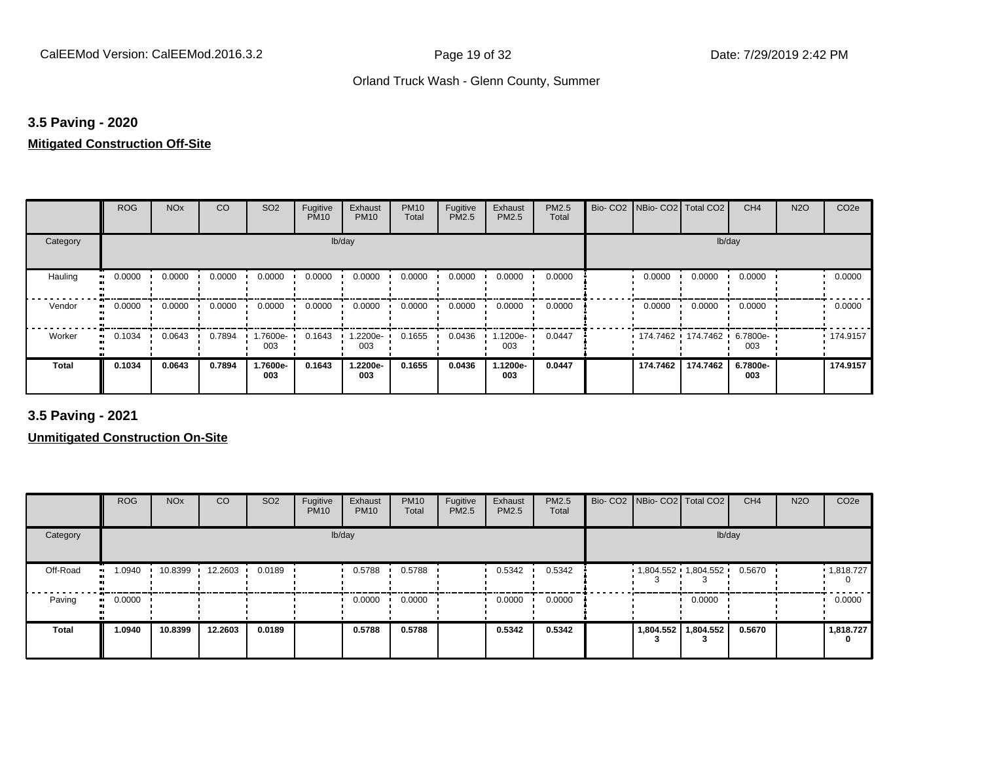#### **3.5 Paving - 2020**

#### **Mitigated Construction Off-Site**

|              | <b>ROG</b>               | <b>NO<sub>x</sub></b> | CO     | SO <sub>2</sub> | Fugitive<br><b>PM10</b> | Exhaust<br><b>PM10</b> | <b>PM10</b><br>Total | Fugitive<br>PM2.5 | Exhaust<br>PM2.5 | PM2.5<br>Total | Bio- CO2   NBio- CO2   Total CO2 |                     | CH <sub>4</sub> | <b>N2O</b> | CO <sub>2e</sub> |
|--------------|--------------------------|-----------------------|--------|-----------------|-------------------------|------------------------|----------------------|-------------------|------------------|----------------|----------------------------------|---------------------|-----------------|------------|------------------|
| Category     |                          |                       |        |                 | lb/day                  |                        |                      |                   |                  |                |                                  | lb/day              |                 |            |                  |
| Hauling      | 0.0000<br>$\blacksquare$ | 0.0000                | 0.0000 | 0.0000          | 0.0000                  | 0.0000                 | 0.0000               | 0.0000            | 0.0000           | 0.0000         | 0.0000                           | 0.0000              | 0.0000          |            | 0.0000           |
| Vendor       | 0.0000<br>$\bullet$      | 0.0000                | 0.0000 | 0.0000          | 0.0000                  | 0.0000                 | 0.0000               | 0.0000            | 0.0000           | 0.0000         | 0.0000                           | 0.0000              | 0.0000          |            | 0.0000           |
| Worker       | 0.1034<br>$\bullet$      | 0.0643                | 0.7894 | -7600e.<br>003  | 0.1643                  | 1.2200e-<br>003        | 0.1655               | 0.0436            | 1.1200e-<br>003  | 0.0447         |                                  | 174.7462 174.7462 ' | 6.7800e-<br>003 |            | • 174.9157       |
| <b>Total</b> | 0.1034                   | 0.0643                | 0.7894 | 1.7600e-<br>003 | 0.1643                  | 1.2200e-<br>003        | 0.1655               | 0.0436            | 1.1200e-<br>003  | 0.0447         | 174.7462                         | 174.7462            | 6.7800e-<br>003 |            | 174.9157         |

**3.5 Paving - 2021**

|          | <b>ROG</b> | <b>NO<sub>x</sub></b> | CO      | SO <sub>2</sub> | Fugitive<br><b>PM10</b> | Exhaust<br><b>PM10</b> | <b>PM10</b><br>Total | Fugitive<br><b>PM2.5</b> | Exhaust<br>PM2.5 | PM2.5<br>Total | Bio- CO2   NBio- CO2   Total CO2 |           | CH <sub>4</sub> | <b>N2O</b> | CO <sub>2e</sub> |
|----------|------------|-----------------------|---------|-----------------|-------------------------|------------------------|----------------------|--------------------------|------------------|----------------|----------------------------------|-----------|-----------------|------------|------------------|
| Category |            |                       |         |                 |                         | lb/day                 |                      |                          |                  |                |                                  | lb/day    |                 |            |                  |
| Off-Road | 1.0940     | 10.8399               | 12.2603 | 0.0189          |                         | 0.5788                 | 0.5788               |                          | 0.5342           | 0.5342         | $1,804.552$ $1,804.552$          |           | 0.5670          |            | 1,818.727        |
| Paving   | 0.0000     |                       |         |                 |                         | 0.0000                 | 0.0000               |                          | 0.0000           | 0.0000         |                                  | 0.0000    |                 |            | 0.0000           |
| Total    | 1.0940     | 10.8399               | 12.2603 | 0.0189          |                         | 0.5788                 | 0.5788               |                          | 0.5342           | 0.5342         | 1,804.552                        | 1,804.552 | 0.5670          |            | 1,818.727<br>0   |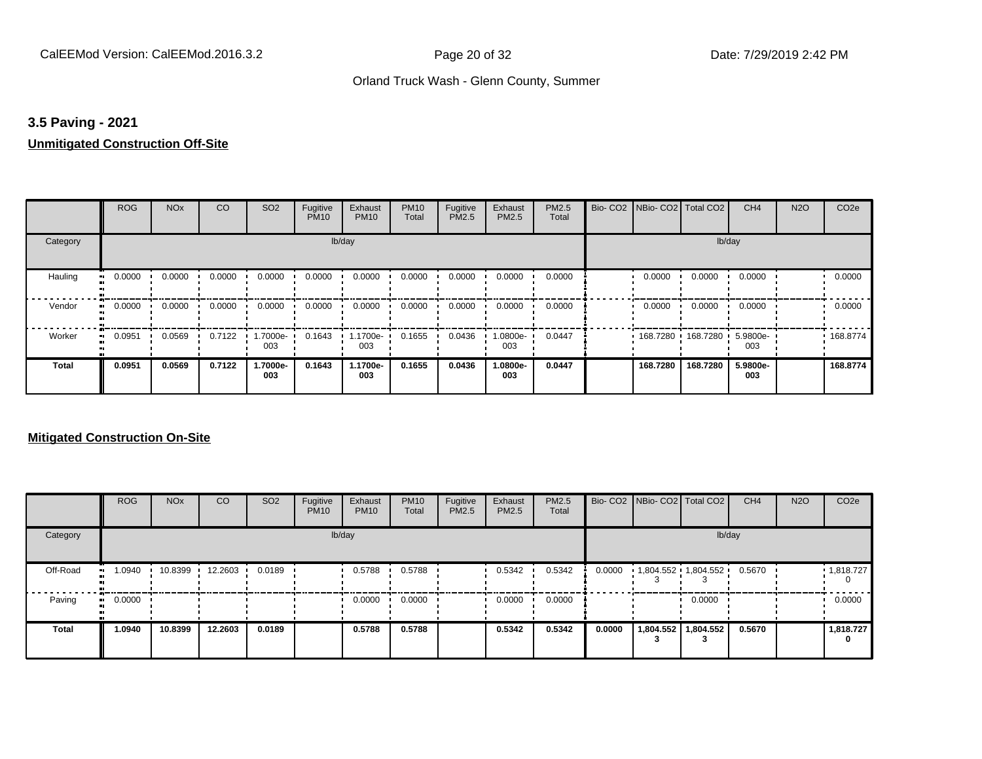#### **3.5 Paving - 2021**

#### **Unmitigated Construction Off-Site**

|                     | <b>ROG</b> | <b>NO<sub>x</sub></b> | CO     | SO <sub>2</sub> | Fugitive<br><b>PM10</b> | Exhaust<br><b>PM10</b> | <b>PM10</b><br>Total | Fugitive<br>PM2.5 | Exhaust<br>PM2.5 | PM2.5<br>Total | Bio- CO2   NBio- CO2   Total CO2 |                     | CH <sub>4</sub> | <b>N2O</b> | CO <sub>2e</sub> |
|---------------------|------------|-----------------------|--------|-----------------|-------------------------|------------------------|----------------------|-------------------|------------------|----------------|----------------------------------|---------------------|-----------------|------------|------------------|
| Category            |            |                       |        |                 |                         | lb/day                 |                      |                   |                  |                |                                  |                     | lb/day          |            |                  |
| Hauling             | 0.0000     | 0.0000                | 0.0000 | 0.0000          | 0.0000                  | 0.0000                 | 0.0000               | 0.0000            | 0.0000           | 0.0000         | 0.0000                           | 0.0000              | 0.0000          |            | 0.0000           |
| Vendor<br>$\bullet$ | 0.0000     | 0.0000                | 0.0000 | 0.0000          | 0.0000                  | 0.0000                 | 0.0000               | 0.0000            | 0.0000           | 0.0000         | 0.0000                           | 0.0000              | 0.0000          |            | 0.0000           |
| Worker<br>$\bullet$ | 0.0951     | 0.0569                | 0.7122 | 1.7000e-<br>003 | 0.1643                  | 1.1700e-<br>003        | 0.1655               | 0.0436            | .0800e-<br>003   | 0.0447         |                                  | 168.7280 168.7280 ' | 5.9800e-<br>003 |            | 168.8774         |
| Total               | 0.0951     | 0.0569                | 0.7122 | 1.7000e-<br>003 | 0.1643                  | 1.1700e-<br>003        | 0.1655               | 0.0436            | -.0800e<br>003   | 0.0447         | 168.7280                         | 168.7280            | 5.9800e-<br>003 |            | 168.8774         |

|              | <b>ROG</b>   | <b>NO<sub>x</sub></b> | <b>CO</b> | SO <sub>2</sub> | Fugitive<br><b>PM10</b> | Exhaust<br><b>PM10</b> | <b>PM10</b><br>Total | Fugitive<br><b>PM2.5</b> | Exhaust<br><b>PM2.5</b> | <b>PM2.5</b><br>Total |        | Bio- CO2   NBio- CO2   Total CO2 |                       | CH <sub>4</sub> | <b>N2O</b> | CO <sub>2e</sub>       |
|--------------|--------------|-----------------------|-----------|-----------------|-------------------------|------------------------|----------------------|--------------------------|-------------------------|-----------------------|--------|----------------------------------|-----------------------|-----------------|------------|------------------------|
| Category     |              |                       |           |                 |                         | lb/day                 |                      |                          |                         |                       |        |                                  | lb/day                |                 |            |                        |
| Off-Road     | 1.0940<br>   | 10.8399               | 12.2603   | 0.0189          |                         | 0.5788                 | 0.5788               |                          | 0.5342                  | 0.5342                | 0.0000 |                                  | 1,804.552 1,804.552 ' | 0.5670          |            | $\cdot$ 1,818.727<br>0 |
| Paving       | 0.0000<br>ш. |                       |           |                 |                         | 0.0000                 | 0.0000               |                          | 0.0000                  | 0.0000                |        |                                  | 0.0000                |                 |            | 0.0000                 |
| <b>Total</b> | 1.0940       | 10.8399               | 12.2603   | 0.0189          |                         | 0.5788                 | 0.5788               |                          | 0.5342                  | 0.5342                | 0.0000 | 1,804.552                        | 1,804.552             | 0.5670          |            | 1,818.727<br>0         |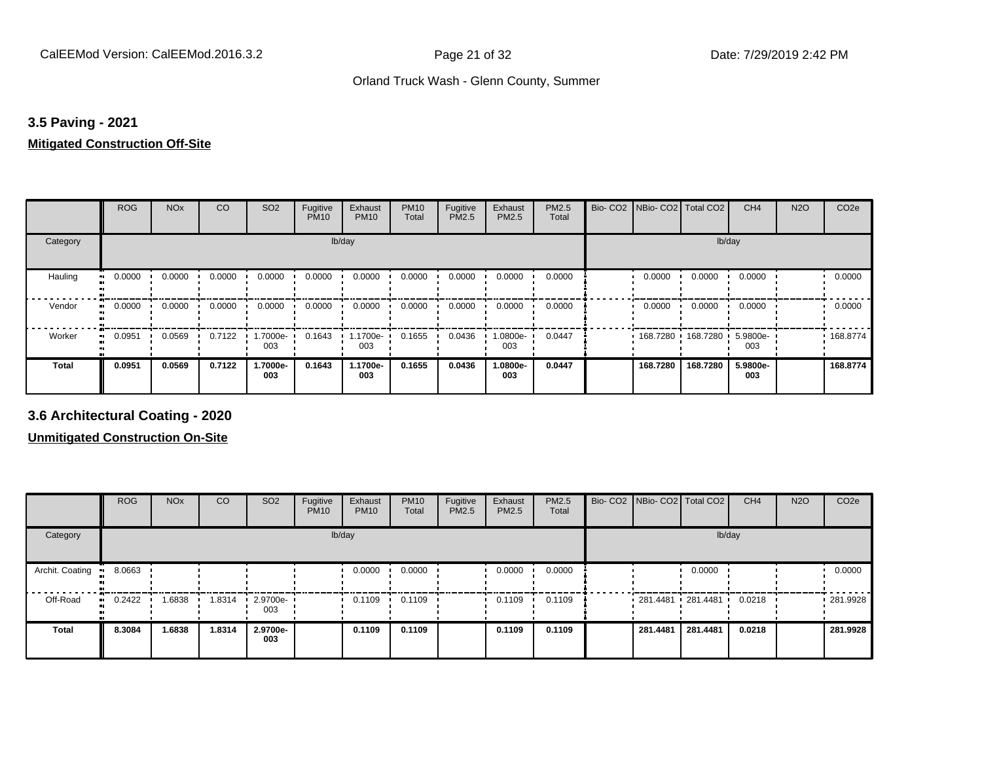#### **3.5 Paving - 2021**

#### **Mitigated Construction Off-Site**

|          | <b>ROG</b> | <b>NO<sub>x</sub></b> | CO     | SO <sub>2</sub>  | Fugitive<br><b>PM10</b> | Exhaust<br><b>PM10</b> | <b>PM10</b><br>Total | Fugitive<br>PM2.5 | Exhaust<br>PM2.5 | PM2.5<br>Total | Bio-CO <sub>2</sub> | NBio- CO2   Total CO2        |          | CH <sub>4</sub> | <b>N2O</b> | CO <sub>2e</sub> |
|----------|------------|-----------------------|--------|------------------|-------------------------|------------------------|----------------------|-------------------|------------------|----------------|---------------------|------------------------------|----------|-----------------|------------|------------------|
| Category |            |                       |        |                  | lb/day                  |                        |                      |                   |                  |                |                     |                              | lb/day   |                 |            |                  |
| Hauling  | 0.0000     | 0.0000                | 0.0000 | 0.0000           | 0.0000                  | 0.0000                 | 0.0000               | 0.0000            | 0.0000           | 0.0000         |                     | 0.0000                       | 0.0000   | 0.0000          |            | 0.0000           |
| Vendor   | 0.0000     | 0.0000                | 0.0000 | 0.0000           | 0.0000                  | 0.0000                 | 0.0000               | 0.0000            | 0.0000           | 0.0000         |                     | 0.0000                       | 0.0000   | 0.0000          |            | 0.0000           |
| Worker   | 0.0951     | 0.0569                | 0.7122 | 1.7000e ·<br>003 | 0.1643                  | 1.1700e-<br>003        | 0.1655               | 0.0436            | -0800e.<br>003   | 0.0447         |                     | $168.7280$ 168.7280 5.9800e- |          | 003             |            | .168.8774        |
| Total    | 0.0951     | 0.0569                | 0.7122 | 1.7000e-<br>003  | 0.1643                  | 1.1700e-<br>003        | 0.1655               | 0.0436            | 1.0800e-<br>003  | 0.0447         |                     | 168.7280                     | 168.7280 | 5.9800e-<br>003 |            | 168,8774         |

**3.6 Architectural Coating - 2020**

|                        | <b>ROG</b>                 | <b>NO<sub>x</sub></b> | CO     | SO <sub>2</sub>         | Fugitive<br><b>PM10</b> | Exhaust<br><b>PM10</b> | <b>PM10</b><br>Total | Fugitive<br><b>PM2.5</b> | Exhaust<br>PM2.5 | PM2.5<br>Total | Bio- CO2   NBio- CO2   Total CO2 |          | CH <sub>4</sub> | <b>N2O</b> | CO <sub>2e</sub> |
|------------------------|----------------------------|-----------------------|--------|-------------------------|-------------------------|------------------------|----------------------|--------------------------|------------------|----------------|----------------------------------|----------|-----------------|------------|------------------|
| Category               |                            |                       |        |                         |                         | lb/day                 |                      |                          |                  |                |                                  | lb/day   |                 |            |                  |
| Archit. Coating<br>-91 | 8.0663                     |                       |        |                         |                         | 0.0000                 | 0.0000               |                          | 0.0000           | 0.0000         |                                  | 0.0000   |                 |            | 0.0000           |
| Off-Road               | 0.2422<br>$\bullet\bullet$ | 1.6838                | 1.8314 | $\cdot$ 2.9700e-<br>003 |                         | 0.1109                 | 0.1109               |                          | 0.1109           | 0.1109         | $281.4481$ 281.4481              |          | 0.0218          |            | .281.9928        |
| <b>Total</b>           | 8.3084                     | 1.6838                | 1.8314 | 2.9700e-<br>003         |                         | 0.1109                 | 0.1109               |                          | 0.1109           | 0.1109         | 281.4481                         | 281.4481 | 0.0218          |            | 281.9928         |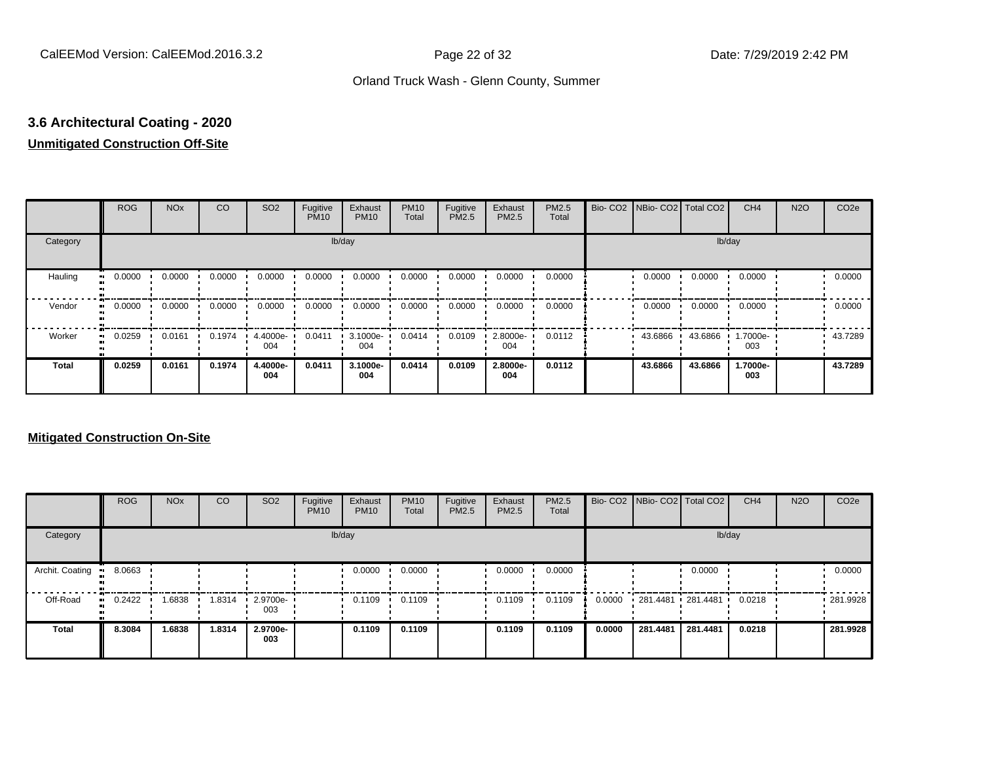# **3.6 Architectural Coating - 2020**

## **Unmitigated Construction Off-Site**

|                     | <b>ROG</b> | <b>NO<sub>x</sub></b> | CO     | SO <sub>2</sub> | Fugitive<br><b>PM10</b> | Exhaust<br><b>PM10</b> | <b>PM10</b><br>Total | Fugitive<br>PM2.5 | Exhaust<br>PM2.5 | PM2.5<br>Total | Bio- CO2   NBio- CO2   Total CO2 |         | CH <sub>4</sub> | <b>N2O</b> | CO <sub>2e</sub> |
|---------------------|------------|-----------------------|--------|-----------------|-------------------------|------------------------|----------------------|-------------------|------------------|----------------|----------------------------------|---------|-----------------|------------|------------------|
| Category            |            |                       |        |                 | lb/day                  |                        |                      |                   |                  |                |                                  | lb/day  |                 |            |                  |
| Hauling<br>œ        | 0.0000     | 0.0000                | 0.0000 | 0.0000          | 0.0000                  | 0.0000                 | 0.0000               | 0.0000            | 0.0000           | 0.0000         | 0.0000                           | 0.0000  | 0.0000          |            | 0.0000           |
| Vendor<br>$\bullet$ | 0.0000     | 0.0000                | 0.0000 | 0.0000          | 0.0000                  | 0.0000                 | 0.0000               | 0.0000            | 0.0000           | 0.0000         | 0.0000                           | 0.0000  | 0.0000          |            | 0.0000           |
| Worker<br>$\bullet$ | 0.0259     | 0.0161                | 0.1974 | 4.4000e-<br>004 | 0.0411                  | 3.1000e-<br>004        | 0.0414               | 0.0109            | 2.8000e-<br>004  | 0.0112         | 43.6866                          | 43.6866 | 1.7000e-<br>003 |            | 43.7289          |
| <b>Total</b>        | 0.0259     | 0.0161                | 0.1974 | 4.4000e-<br>004 | 0.0411                  | 3.1000e-<br>004        | 0.0414               | 0.0109            | 2.8000e-<br>004  | 0.0112         | 43.6866                          | 43.6866 | 1.7000e-<br>003 |            | 43.7289          |

|                 | <b>ROG</b>   | <b>NO<sub>x</sub></b> | CO     | SO <sub>2</sub>       | Fugitive<br><b>PM10</b> | Exhaust<br><b>PM10</b> | <b>PM10</b><br>Total | Fugitive<br><b>PM2.5</b> | Exhaust<br><b>PM2.5</b> | <b>PM2.5</b><br>Total |        |          | Bio- CO2   NBio- CO2   Total CO2 | CH <sub>4</sub> | <b>N2O</b> | CO <sub>2e</sub> |
|-----------------|--------------|-----------------------|--------|-----------------------|-------------------------|------------------------|----------------------|--------------------------|-------------------------|-----------------------|--------|----------|----------------------------------|-----------------|------------|------------------|
| Category        |              |                       |        |                       |                         | lb/day                 |                      |                          |                         |                       |        |          |                                  | lb/day          |            |                  |
| Archit. Coating | 8.0663       |                       |        |                       |                         | 0.0000                 | 0.0000               |                          | 0.0000                  | 0.0000                |        |          | 0.0000                           |                 |            | 0.0000           |
| Off-Road        | 0.2422<br>ш. | 1.6838                | 1.8314 | $-2.9700e - 1$<br>003 |                         | 0.1109                 | 0.1109               |                          | 0.1109                  | 0.1109                | 0.0000 |          | 281.4481 281.4481 '              | 0.0218          |            | $-281.9928$      |
| <b>Total</b>    | 8.3084       | 1.6838                | 1.8314 | 2.9700e-<br>003       |                         | 0.1109                 | 0.1109               |                          | 0.1109                  | 0.1109                | 0.0000 | 281.4481 | 281.4481                         | 0.0218          |            | 281.9928         |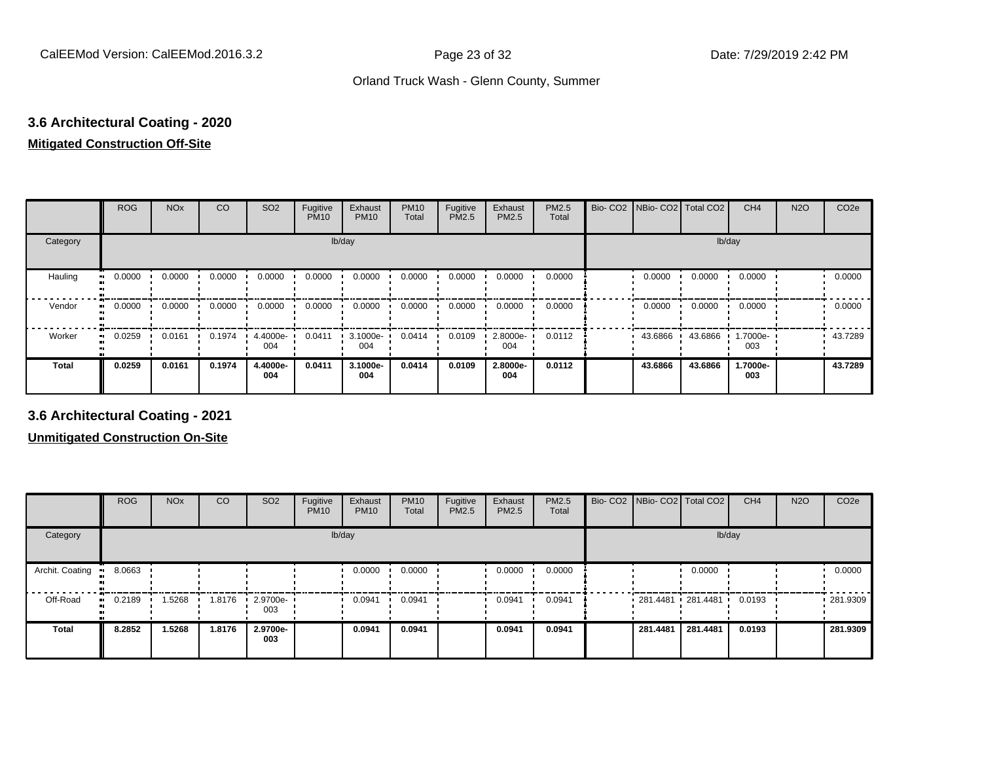## **3.6 Architectural Coating - 2020 Mitigated Construction Off-Site**

|                      | <b>ROG</b> | <b>NO<sub>x</sub></b> | CO     | SO <sub>2</sub> | Fugitive<br><b>PM10</b> | Exhaust<br><b>PM10</b> | <b>PM10</b><br>Total | Fugitive<br>PM2.5 | Exhaust<br>PM2.5 | PM2.5<br>Total | Bio- CO2   NBio- CO2   Total CO2 |         | CH <sub>4</sub> | <b>N2O</b> | CO <sub>2e</sub> |
|----------------------|------------|-----------------------|--------|-----------------|-------------------------|------------------------|----------------------|-------------------|------------------|----------------|----------------------------------|---------|-----------------|------------|------------------|
| Category             |            |                       |        |                 | lb/day                  |                        |                      |                   |                  |                |                                  | lb/day  |                 |            |                  |
| Hauling<br>$\bullet$ | 0.0000     | 0.0000                | 0.0000 | 0.0000          | 0.0000                  | 0.0000                 | 0.0000               | 0.0000            | 0.0000           | 0.0000         | 0.0000                           | 0.0000  | 0.0000          |            | 0.0000           |
| Vendor               | 0.0000     | 0.0000                | 0.0000 | 0.0000          | 0.0000                  | 0.0000                 | 0.0000               | 0.0000            | 0.0000           | 0.0000         | 0.0000                           | 0.0000  | 0.0000          |            | 0.0000           |
| Worker               | 0.0259     | 0.0161                | 0.1974 | 4.4000e-<br>004 | 0.0411                  | 3.1000e-<br>004        | 0.0414               | 0.0109            | 2.8000e-<br>004  | 0.0112         | 43.6866                          | 43.6866 | 1.7000e-<br>003 |            | 43.7289          |
| Total                | 0.0259     | 0.0161                | 0.1974 | 4.4000e-<br>004 | 0.0411                  | 3.1000e-<br>004        | 0.0414               | 0.0109            | 2.8000e-<br>004  | 0.0112         | 43.6866                          | 43.6866 | 1.7000e-<br>003 |            | 43.7289          |

**3.6 Architectural Coating - 2021**

|                 | <b>ROG</b>          | <b>NO<sub>x</sub></b> | CO     | SO <sub>2</sub>                 | Fugitive<br><b>PM10</b> | Exhaust<br><b>PM10</b> | <b>PM10</b><br>Total | Fugitive<br><b>PM2.5</b> | Exhaust<br>PM2.5 | PM2.5<br>Total | Bio- CO2 NBio- CO2 Total CO2 |          | CH <sub>4</sub> | <b>N2O</b> | CO <sub>2e</sub> |
|-----------------|---------------------|-----------------------|--------|---------------------------------|-------------------------|------------------------|----------------------|--------------------------|------------------|----------------|------------------------------|----------|-----------------|------------|------------------|
| Category        |                     |                       |        |                                 |                         | lb/day                 |                      |                          |                  |                |                              | lb/day   |                 |            |                  |
| Archit. Coating | 8.0663              |                       |        |                                 |                         | 0.0000                 | 0.0000               |                          | 0.0000           | 0.0000         |                              | 0.0000   |                 |            | 0.0000           |
| Off-Road        | 0.2189<br>$\bullet$ | 1.5268                | 1.8176 | $\cdot$ 2.9700e- $\cdot$<br>003 |                         | 0.0941                 | 0.0941               |                          | 0.0941           | 0.0941         | 281.4481 281.4481 '          |          | 0.0193          |            | 281.9309         |
| <b>Total</b>    | 8.2852              | 1.5268                | 1.8176 | 2.9700e-<br>003                 |                         | 0.0941                 | 0.0941               |                          | 0.0941           | 0.0941         | 281.4481                     | 281.4481 | 0.0193          |            | 281.9309         |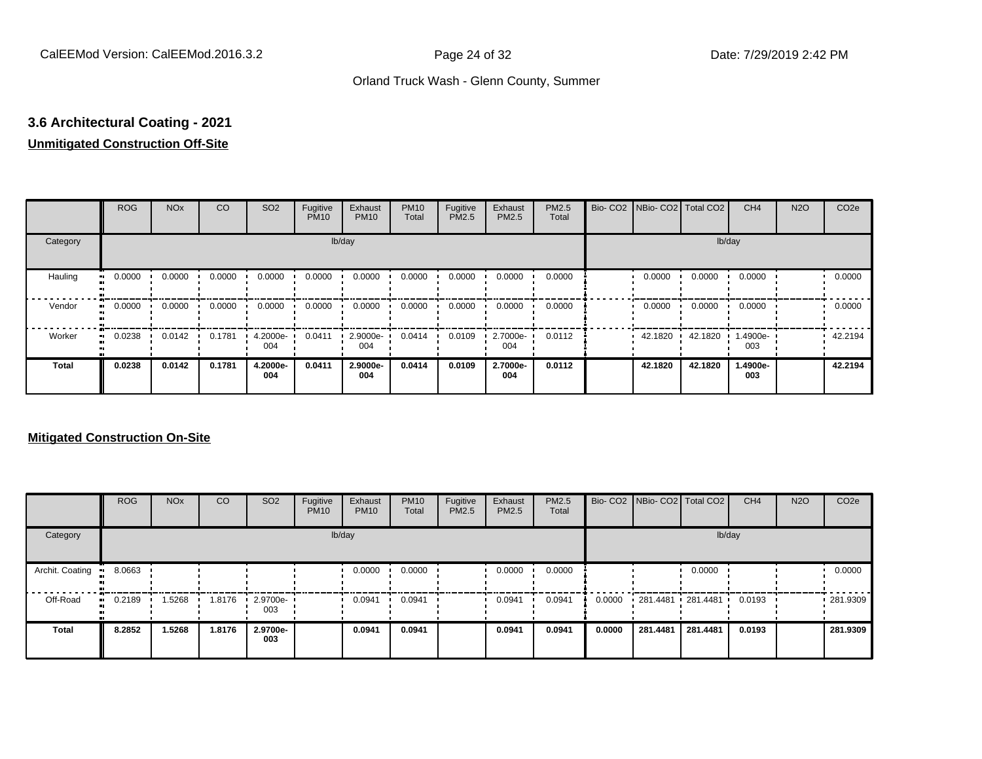# **3.6 Architectural Coating - 2021**

## **Unmitigated Construction Off-Site**

|                     | <b>ROG</b> | <b>NO<sub>x</sub></b> | CO     | SO <sub>2</sub> | Fugitive<br><b>PM10</b> | Exhaust<br><b>PM10</b> | <b>PM10</b><br>Total | Fugitive<br>PM2.5 | Exhaust<br>PM2.5 | PM2.5<br>Total | Bio- CO2   NBio- CO2   Total CO2 |         | CH <sub>4</sub> | <b>N2O</b> | CO <sub>2e</sub> |
|---------------------|------------|-----------------------|--------|-----------------|-------------------------|------------------------|----------------------|-------------------|------------------|----------------|----------------------------------|---------|-----------------|------------|------------------|
| Category            |            |                       |        |                 | lb/day                  |                        |                      |                   |                  |                |                                  | lb/day  |                 |            |                  |
| Hauling<br>œ        | 0.0000     | 0.0000                | 0.0000 | 0.0000          | 0.0000                  | 0.0000                 | 0.0000               | 0.0000            | 0.0000           | 0.0000         | 0.0000                           | 0.0000  | 0.0000          |            | 0.0000           |
| Vendor<br>$\bullet$ | 0.0000     | 0.0000                | 0.0000 | 0.0000          | 0.0000                  | 0.0000                 | 0.0000               | 0.0000            | 0.0000           | 0.0000         | 0.0000                           | 0.0000  | 0.0000          |            | 0.0000           |
| Worker<br>$\bullet$ | 0.0238     | 0.0142                | 0.1781 | 4.2000e-<br>004 | 0.0411                  | 2.9000e-<br>004        | 0.0414               | 0.0109            | 2.7000e-<br>004  | 0.0112         | 42.1820                          | 42.1820 | 1.4900e-<br>003 |            | 42.2194          |
| <b>Total</b>        | 0.0238     | 0.0142                | 0.1781 | 4.2000e-<br>004 | 0.0411                  | 2.9000e-<br>004        | 0.0414               | 0.0109            | 2.7000e-<br>004  | 0.0112         | 42.1820                          | 42.1820 | 1.4900e-<br>003 |            | 42.2194          |

|                 | <b>ROG</b>   | <b>NO<sub>x</sub></b> | CO     | SO <sub>2</sub> | Fugitive<br><b>PM10</b> | Exhaust<br><b>PM10</b> | <b>PM10</b><br>Total | Fugitive<br><b>PM2.5</b> | Exhaust<br><b>PM2.5</b> | <b>PM2.5</b><br>Total |        |                   | Bio- CO2   NBio- CO2   Total CO2 | CH <sub>4</sub> | <b>N2O</b> | CO <sub>2e</sub> |
|-----------------|--------------|-----------------------|--------|-----------------|-------------------------|------------------------|----------------------|--------------------------|-------------------------|-----------------------|--------|-------------------|----------------------------------|-----------------|------------|------------------|
| Category        |              |                       |        |                 |                         | lb/day                 |                      |                          |                         |                       |        |                   | lb/day                           |                 |            |                  |
| Archit. Coating | 8.0663       |                       |        |                 |                         | 0.0000                 | 0.0000               |                          | 0.0000                  | 0.0000                |        |                   | 0.0000                           |                 |            | 0.0000           |
| Off-Road        | 0.2189<br>ш. | 1.5268                | 1.8176 | 2.9700e-<br>003 |                         | 0.0941                 | 0.0941               |                          | 0.0941                  | 0.0941                | 0.0000 | 281.4481 281.4481 |                                  | 0.0193          |            | .281.9309        |
| <b>Total</b>    | 8.2852       | 1.5268                | 1.8176 | 2.9700e-<br>003 |                         | 0.0941                 | 0.0941               |                          | 0.0941                  | 0.0941                | 0.0000 | 281.4481          | 281.4481                         | 0.0193          |            | 281.9309         |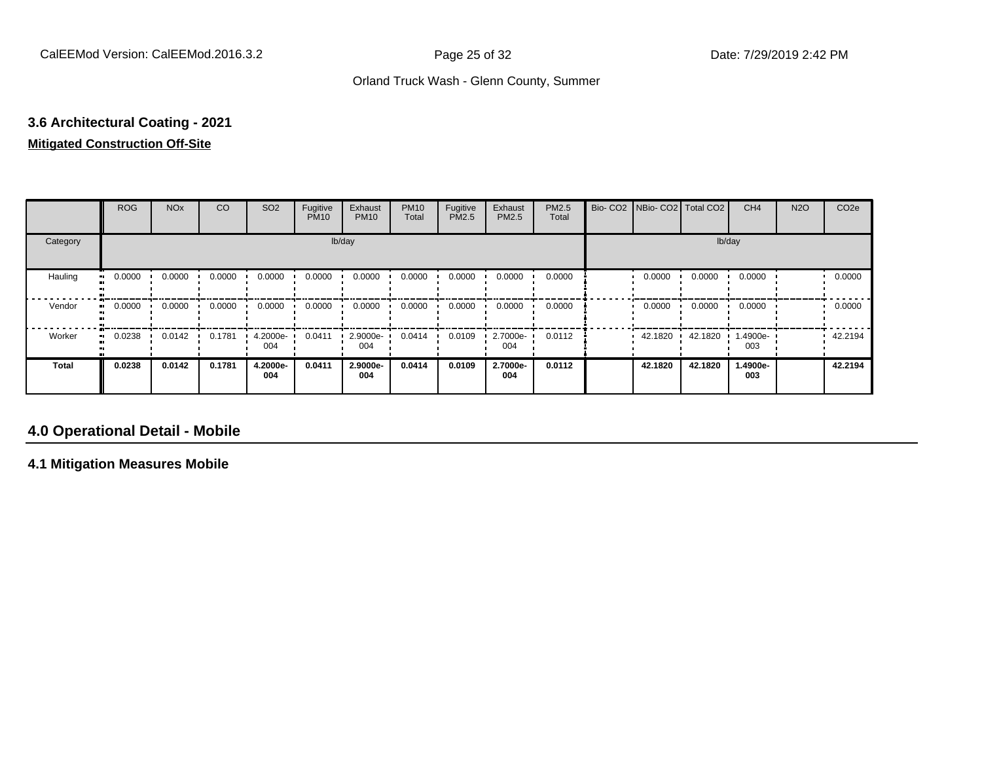## **3.6 Architectural Coating - 2021 Mitigated Construction Off-Site**

|              | <b>ROG</b> | <b>NO<sub>x</sub></b> | CO     | SO <sub>2</sub> | Fugitive<br><b>PM10</b> | Exhaust<br><b>PM10</b> | <b>PM10</b><br>Total | Fugitive<br><b>PM2.5</b> | Exhaust<br>PM2.5 | PM2.5<br>Total | Bio- CO2   NBio- CO2   Total CO2 |         | CH <sub>4</sub> | <b>N2O</b> | CO <sub>2e</sub> |
|--------------|------------|-----------------------|--------|-----------------|-------------------------|------------------------|----------------------|--------------------------|------------------|----------------|----------------------------------|---------|-----------------|------------|------------------|
| Category     |            |                       |        |                 |                         | lb/day                 |                      |                          |                  |                |                                  |         | lb/day          |            |                  |
| Hauling      | 0.0000     | 0.0000                | 0.0000 | 0.0000          | 0.0000                  | 0.0000                 | 0.0000               | 0.0000                   | 0.0000           | 0.0000         | 0.0000                           | 0.0000  | 0.0000          |            | 0.0000           |
| Vendor       | 0.0000     | 0.0000                | 0.0000 | 0.0000          | 0.0000                  | 0.0000                 | 0.0000               | 0.0000                   | 0.0000           | 0.0000         | 0.0000                           | 0.0000  | 0.0000          |            | 0.0000           |
| Worker       | 0.0238     | 0.0142                | 0.1781 | 4.2000e-<br>004 | 0.0411                  | 2.9000e-<br>004        | 0.0414               | 0.0109                   | 2.7000e-<br>004  | 0.0112         | 42.1820                          | 42.1820 | 1.4900e-<br>003 |            | 42.2194          |
| <b>Total</b> | 0.0238     | 0.0142                | 0.1781 | 4.2000e-<br>004 | 0.0411                  | 2.9000e-<br>004        | 0.0414               | 0.0109                   | 2.7000e-<br>004  | 0.0112         | 42.1820                          | 42.1820 | 1.4900e-<br>003 |            | 42.2194          |

## **4.0 Operational Detail - Mobile**

**4.1 Mitigation Measures Mobile**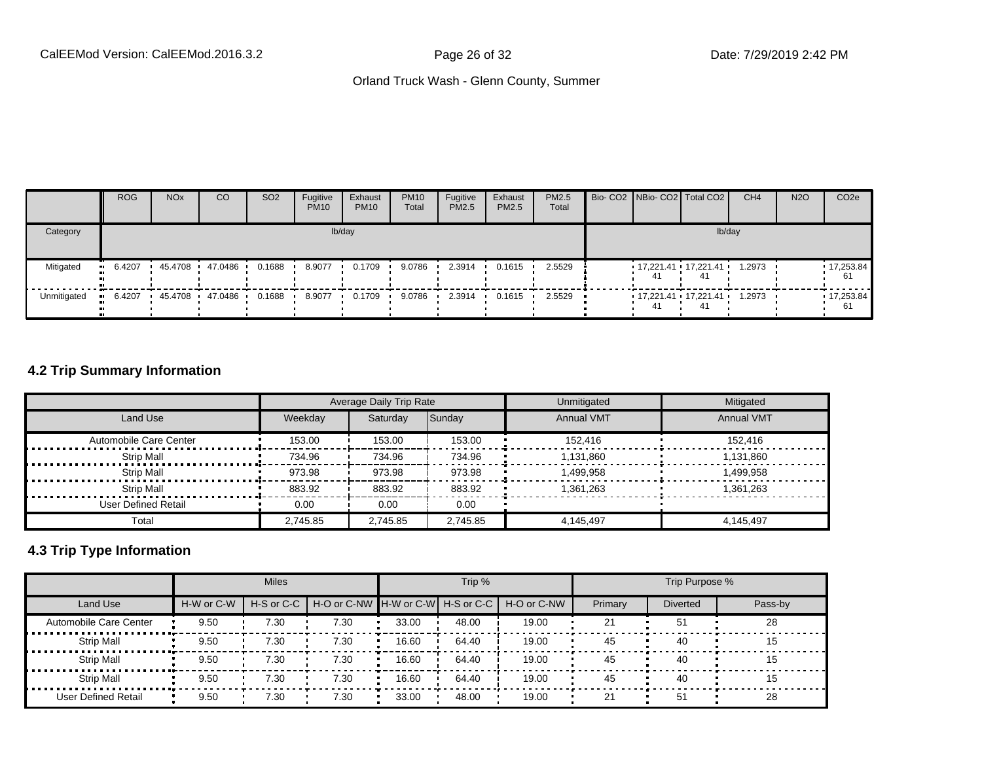|             | <b>ROG</b> | <b>NO<sub>x</sub></b> | CO      | SO <sub>2</sub> | Fugitive<br><b>PM10</b> | Exhaust<br><b>PM10</b> | <b>PM10</b><br>Total | Fugitive<br><b>PM2.5</b> | Exhaust<br>PM2.5 | <b>PM2.5</b><br>Total |    | Bio- CO2 NBio- CO2   Total CO2           | CH <sub>4</sub> | <b>N2O</b> | CO <sub>2e</sub>   |
|-------------|------------|-----------------------|---------|-----------------|-------------------------|------------------------|----------------------|--------------------------|------------------|-----------------------|----|------------------------------------------|-----------------|------------|--------------------|
| Category    |            |                       |         |                 |                         | lb/day                 |                      |                          |                  |                       |    | lb/day                                   |                 |            |                    |
| Mitigated   | 6.4207     | 45.4708               | 47.0486 | 0.1688          | 8.9077                  | 0.1709                 | 9.0786               | 2.3914                   | 0.1615           | 2.5529                | 41 | $17,221.41$ $17,221.41$ $1.2973$<br>41   |                 |            | 17,253.84<br>61    |
| Unmitigated | 6.4207     | 45.4708               | 47.0486 | 0.1688          | 8.9077                  | 0.1709                 | 9.0786               | 2.3914                   | 0.1615           | 2.5529                | 41 | $17.221.41 \cdot 17.221.41 \cdot 1.2973$ |                 |            | $-17,253.84$<br>61 |

### **4.2 Trip Summary Information**

|                        |          | Average Daily Trip Rate |          | Unmitigated       | Mitigated         |
|------------------------|----------|-------------------------|----------|-------------------|-------------------|
| Land Use               | Weekday  | Saturday                | Sunday   | <b>Annual VMT</b> | <b>Annual VMT</b> |
| Automobile Care Center | 153.00   | 153.00                  | 153.00   | 152.416           | 152.416           |
| Strip Mall             | 734.96   | 734.96                  | 734.96   | 1.131.860         | 1.131.860         |
| <b>Strip Mall</b>      | 973.98   | 973.98                  | 973.98   | 1.499.958         | 1.499.958         |
| Strip Mall             | 883.92   | 883.92                  | 883.92   | 1,361,263         | 1,361,263         |
| User Defined Retail    | 0.00     | 0.00                    | 0.00     |                   |                   |
| Total                  | 2.745.85 | 2,745.85                | 2,745.85 | 4.145.497         | 4.145.497         |

## **4.3 Trip Type Information**

|                             |            | <b>Miles</b>   |                                   |       | Trip % |             |         | Trip Purpose %  |         |
|-----------------------------|------------|----------------|-----------------------------------|-------|--------|-------------|---------|-----------------|---------|
| <b>Land Use</b>             | H-W or C-W | $H-S$ or $C-C$ | H-O or C-NW H-W or C-W H-S or C-C |       |        | H-O or C-NW | Primary | <b>Diverted</b> | Pass-by |
| Automobile Care Center      | 9.50       | 7.30           | 7.30                              | 33.00 | 48.00  | 19.00       | 21      | 51              | 28      |
| <b>Strip Mall</b>           | 9.50       | 7.30           | 7.30                              | 16.60 | 64.40  | 19.00       | 45      | 40              | 15      |
| ------<br><b>Strip Mall</b> | 9.50       | 7.30           | 7.30                              | 16.60 | 64.40  | 19.00       | 45      | 40              | 15      |
| <b>Strip Mall</b>           | 9.50       | 7.30           | 7.30                              | 16.60 | 64.40  | 19.00       | 45      | 40              | 15      |
| User Defined Retail         | 9.50       | 7.30           | 7.30                              | 33.00 | 48.00  | 19.00       | 21      | 51              | 28      |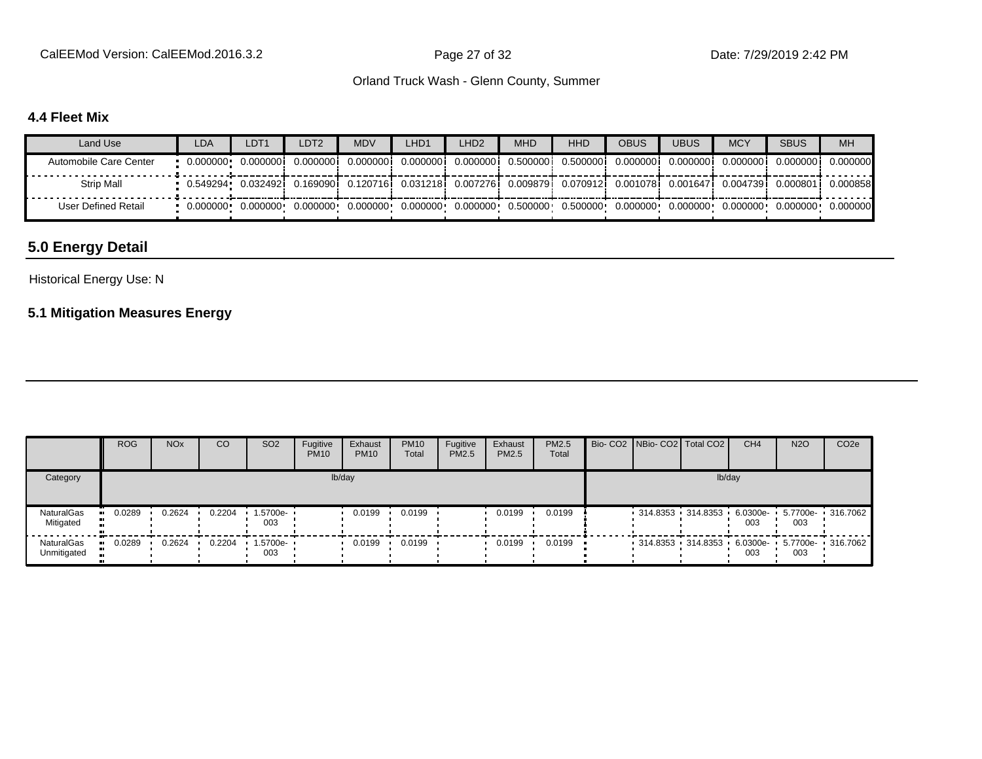CalEEMod Version: CalEEMod.2016.3.2 example 27 of 32 Date: 7/29/2019 2:42 PM

#### Orland Truck Wash - Glenn County, Summer

### **4.4 Fleet Mix**

| Land Use               | <b>LDA</b> | LDT <sub>1</sub>                                                                                                                 | LDT2      | <b>MDV</b>          | LHD1 | LHD <sub>2</sub> | <b>MHD</b> | <b>HHD</b>                                                                                  | OBUS       | <b>UBUS</b> | <b>MCY</b> | <b>SBUS</b>                      | <b>MH</b>          |
|------------------------|------------|----------------------------------------------------------------------------------------------------------------------------------|-----------|---------------------|------|------------------|------------|---------------------------------------------------------------------------------------------|------------|-------------|------------|----------------------------------|--------------------|
| Automobile Care Center |            |                                                                                                                                  |           | 0.000000i 0.000000i |      |                  |            | 0.0000001 0.0000001 0.5000001 0.5000001                                                     | 0.000000 i | 0.000000    | 0.000000   |                                  | 0.0000001 0.000000 |
| Strip Mall             |            | 0.549294• 0.032492; 0.169090; 0.120716; 0.031218; 0.007276; 0.009879; 0.070912; 0.001078; 0.001647; 0.004739; 0.000801; 0.000858 |           |                     |      |                  |            |                                                                                             |            |             |            |                                  |                    |
| User Defined Retail    |            | 0.000000   0.000000                                                                                                              | 0.000000+ | $0.000000 \cdot$    |      |                  |            | $0.000000 \cdot 0.000000 \cdot 0.500000 \cdot 0.500000 \cdot 0.000000 \cdot 0.000000 \cdot$ |            |             |            | $0.000000$ $0.000000$ $0.000000$ |                    |

## **5.0 Energy Detail**

#### Historical Energy Use: N

## **5.1 Mitigation Measures Energy**

|                           | <b>ROG</b> | <b>NO<sub>x</sub></b> | CO     | SO <sub>2</sub>                 | Fugitive<br><b>PM10</b> | Exhaust<br><b>PM10</b> | <b>PM10</b><br>Total | Fugitive<br>PM2.5 | Exhaust<br><b>PM2.5</b> | PM2.5<br>Total |  | Bio- CO2 NBio- CO2 Total CO2                 | CH <sub>4</sub> | <b>N2O</b> | CO <sub>2e</sub> |
|---------------------------|------------|-----------------------|--------|---------------------------------|-------------------------|------------------------|----------------------|-------------------|-------------------------|----------------|--|----------------------------------------------|-----------------|------------|------------------|
| Category                  |            |                       |        |                                 |                         | lb/day                 |                      |                   |                         |                |  | lb/day                                       |                 |            |                  |
| NaturalGas<br>Mitigated   | 0.0289     | 0.2624                | 0.2204 | $1.5700e -$<br>003              |                         | 0.0199                 | 0.0199               |                   | 0.0199                  | 0.0199         |  | 314.8353 314.8353 6.0300e- 5.7700e- 316.7062 | 003             | 003        |                  |
| NaturalGas<br>Unmitigated | 0.0289     | 0.2624                | 0.2204 | $\cdot$ 1.5700e- $\cdot$<br>003 |                         | 0.0199                 | 0.0199               |                   | 0.0199                  | 0.0199         |  | 314.8353 314.8353 6.0300e- 5.7700e- 316.7062 | 003             | 003        |                  |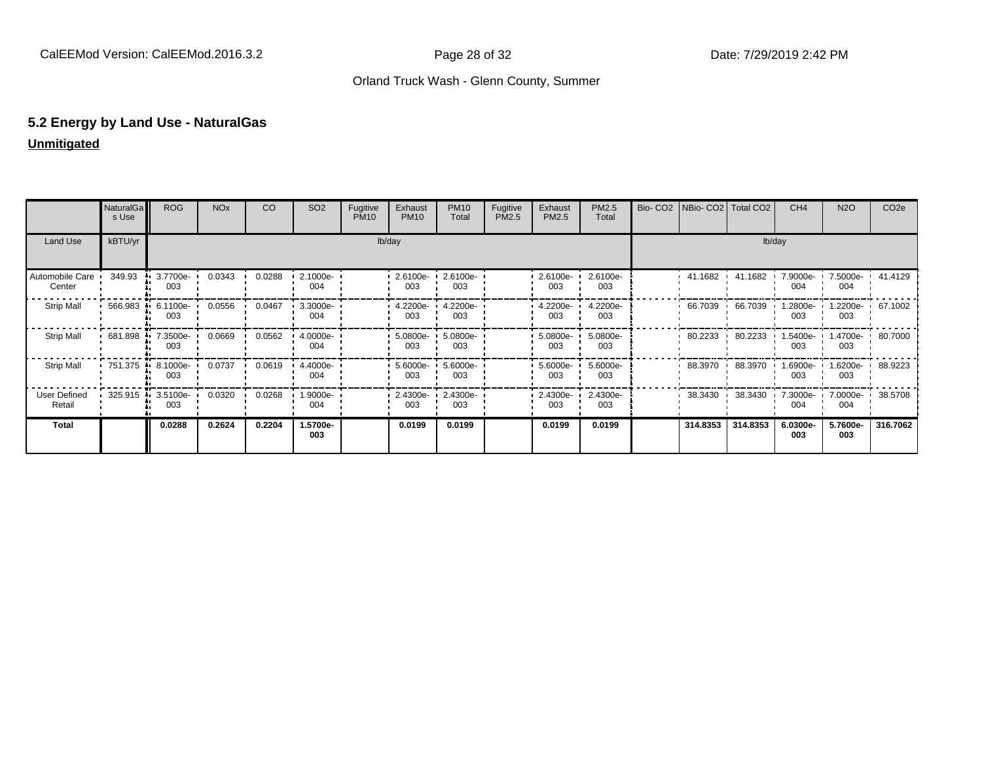#### **5.2 Energy by Land Use - NaturalGas Unmitigated**

|  | Unmitigated |  |  |  |  |
|--|-------------|--|--|--|--|
|  |             |  |  |  |  |

|                               | <b>NaturalGa</b><br>s Use | <b>ROG</b>         | <b>NO<sub>x</sub></b> | CO     | SO <sub>2</sub>    | Fugitive<br><b>PM10</b> | Exhaust<br><b>PM10</b> | <b>PM10</b><br>Total | Fugitive<br>PM2.5 | Exhaust<br>PM2.5 | PM2.5<br>Total  | Bio- CO2   NBio- CO2   Total CO2 |          | CH <sub>4</sub> | <b>N2O</b>                | CO <sub>2e</sub> |
|-------------------------------|---------------------------|--------------------|-----------------------|--------|--------------------|-------------------------|------------------------|----------------------|-------------------|------------------|-----------------|----------------------------------|----------|-----------------|---------------------------|------------------|
| Land Use                      | kBTU/yr                   |                    |                       |        |                    |                         | lb/day                 |                      |                   |                  |                 |                                  | lb/day   |                 |                           |                  |
| Automobile Care<br>Center     | 349.93                    | 3.7700e-<br>003    | 0.0343                | 0.0288 | 2.1000e-<br>004    |                         | 2.6100e-<br>003        | 2.6100e-<br>003      |                   | 2.6100e-<br>003  | 2.6100e-<br>003 | 41.1682                          | 41.1682  | 7.9000e-<br>004 | 7.5000e- ·<br>004         | 41.4129          |
| <b>Strip Mall</b>             | 566.983                   | $6.1100e -$<br>003 | 0.0556                | 0.0467 | $3.3000e -$<br>004 |                         | 4.2200e-<br>003        | 4.2200e-<br>003      |                   | 4.2200e-<br>003  | 4.2200e-<br>003 | 66.7039                          | 66.7039  | .2800e-<br>003  | 003                       | .2200e- 67.1002  |
| <b>Strip Mall</b>             | 681.898                   | 7.3500e-<br>003    | 0.0669                | 0.0562 | 4.0000e-<br>004    |                         | 5.0800e-<br>003        | 5.0800e-<br>003      |                   | 5.0800e-<br>003  | 5.0800e-<br>003 | 80.2233                          | 80.2233  | .5400e-<br>003  | 003                       | 1.4700e- 80.7000 |
| <b>Strip Mall</b>             | $-751.375$                | 8.1000e-<br>003    | 0.0737                | 0.0619 | 4.4000e-<br>004    |                         | $5.6000e-$<br>003      | 5.6000e-<br>003      |                   | 5.6000e-<br>003  | 5.6000e-<br>003 | 88.3970                          | 88.3970  | 1.6900e-<br>003 | 1.6200e-<br>003           | 88.9223          |
| <b>User Defined</b><br>Retail | 325.915 ·                 | $3.5100e -$<br>003 | 0.0320                | 0.0268 | $1.9000e -$<br>004 |                         | 2.4300e-<br>003        | 2.4300e-<br>003      |                   | 2.4300e-<br>003  | 2.4300e-<br>003 | 38.3430                          | 38.3430  | 7.3000e-<br>004 | 7.0000e- 1 38.5708<br>004 |                  |
| <b>Total</b>                  |                           | 0.0288             | 0.2624                | 0.2204 | 1.5700e-<br>003    |                         | 0.0199                 | 0.0199               |                   | 0.0199           | 0.0199          | 314.8353                         | 314.8353 | 6.0300e-<br>003 | 5.7600e-<br>003           | 316.7062         |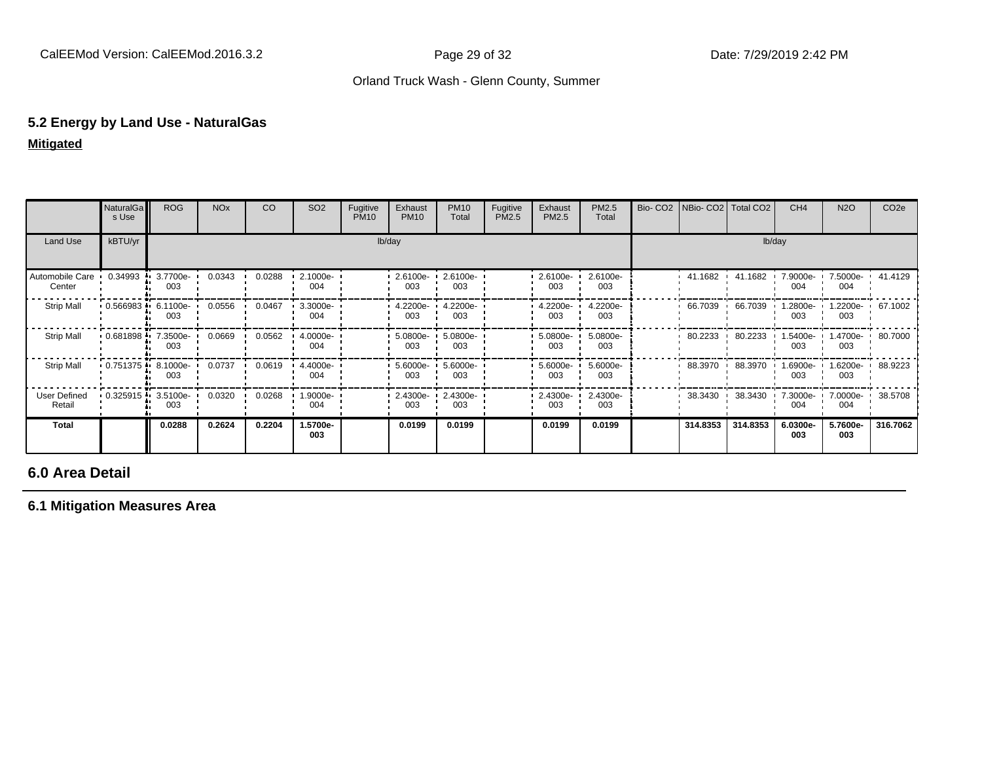# **5.2 Energy by Land Use - NaturalGas**

| <b>Mitigated</b> |  |
|------------------|--|
|------------------|--|

|                                   | NaturalGa<br>s Use | <b>ROG</b>         | <b>NO<sub>x</sub></b> | CO     | SO <sub>2</sub> | Fugitive<br><b>PM10</b> | Exhaust<br><b>PM10</b> | <b>PM10</b><br>Total | Fugitive<br>PM2.5 | Exhaust<br>PM2.5 | PM2.5<br>Total  | Bio- CO2   NBio- CO2   Total CO2 |          | CH <sub>4</sub>      | <b>N2O</b>                | CO <sub>2e</sub>   |
|-----------------------------------|--------------------|--------------------|-----------------------|--------|-----------------|-------------------------|------------------------|----------------------|-------------------|------------------|-----------------|----------------------------------|----------|----------------------|---------------------------|--------------------|
| Land Use                          | kBTU/yr            |                    |                       |        |                 |                         | lb/day                 |                      |                   |                  |                 |                                  | lb/day   |                      |                           |                    |
| Automobile Care 0.34993<br>Center |                    | 3.7700e-<br>003    | 0.0343                | 0.0288 | 2.1000e-<br>004 |                         | $-2.6100e -$<br>003    | 2.6100e-<br>003      |                   | 2.6100e-<br>003  | 2.6100e-<br>003 | 41.1682                          | 41.1682  | 7.9000e-<br>004      | 7.5000e- 1 41.4129<br>004 |                    |
| <b>Strip Mall</b>                 | 0.566983           | 6.1100e-<br>003    | 0.0556                | 0.0467 | 3.3000e-<br>004 |                         | 4.2200e-<br>003        | 4.2200e-<br>003      |                   | 4.2200e-<br>003  | 4.2200e-<br>003 | 66.7039                          | 66.7039  | .2800e-<br>003       | .2200e-<br>003            | 67.1002            |
| <b>Strip Mall</b>                 | 0.681898           | 7.3500e-<br>003    | 0.0669                | 0.0562 | 4.0000e-<br>004 |                         | 5.0800e-<br>003        | 5.0800e-<br>003      |                   | 5.0800e-<br>003  | 5.0800e-<br>003 | 80.2233                          | 80.2233  | $1.5400e - 1$<br>003 | 1.4700e- 1 80.7000<br>003 |                    |
| <b>Strip Mall</b>                 | 0.751375           | $8.1000e -$<br>003 | 0.0737                | 0.0619 | 4.4000e-<br>004 |                         | 5.6000e-<br>003        | 5.6000e-<br>003      |                   | 5.6000e-<br>003  | 5.6000e-<br>003 | 88.3970                          | 88.3970  | --6900e.l<br>003     | 003                       | 1.6200e- 1 88.9223 |
| <b>User Defined</b><br>Retail     | 0.325915           | $3.5100e -$<br>003 | 0.0320                | 0.0268 | 1.9000e-<br>004 |                         | 2.4300e-<br>003        | 2.4300e-<br>003      |                   | 2.4300e-<br>003  | 2.4300e-<br>003 | 38.3430                          | 38.3430  | 7.3000e-<br>004      | 7.0000e- '<br>004         | 38.5708            |
| Total                             |                    | 0.0288             | 0.2624                | 0.2204 | 1.5700e-<br>003 |                         | 0.0199                 | 0.0199               |                   | 0.0199           | 0.0199          | 314.8353                         | 314.8353 | 6.0300e-<br>003      | 5.7600e-<br>003           | 316.7062           |

## **6.0 Area Detail**

**6.1 Mitigation Measures Area**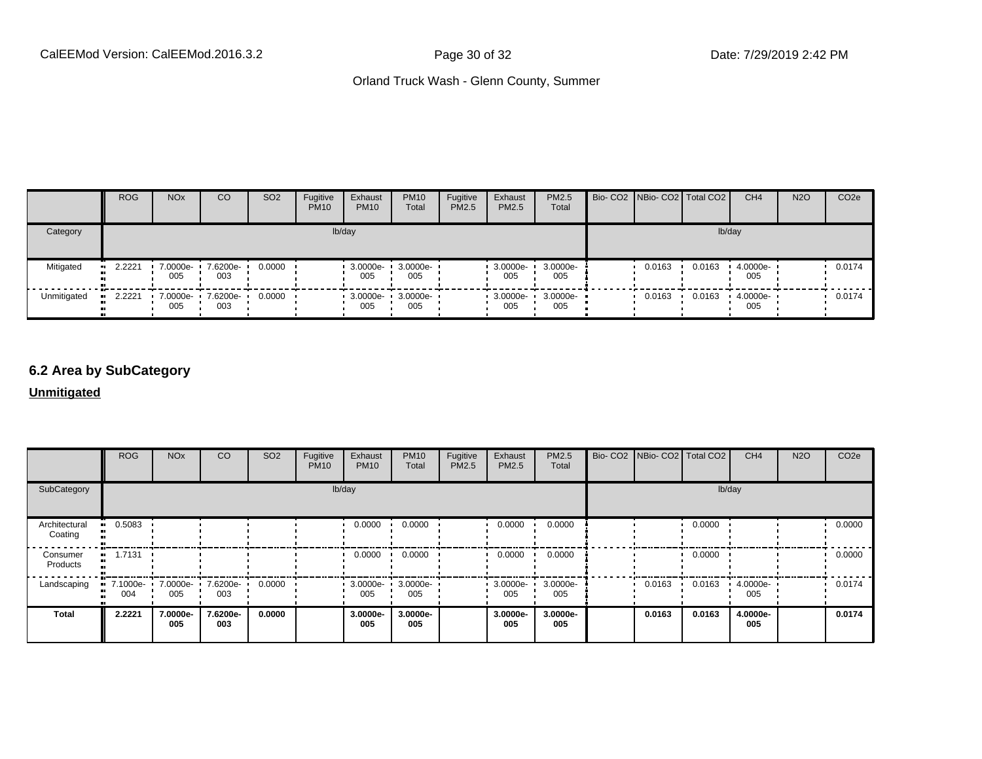|             | <b>ROG</b> | <b>NO<sub>x</sub></b> | CO                       | SO <sub>2</sub> | Fugitive<br><b>PM10</b> | Exhaust<br><b>PM10</b>        | <b>PM10</b><br>Total | Fugitive<br>PM2.5 | Exhaust<br>PM2.5 | <b>PM2.5</b><br>Total      | Bio- CO2   NBio- CO2   Total CO2 |        | CH <sub>4</sub> | <b>N2O</b> | CO <sub>2</sub> e |
|-------------|------------|-----------------------|--------------------------|-----------------|-------------------------|-------------------------------|----------------------|-------------------|------------------|----------------------------|----------------------------------|--------|-----------------|------------|-------------------|
| Category    | lb/day     |                       |                          |                 |                         |                               |                      |                   |                  |                            |                                  |        | lb/day          |            |                   |
| Mitigated   | $-2.2221$  | 7.0000e-<br>005       | 7.6200e-<br>003          | 0.0000          |                         | $3.0000e - 1$<br>005          | 3.0000e-<br>005      |                   | 3.0000e-<br>005  | 3.0000e-<br>005            | 0.0163                           | 0.0163 | 4.0000e-<br>005 |            | 0.0174            |
| Unmitigated | $-2.2221$  | 005                   | 7.0000e- 7.6200e-<br>003 | 0.0000          |                         | $-3.0000e - 3.0000e -$<br>005 | 005                  |                   | 005              | $3.0000e - 3.0000e$<br>005 | 0.0163                           | 0.0163 | 4.0000e-<br>005 |            | 0.0174            |

## **6.2 Area by SubCategory**

#### **Unmitigated**

|                          | <b>ROG</b>                     | <b>NO<sub>x</sub></b> | CO              | SO <sub>2</sub> | Fugitive<br><b>PM10</b> | Exhaust<br><b>PM10</b> | <b>PM10</b><br>Total     | Fugitive<br>PM2.5 | Exhaust<br><b>PM2.5</b> | PM2.5<br>Total  |  | Bio- CO2   NBio- CO2   Total CO2 |        | CH <sub>4</sub> | <b>N2O</b> | CO <sub>2e</sub> |
|--------------------------|--------------------------------|-----------------------|-----------------|-----------------|-------------------------|------------------------|--------------------------|-------------------|-------------------------|-----------------|--|----------------------------------|--------|-----------------|------------|------------------|
| SubCategory              |                                | lb/day                |                 |                 |                         |                        |                          |                   |                         |                 |  |                                  |        | lb/day          |            |                  |
| Architectural<br>Coating | $-0.5083$                      |                       |                 |                 |                         | 0.0000                 | 0.0000                   |                   | 0.0000                  | 0.0000          |  |                                  | 0.0000 |                 |            | 0.0000           |
| Consumer<br>Products     | $-1.7131$                      |                       |                 |                 |                         | 0.0000                 | 0.0000                   |                   | 0.0000                  | 0.0000          |  |                                  | 0.0000 |                 |            | 0.0000           |
| Landscaping              | 7.1000e 7.0000e 7.6200e<br>004 | 005                   | 003             | 0.0000          |                         | 005                    | 3.0000e- 3.0000e-<br>005 |                   | $-3.0000e - 1$<br>005   | 3.0000e-<br>005 |  | 0.0163                           | 0.0163 | 4.0000e-<br>005 |            | 0.0174           |
| <b>Total</b>             | 2.2221                         | 7.0000e-<br>005       | 7.6200e-<br>003 | 0.0000          |                         | 3.0000e-<br>005        | 3.0000e-<br>005          |                   | 3.0000e-<br>005         | 3.0000e-<br>005 |  | 0.0163                           | 0.0163 | 4.0000e-<br>005 |            | 0.0174           |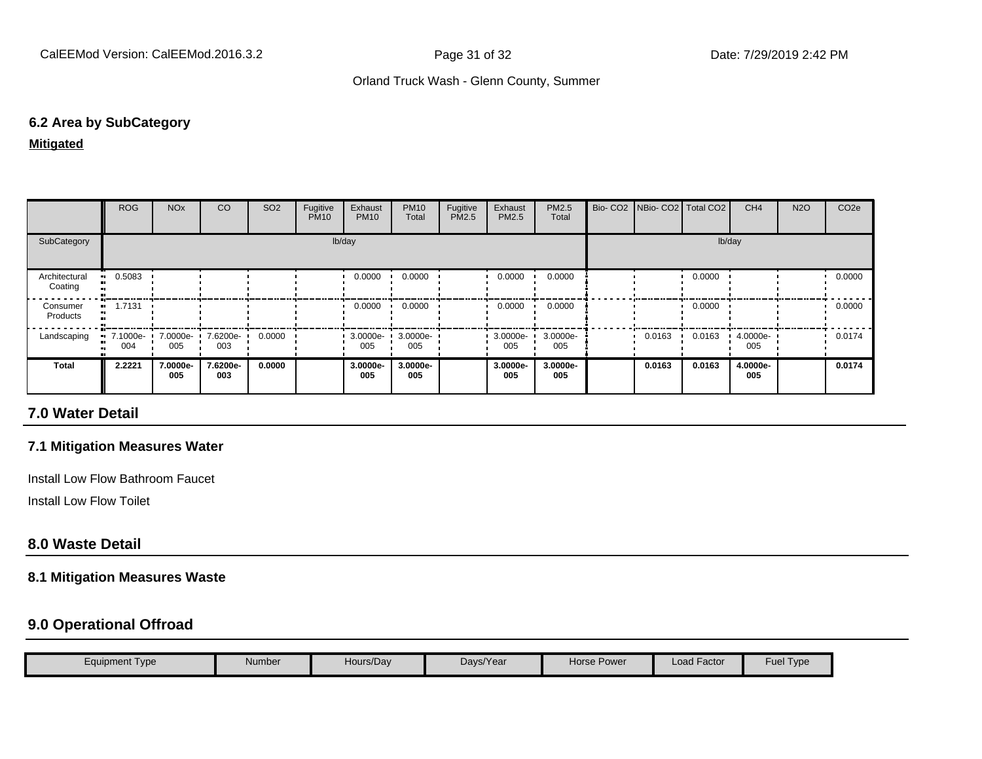#### **6.2 Area by SubCategory**

#### **Mitigated**

|                          | <b>ROG</b>      | <b>NO<sub>x</sub></b> | <sub>CO</sub>   | SO <sub>2</sub> | Fugitive<br><b>PM10</b> | Exhaust<br><b>PM10</b> | <b>PM10</b><br>Total | Fugitive<br>PM2.5 | Exhaust<br>PM2.5 | <b>PM2.5</b><br>Total | Bio- CO2   NBio- CO2   Total CO2 |        | CH <sub>4</sub> | <b>N2O</b> | CO <sub>2e</sub> |
|--------------------------|-----------------|-----------------------|-----------------|-----------------|-------------------------|------------------------|----------------------|-------------------|------------------|-----------------------|----------------------------------|--------|-----------------|------------|------------------|
| SubCategory              |                 |                       |                 |                 |                         | lb/day                 |                      |                   |                  |                       |                                  |        | lb/day          |            |                  |
| Architectural<br>Coating | 0.5083          |                       |                 |                 |                         | 0.0000                 | 0.0000               |                   | 0.0000           | 0.0000                |                                  | 0.0000 |                 |            | 0.0000           |
| Consumer<br>Products     | 1.7131          |                       |                 |                 |                         | 0.0000                 | 0.0000               |                   | 0.0000           | 0.0000                |                                  | 0.0000 |                 |            | 0.0000           |
| Landscaping              | 7.1000e-<br>004 | 7.0000e-<br>005       | 7.6200e-<br>003 | 0.0000          |                         | $3.0000e - 1$<br>005   | 3.0000e-<br>005      |                   | 3.0000e-<br>005  | 3.0000e-<br>005       | 0.0163                           | 0.0163 | 4.0000e-<br>005 |            | 0.0174           |
| <b>Total</b>             | 2.2221          | 7.0000e-<br>005       | 7.6200e-<br>003 | 0.0000          |                         | 3.0000e-<br>005        | 3.0000e-<br>005      |                   | 3.0000e-<br>005  | 3.0000e-<br>005       | 0.0163                           | 0.0163 | 4.0000e-<br>005 |            | 0.0174           |

#### **7.0 Water Detail**

#### **7.1 Mitigation Measures Water**

Install Low Flow Bathroom Faucet

Install Low Flow Toilet

#### **8.0 Waste Detail**

#### **8.1 Mitigation Measures Waste**

### **9.0 Operational Offroad**

| Equipment Type | Number | Hours/Day | Days/Year | Horse Power | Load Factor | Fuel<br>Type |
|----------------|--------|-----------|-----------|-------------|-------------|--------------|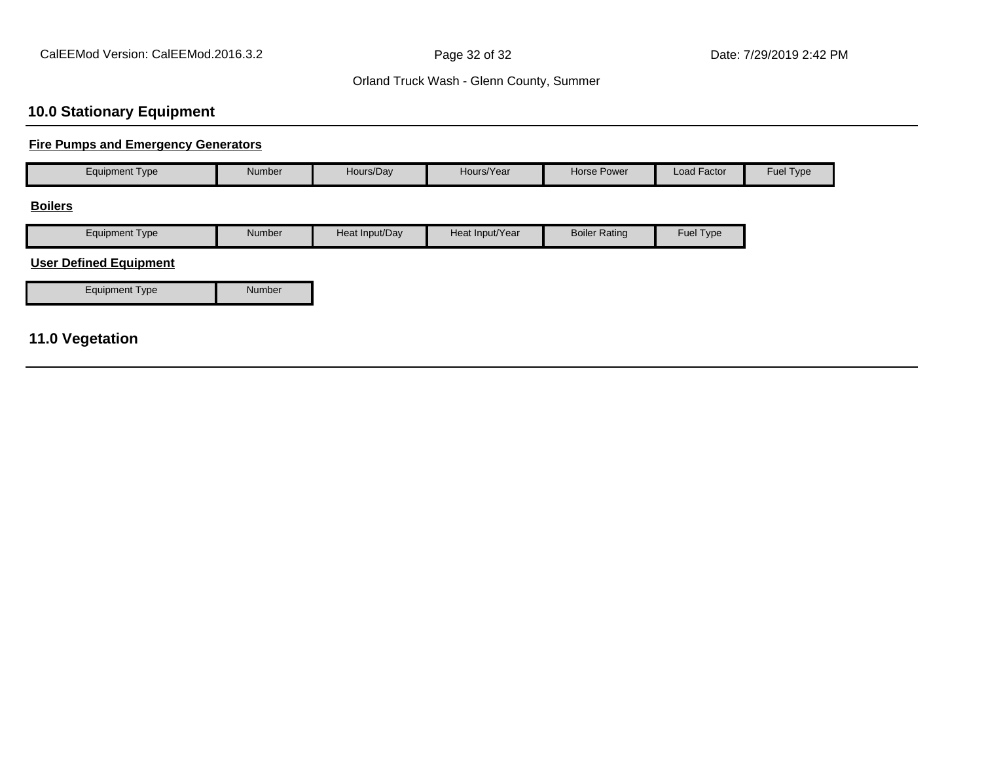# **10.0 Stationary Equipment**

## **Fire Pumps and Emergency Generators**

| <b>Equipment Type</b>         | Number | Hours/Day      | Hours/Year      | <b>Horse Power</b>   | Load Factor | Fuel Type |
|-------------------------------|--------|----------------|-----------------|----------------------|-------------|-----------|
| <b>Boilers</b>                |        |                |                 |                      |             |           |
| <b>Equipment Type</b>         | Number | Heat Input/Day | Heat Input/Year | <b>Boiler Rating</b> | Fuel Type   |           |
| <b>User Defined Equipment</b> |        |                |                 |                      |             |           |
| Equipment Type                | Number |                |                 |                      |             |           |
|                               |        |                |                 |                      |             |           |
| <b>11.0 Vegetation</b>        |        |                |                 |                      |             |           |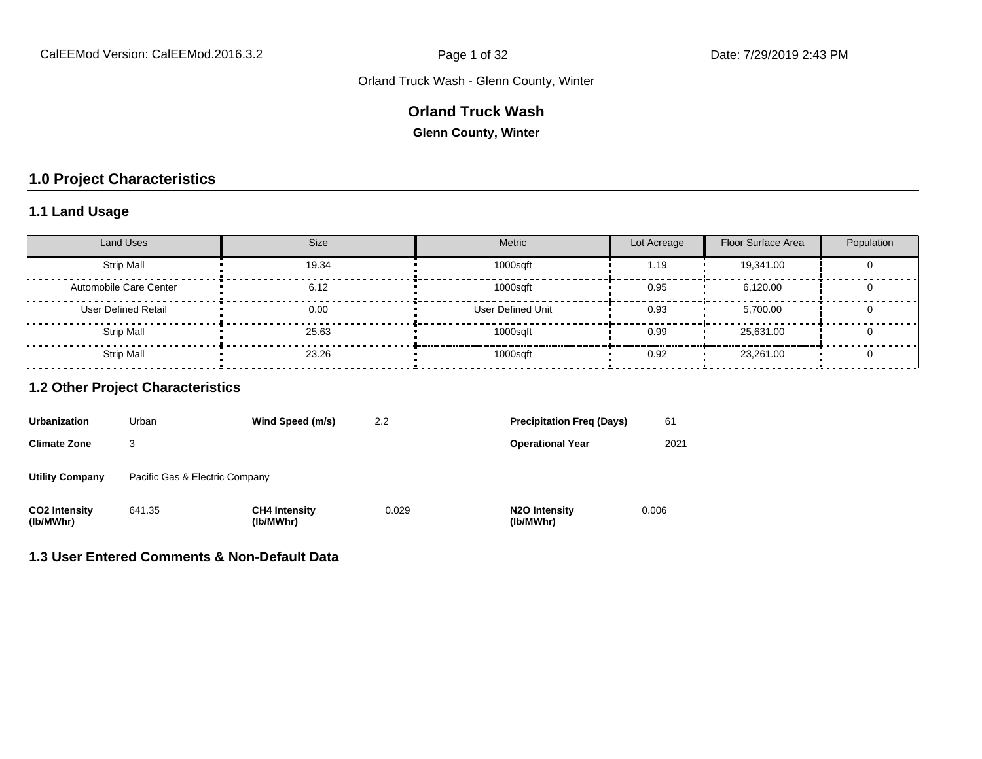### **Orland Truck Wash**

**Glenn County, Winter**

## **1.0 Project Characteristics**

## **1.1 Land Usage**

| <b>Land Uses</b>           | <b>Size</b> | Metric                   | Lot Acreage | Floor Surface Area | Population |
|----------------------------|-------------|--------------------------|-------------|--------------------|------------|
| <b>Strip Mall</b>          | 19.34       | 1000sqft                 | 1.19        | 19,341.00          |            |
| Automobile Care Center     | 6.12        | 1000sqft                 | 0.95        | 6.120.00           |            |
| <b>User Defined Retail</b> | 0.00        | <b>User Defined Unit</b> | 0.93        | 5.700.00           |            |
| <b>Strip Mall</b>          | 25.63       | 1000sqft                 | 0.99        | 25.631.00          |            |
| <b>Strip Mall</b>          | 23.26       | 1000sqft                 | 0.92        | 23,261.00          |            |

#### **1.2 Other Project Characteristics**

| <b>Urbanization</b>               | Urban                          | Wind Speed (m/s)                  | 2.2   | <b>Precipitation Freg (Days)</b>        | 61    |
|-----------------------------------|--------------------------------|-----------------------------------|-------|-----------------------------------------|-------|
| <b>Climate Zone</b>               | 3                              |                                   |       | <b>Operational Year</b>                 | 2021  |
| <b>Utility Company</b>            | Pacific Gas & Electric Company |                                   |       |                                         |       |
| <b>CO2 Intensity</b><br>(lb/MWhr) | 641.35                         | <b>CH4 Intensity</b><br>(lb/MWhr) | 0.029 | N <sub>2</sub> O Intensity<br>(lb/MWhr) | 0.006 |

#### **1.3 User Entered Comments & Non-Default Data**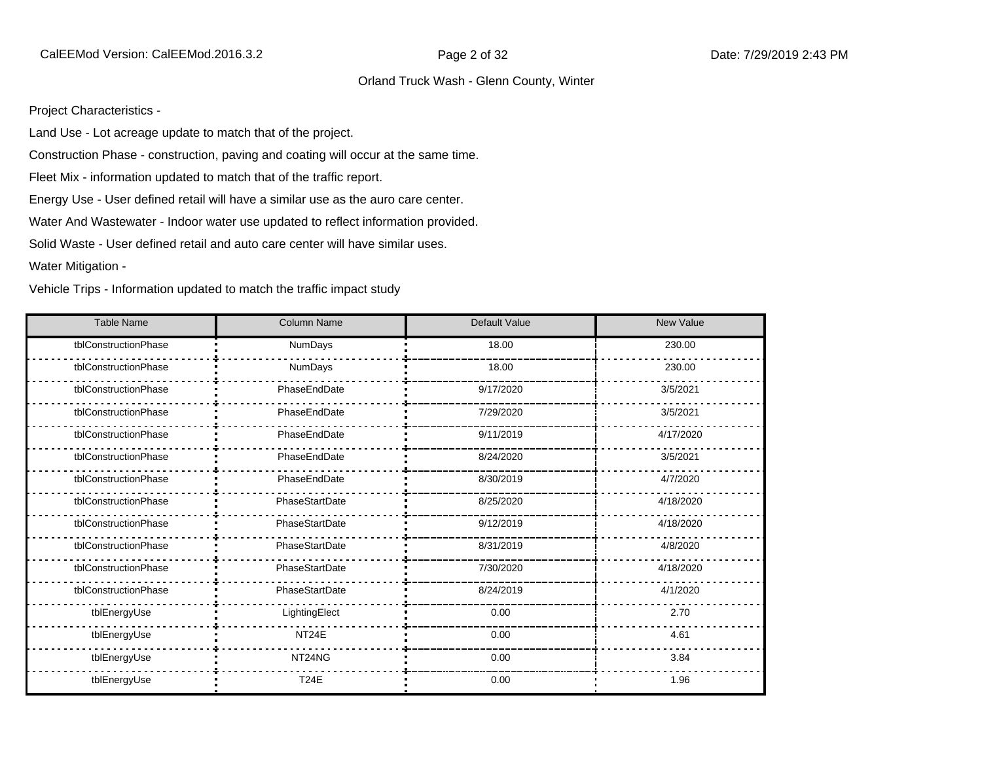Project Characteristics -

Land Use - Lot acreage update to match that of the project.

Construction Phase - construction, paving and coating will occur at the same time.

Fleet Mix - information updated to match that of the traffic report.

Energy Use - User defined retail will have a similar use as the auro care center.

Water And Wastewater - Indoor water use updated to reflect information provided.

Solid Waste - User defined retail and auto care center will have similar uses.

Water Mitigation -

Vehicle Trips - Information updated to match the traffic impact study

| <b>Table Name</b>    | <b>Column Name</b> | Default Value | <b>New Value</b> |
|----------------------|--------------------|---------------|------------------|
| tblConstructionPhase | <b>NumDays</b>     | 18.00         | 230.00           |
| tblConstructionPhase | NumDays            | 18.00         | 230.00           |
| tblConstructionPhase | PhaseEndDate       | 9/17/2020     | 3/5/2021         |
| tblConstructionPhase | PhaseEndDate       | 7/29/2020     | 3/5/2021         |
| tblConstructionPhase | PhaseEndDate       | 9/11/2019     | 4/17/2020        |
| tblConstructionPhase | PhaseEndDate       | 8/24/2020     | 3/5/2021         |
| tblConstructionPhase | PhaseEndDate       | 8/30/2019     | 4/7/2020         |
| tblConstructionPhase | PhaseStartDate     | 8/25/2020     | 4/18/2020        |
| tblConstructionPhase | PhaseStartDate     | 9/12/2019     | 4/18/2020        |
| tblConstructionPhase | PhaseStartDate     | 8/31/2019     | 4/8/2020         |
| tblConstructionPhase | PhaseStartDate     | 7/30/2020     | 4/18/2020        |
| tblConstructionPhase | PhaseStartDate     | 8/24/2019     | 4/1/2020         |
| tblEnergyUse         | LightingElect      | 0.00          | 2.70             |
| tblEnergyUse         | NT <sub>24</sub> E | 0.00          | 4.61             |
| tblEnergyUse         | NT24NG             | 0.00          | 3.84             |
| tblEnergyUse         | <b>T24E</b>        | 0.00          | 1.96             |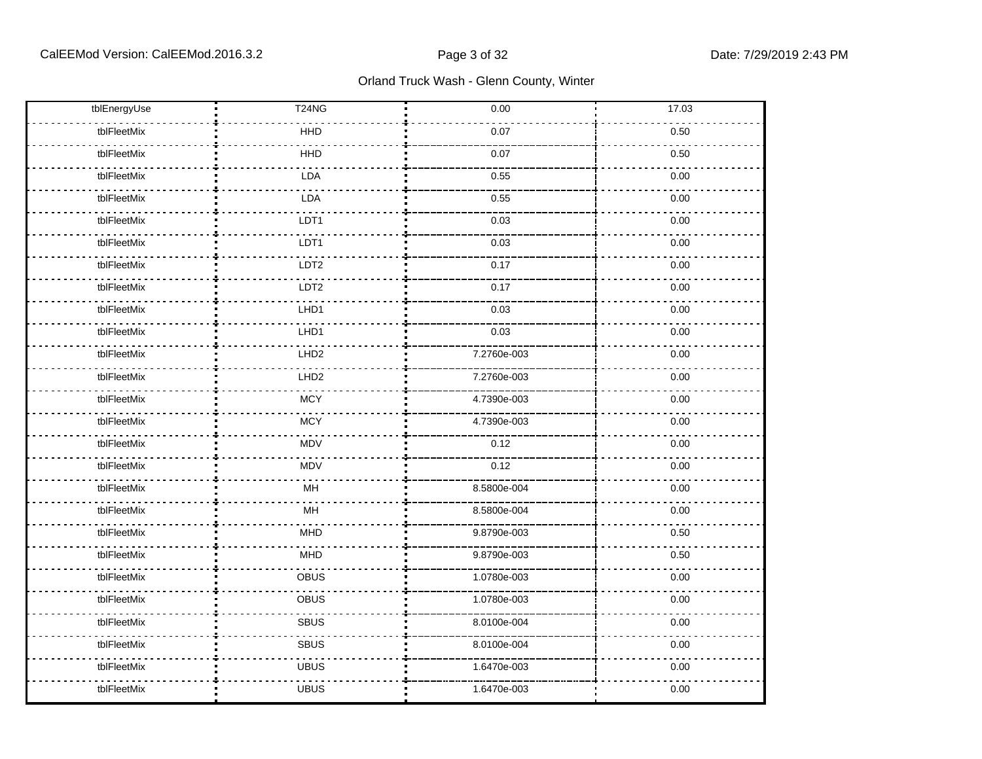| tblEnergyUse | T24NG            | 0.00        | 17.03 |
|--------------|------------------|-------------|-------|
| tblFleetMix  | <b>HHD</b>       | 0.07        | 0.50  |
| tblFleetMix  | <b>HHD</b>       | 0.07        | 0.50  |
| tblFleetMix  | LDA              | 0.55        | 0.00  |
| tblFleetMix  | LDA              | 0.55        | 0.00  |
| tblFleetMix  | LDT1             | 0.03        | 0.00  |
| tblFleetMix  | LDT1             | 0.03        | 0.00  |
| tblFleetMix  | LDT2             | 0.17        | 0.00  |
| tblFleetMix  | LDT <sub>2</sub> | 0.17        | 0.00  |
| tblFleetMix  | LHD1             | 0.03        | 0.00  |
| tblFleetMix  | LHD1             | 0.03        | 0.00  |
| tblFleetMix  | LHD <sub>2</sub> | 7.2760e-003 | 0.00  |
| tblFleetMix  | LHD <sub>2</sub> | 7.2760e-003 | 0.00  |
| tblFleetMix  | <b>MCY</b>       | 4.7390e-003 | 0.00  |
| tblFleetMix  | <b>MCY</b>       | 4.7390e-003 | 0.00  |
| tblFleetMix  | <b>MDV</b>       | 0.12        | 0.00  |
| tblFleetMix  | <b>MDV</b>       | 0.12        | 0.00  |
| tblFleetMix  | MH               | 8.5800e-004 | 0.00  |
| tblFleetMix  | MH               | 8.5800e-004 | 0.00  |
| tblFleetMix  | <b>MHD</b>       | 9.8790e-003 | 0.50  |
| tblFleetMix  | <b>MHD</b>       | 9.8790e-003 | 0.50  |
| tblFleetMix  | OBUS             | 1.0780e-003 | 0.00  |
| tblFleetMix  | OBUS             | 1.0780e-003 | 0.00  |
| tblFleetMix  | <b>SBUS</b>      | 8.0100e-004 | 0.00  |
| tblFleetMix  | <b>SBUS</b>      | 8.0100e-004 | 0.00  |
| tblFleetMix  | <b>UBUS</b>      | 1.6470e-003 | 0.00  |
| tblFleetMix  | <b>UBUS</b>      | 1.6470e-003 | 0.00  |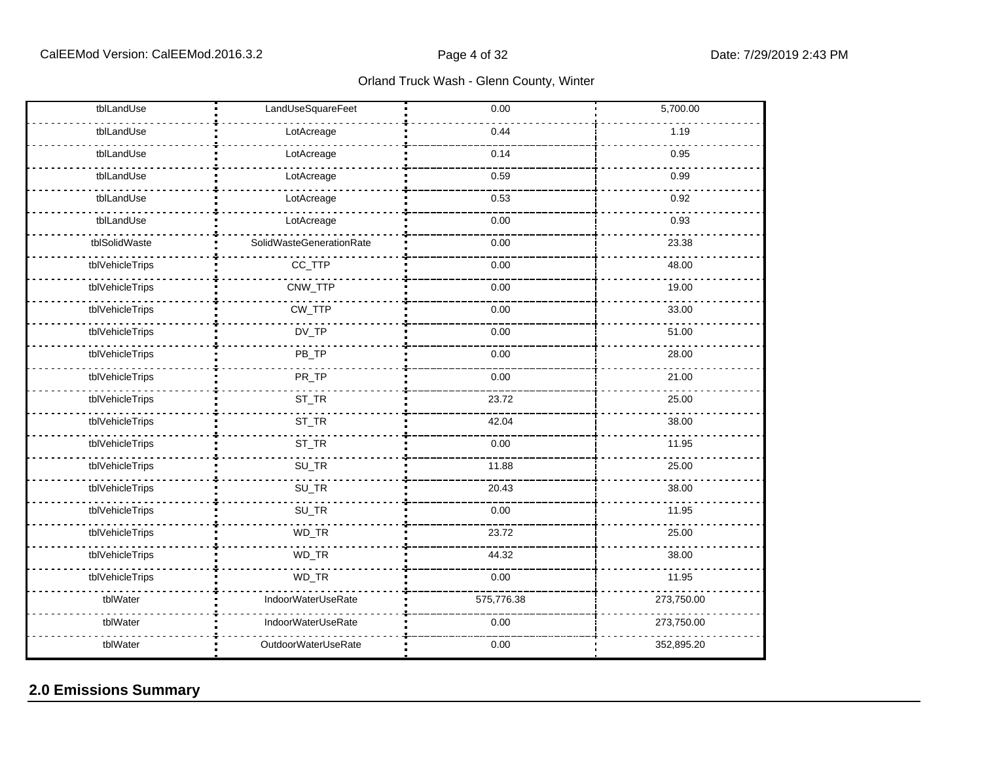| tblLandUse      | LandUseSquareFeet        | 0.00       | 5,700.00   |
|-----------------|--------------------------|------------|------------|
| tblLandUse      | LotAcreage               | 0.44       | 1.19       |
| tblLandUse      | LotAcreage               | 0.14       | 0.95       |
| tblLandUse      | LotAcreage               | 0.59       | 0.99       |
| tblLandUse      | LotAcreage               | 0.53       | 0.92       |
| tblLandUse      | LotAcreage               | 0.00       | 0.93       |
| tblSolidWaste   | SolidWasteGenerationRate | 0.00       | 23.38      |
| tblVehicleTrips | CC_TTP                   | 0.00       | 48.00      |
| tblVehicleTrips | CNW_TTP                  | 0.00       | 19.00      |
| tblVehicleTrips | CW_TTP                   | 0.00       | 33.00      |
| tblVehicleTrips | DV_TP                    | 0.00       | 51.00      |
| tblVehicleTrips | PB_TP                    | 0.00       | 28.00      |
| tblVehicleTrips | PR_TP                    | 0.00       | 21.00      |
| tblVehicleTrips | ST_TR                    | 23.72      | 25.00      |
| tblVehicleTrips | ST_TR                    | 42.04      | 38.00      |
| tblVehicleTrips | ST_TR                    | 0.00       | 11.95      |
| tblVehicleTrips | SU_TR                    | 11.88      | 25.00      |
| tblVehicleTrips | SU_TR                    | 20.43      | 38.00      |
| tblVehicleTrips | SU_TR                    | 0.00       | 11.95      |
| tblVehicleTrips | WD_TR                    | 23.72      | 25.00      |
| tblVehicleTrips | WD_TR                    | 44.32      | 38.00      |
| tblVehicleTrips | WD_TR                    | 0.00       | 11.95      |
| tblWater        | IndoorWaterUseRate       | 575,776.38 | 273,750.00 |
| tblWater        | IndoorWaterUseRate       | 0.00       | 273,750.00 |
| tblWater        | OutdoorWaterUseRate      | 0.00       | 352,895.20 |

## **2.0 Emissions Summary**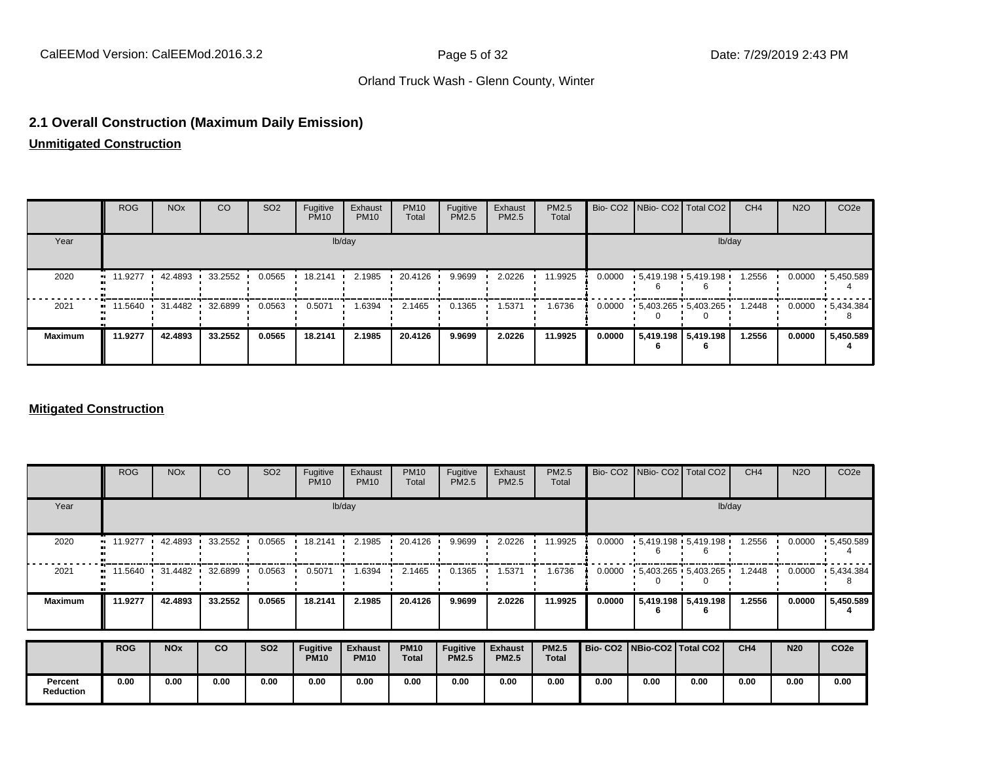#### **2.1 Overall Construction (Maximum Daily Emission)**

**Unmitigated Construction**

|                | <b>ROG</b>                                            | <b>NO<sub>x</sub></b> | CO.     | SO <sub>2</sub> | Fugitive<br><b>PM10</b> | Exhaust<br><b>PM10</b> | <b>PM10</b><br>Total | Fugitive<br>PM2.5 | Exhaust<br>PM2.5 | <b>PM2.5</b><br>Total |        |                       | Bio- CO2   NBio- CO2   Total CO2 | CH <sub>4</sub> | <b>N2O</b> | CO <sub>2e</sub>  |
|----------------|-------------------------------------------------------|-----------------------|---------|-----------------|-------------------------|------------------------|----------------------|-------------------|------------------|-----------------------|--------|-----------------------|----------------------------------|-----------------|------------|-------------------|
| Year           |                                                       |                       |         |                 |                         | lb/day                 |                      |                   |                  |                       |        |                       | lb/day                           |                 |            |                   |
| 2020           | $\blacksquare$ 11.9277                                | 42.4893               | 33.2552 | 0.0565          | 18.2141                 | 2.1985                 | 20.4126              | 9.9699            | 2.0226           | 11.9925               |        |                       | $0.0000 + 5.419.198 + 5.419.198$ | 1.2556          | 0.0000     | $\cdot$ 5,450.589 |
| 2021           | $\blacksquare$ 11.5640 $\blacksquare$ 31.4482 32.6899 |                       |         | 0.0563          | 0.5071                  | 1.6394                 | 2.1465               | 0.1365            | 1.5371           | 1.6736                | 0.0000 |                       | $-5.403.265 - 5.403.265$         | 1.2448          | 0.0000     | $\cdot$ 5,434.384 |
| <b>Maximum</b> | 11.9277                                               | 42.4893               | 33.2552 | 0.0565          | 18.2141                 | 2.1985                 | 20.4126              | 9.9699            | 2.0226           | 11.9925               | 0.0000 | 5,419.198   5,419.198 |                                  | 1.2556          | 0.0000     | 5,450.589         |

#### **Mitigated Construction**

|                             | <b>ROG</b> | <b>NO<sub>x</sub></b> | CO      | SO <sub>2</sub> | Fugitive<br><b>PM10</b>        | Exhaust<br><b>PM10</b>        | <b>PM10</b><br>Total        | Fugitive<br>PM2.5               | Exhaust<br>PM2.5               | PM2.5<br>Total               |                                 | Bio- CO2   NBio- CO2   Total CO2            |                     | CH <sub>4</sub> | <b>N2O</b> | CO <sub>2e</sub>  |
|-----------------------------|------------|-----------------------|---------|-----------------|--------------------------------|-------------------------------|-----------------------------|---------------------------------|--------------------------------|------------------------------|---------------------------------|---------------------------------------------|---------------------|-----------------|------------|-------------------|
| Year                        |            | lb/day                |         |                 |                                |                               |                             |                                 |                                |                              |                                 | lb/day                                      |                     |                 |            |                   |
| 2020                        | 11.9277    | 42.4893               | 33.2552 | 0.0565          | 18.2141                        | 2.1985                        | 20.4126                     | 9.9699                          | 2.0226                         | 11.9925                      | 0.0000                          | $\cdot$ 5,419.198 $\cdot$ 5,419.198 $\cdot$ |                     | 1.2556          | 0.0000     | .5,450.589        |
| 2021                        | 11.5640 ·  | 31.4482               | 32.6899 | 0.0563          | 0.5071                         | 1.6394                        | 2.1465                      | 0.1365                          | 1.5371                         | 1.6736                       | 0.0000                          | $-5,403.265 - 5,403.265$                    |                     | 1.2448          | 0.0000     | $\cdot$ 5,434.384 |
| <b>Maximum</b>              | 11.9277    | 42.4893               | 33.2552 | 0.0565          | 18.2141                        | 2.1985                        | 20.4126                     | 9.9699                          | 2.0226                         | 11.9925                      | 0.0000                          |                                             | 5,419.198 5,419.198 | 1.2556          | 0.0000     | 5,450.589         |
|                             | <b>ROG</b> | <b>NOx</b>            | co      | <b>SO2</b>      | <b>Fugitive</b><br><b>PM10</b> | <b>Exhaust</b><br><b>PM10</b> | <b>PM10</b><br><b>Total</b> | <b>Fugitive</b><br><b>PM2.5</b> | <b>Exhaust</b><br><b>PM2.5</b> | <b>PM2.5</b><br><b>Total</b> | Bio- CO2   NBio-CO2   Total CO2 |                                             |                     | CH4             | <b>N20</b> | CO <sub>2e</sub>  |
| Percent<br><b>Reduction</b> | 0.00       | 0.00                  | 0.00    | 0.00            | 0.00                           | 0.00                          | 0.00                        | 0.00                            | 0.00                           | 0.00                         | 0.00                            | 0.00                                        | 0.00                | 0.00            | 0.00       | 0.00              |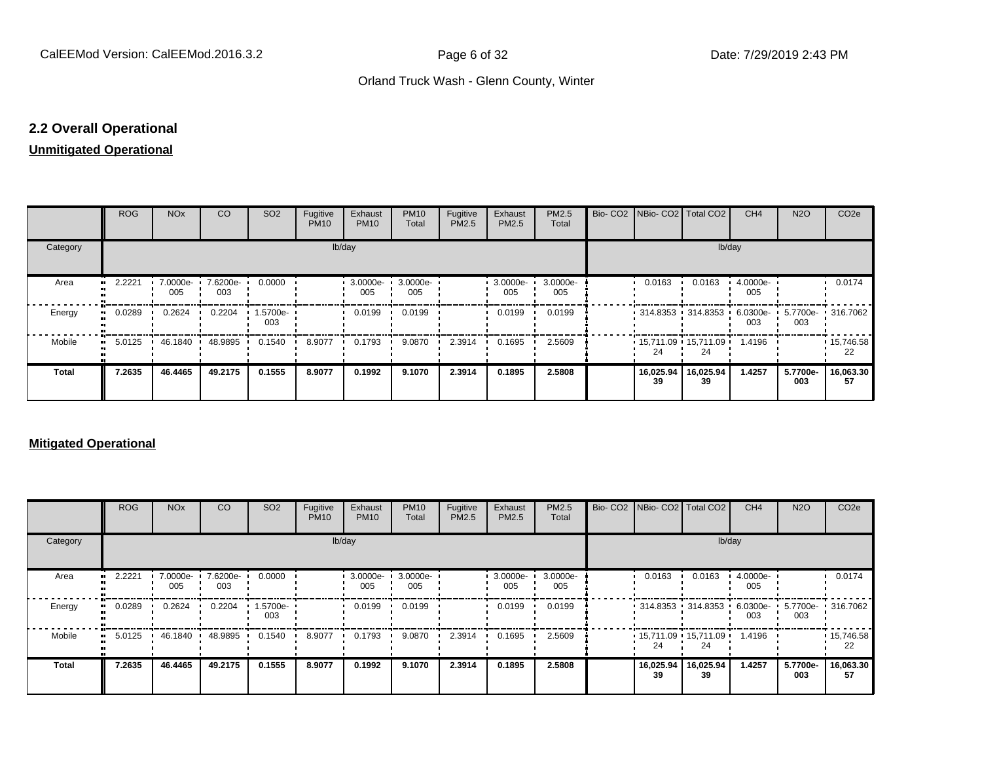## **2.2 Overall Operational**

#### **Unmitigated Operational**

|          | ROG        | <b>NO<sub>x</sub></b> | CO              | SO <sub>2</sub> | Fugitive<br><b>PM10</b> | Exhaust<br><b>PM10</b> | <b>PM10</b><br>Total | Fugitive<br>PM2.5 | Exhaust<br>PM2.5 | PM2.5<br>Total  |  | Bio- CO2 NBio- CO2 Total CO2              |                 | CH <sub>4</sub> | <b>N2O</b>                        | CO <sub>2e</sub>        |
|----------|------------|-----------------------|-----------------|-----------------|-------------------------|------------------------|----------------------|-------------------|------------------|-----------------|--|-------------------------------------------|-----------------|-----------------|-----------------------------------|-------------------------|
| Category |            | lb/day                |                 |                 |                         |                        |                      |                   |                  |                 |  |                                           | lb/day          |                 |                                   |                         |
| Area     | 2.2221<br> | 7.0000e-<br>005       | 7.6200e-<br>003 | 0.0000          |                         | 3.0000e-<br>005        | 3.0000e-<br>005      |                   | 3.0000e-<br>005  | 3.0000e-<br>005 |  | 0.0163                                    | 0.0163          | 4.0000e-<br>005 |                                   | 0.0174                  |
| Energy   | 0.0289     | 0.2624                | 0.2204          | 1.5700e-<br>003 |                         | 0.0199                 | 0.0199               |                   | 0.0199           | 0.0199          |  | • 314.8353 • 314.8353 •                   |                 | 003             | 6.0300e- 5.7700e- 316.7062<br>003 |                         |
| Mobile   | 5.0125<br> | 46.1840               | 48.9895         | 0.1540          | 8.9077                  | 0.1793                 | 9.0870               | 2.3914            | 0.1695           | 2.5609          |  | $\cdot$ 15,711.09 $\cdot$ 15,711.09<br>24 | 24              | 1.4196          |                                   | $\cdot$ 15,746.58<br>22 |
| Total    | 7.2635     | 46.4465               | 49.2175         | 0.1555          | 8.9077                  | 0.1992                 | 9.1070               | 2.3914            | 0.1895           | 2.5808          |  | 16,025.94<br>39                           | 16,025.94<br>39 | 1.4257          | 5.7700e-<br>003                   | 16,063.30<br>57         |

#### **Mitigated Operational**

|          | <b>ROG</b> | <b>NO<sub>x</sub></b> | CO              | SO <sub>2</sub> | Fugitive<br><b>PM10</b> | Exhaust<br><b>PM10</b> | <b>PM10</b><br>Total | Fugitive<br>PM2.5 | Exhaust<br><b>PM2.5</b> | PM2.5<br>Total  |  |                                   | Bio- CO2 NBio- CO2 Total CO2                      | CH <sub>4</sub> | <b>N2O</b>      | CO <sub>2e</sub> |
|----------|------------|-----------------------|-----------------|-----------------|-------------------------|------------------------|----------------------|-------------------|-------------------------|-----------------|--|-----------------------------------|---------------------------------------------------|-----------------|-----------------|------------------|
| Category |            | lb/day                |                 |                 |                         |                        |                      |                   |                         |                 |  |                                   | lb/day                                            |                 |                 |                  |
| Area     | 2.2221     | 7.0000e-<br>005       | 7.6200e-<br>003 | 0.0000          |                         | 3.0000e-<br>005        | 3.0000e-<br>005      |                   | 3.0000e ·<br>005        | 3.0000e-<br>005 |  | 0.0163                            | 0.0163                                            | 4.0000e-<br>005 |                 | 0.0174           |
| Energy   | 0.0289     | 0.2624                | 0.2204          | 1.5700e-<br>003 |                         | 0.0199                 | 0.0199               |                   | 0.0199                  | 0.0199          |  | $\cdot$ 314.8353 $\cdot$ 314.8353 |                                                   | 6.0300e-<br>003 | 5.7700e-<br>003 | .316.7062        |
| Mobile   | 5.0125     | 46.1840               | 48.9895         | 0.1540          | 8.9077                  | 0.1793                 | 9.0870               | 2.3914            | 0.1695                  | 2.5609          |  | 24                                | $\cdot$ 15,711.09 $\cdot$ 15,711.09 $\cdot$<br>24 | 1.4196          |                 | 15,746.58<br>22  |
| Total    | 7.2635     | 46.4465               | 49.2175         | 0.1555          | 8.9077                  | 0.1992                 | 9.1070               | 2.3914            | 0.1895                  | 2.5808          |  | 16,025.94<br>39                   | 16,025.94<br>39                                   | 1.4257          | 5.7700e-<br>003 | 16,063.30<br>57  |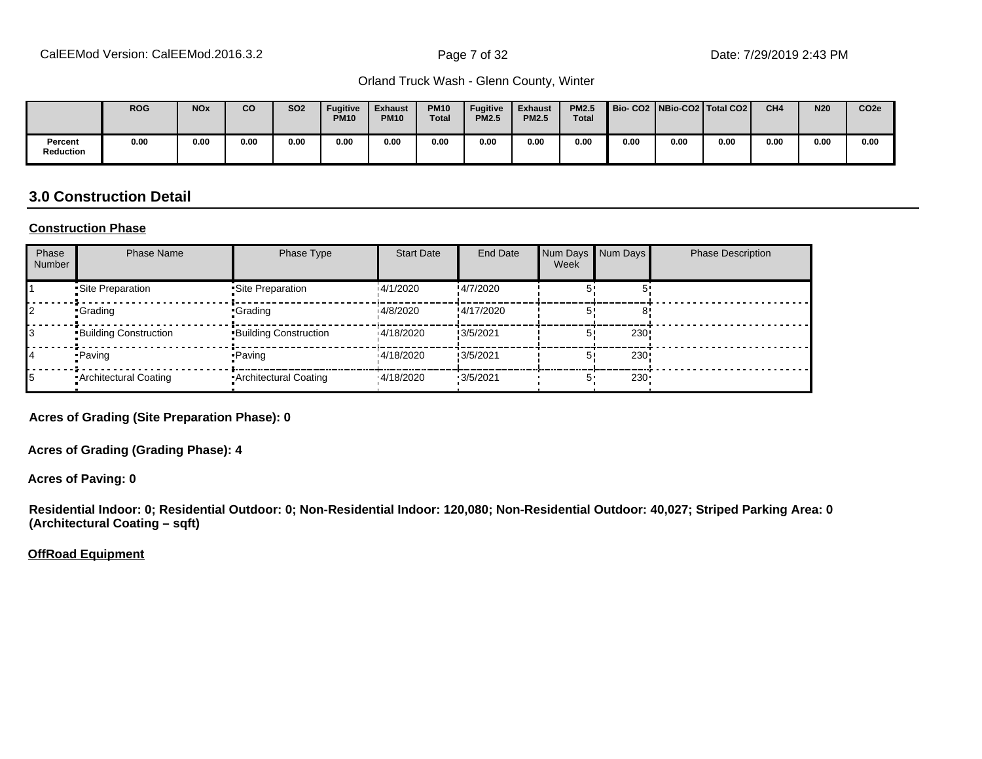|                      | <b>ROG</b> | <b>NO<sub>x</sub></b> | <b>CO</b> | <b>SO2</b> | <b>Fugitive</b><br><b>PM10</b> | <b>Exhaust</b><br><b>PM10</b> | <b>PM10</b><br><b>Total</b> | <b>Fugitive</b><br><b>PM2.5</b> | <b>Exhaust</b><br><b>PM2.5</b> | <b>PM2.5</b><br><b>Total</b> | Bio-CO2   NBio-CO2   Total CO2 |      |      | CH <sub>4</sub> | <b>N20</b> | CO <sub>2e</sub> |
|----------------------|------------|-----------------------|-----------|------------|--------------------------------|-------------------------------|-----------------------------|---------------------------------|--------------------------------|------------------------------|--------------------------------|------|------|-----------------|------------|------------------|
| Percent<br>Reduction | 0.00       | 0.00                  | 0.00      | 0.00       | 0.00                           | 0.00                          | 0.00                        | 0.00                            | 0.00                           | 0.00                         | 0.00                           | 0.00 | 0.00 | 0.00            | 0.00       | 0.00             |

#### **3.0 Construction Detail**

#### **Construction Phase**

| Phase<br><b>Number</b> | <b>Phase Name</b>            | Phase Type                   | <b>Start Date</b> | End Date         | Num Days Num Days<br>Week |                  | <b>Phase Description</b> |
|------------------------|------------------------------|------------------------------|-------------------|------------------|---------------------------|------------------|--------------------------|
|                        | Site Preparation             | Site Preparation             | 14/1/2020         | !4/7/2020        |                           |                  |                          |
|                        | •Grading                     | •Grading                     | 14/8/2020         | !4/17/2020       |                           |                  |                          |
|                        | <b>Building Construction</b> | <b>Building Construction</b> | 14/18/2020        | !3/5/2021        |                           | 230              |                          |
| 14                     | • Paving                     | • Paving                     | 14/18/2020        | !3/5/2021        |                           | 230              |                          |
| 15                     | • Architectural Coating      | • Architectural Coating      | '4/18/2020        | $\cdot$ 3/5/2021 | 5'                        | 230 <sup>1</sup> |                          |

**Acres of Grading (Site Preparation Phase): 0**

**Acres of Grading (Grading Phase): 4**

**Acres of Paving: 0**

**Residential Indoor: 0; Residential Outdoor: 0; Non-Residential Indoor: 120,080; Non-Residential Outdoor: 40,027; Striped Parking Area: 0 (Architectural Coating – sqft)**

**OffRoad Equipment**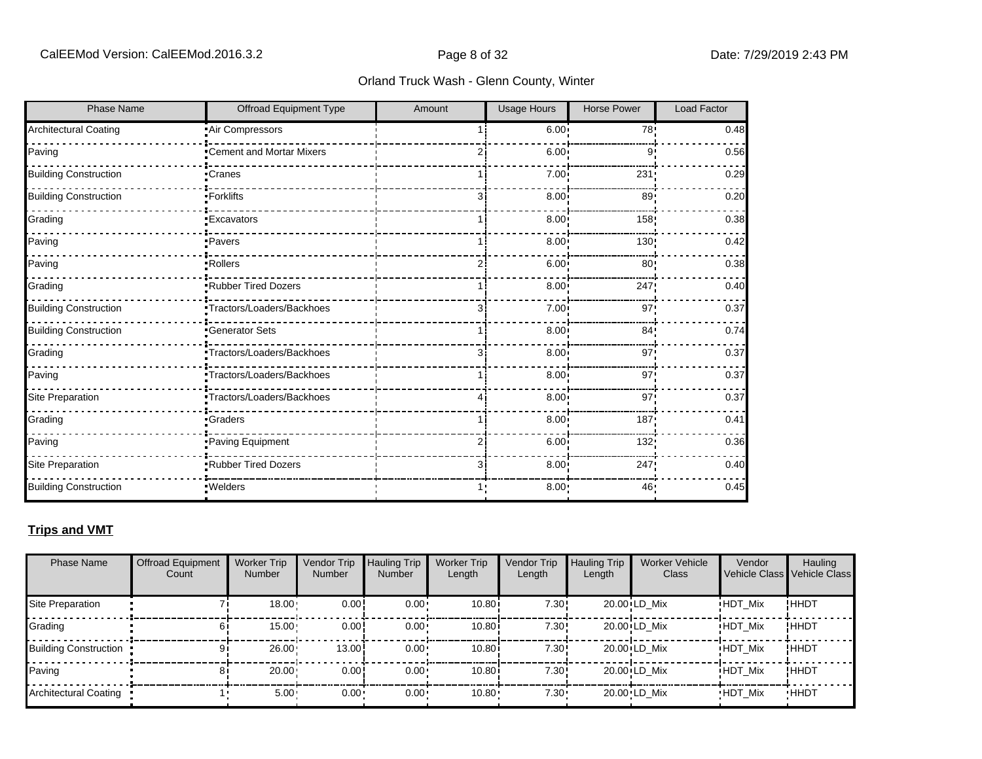| <b>Phase Name</b>            | Offroad Equipment Type     | Amount         | <b>Usage Hours</b> | <b>Horse Power</b> | <b>Load Factor</b> |
|------------------------------|----------------------------|----------------|--------------------|--------------------|--------------------|
| <b>Architectural Coating</b> | Air Compressors            |                | 6.00:              | 78!                | 0.48               |
| Paving                       | •Cement and Mortar Mixers  |                | 6.00               | 9'                 | 0.56               |
| <b>Building Construction</b> | •Cranes                    |                | $7.00 \cdot$       | 231                | 0.29               |
| <b>Building Construction</b> | -Forklifts                 | 3 <sub>1</sub> | 8.00               | 89                 | 0.20               |
| Grading                      | <b>Excavators</b>          |                | 8.00               | 158                | 0.38               |
| Paving                       | • Pavers                   |                | 8.00               | 130                | 0.42               |
| Paving                       | ·Rollers                   |                | $6.00^{\circ}$     | 80                 | 0.38               |
| Grading                      | <b>Rubber Tired Dozers</b> |                | 8.00               | 247                | 0.40               |
| <b>Building Construction</b> | Tractors/Loaders/Backhoes  |                | 7.00               | 97                 | 0.37               |
| <b>Building Construction</b> | <b>Generator Sets</b>      |                | 8.00               | 84'                | 0.74               |
| Grading                      | Tractors/Loaders/Backhoes  | 31             | 8.00               | 97                 | 0.37               |
| Paving                       | •Tractors/Loaders/Backhoes |                | 8.00               | 97                 | 0.37               |
| Site Preparation             | •Tractors/Loaders/Backhoes |                | 8.00               | 97                 | 0.37               |
| Grading                      | <b>Craders</b>             |                | 8.00               | 187                | 0.41               |
| Paving                       | Paving Equipment           |                | 6.00               | 132                | 0.36               |
| Site Preparation             | .Rubber Tired Dozers       | 31             | 8.00 <sub>1</sub>  | 247                | 0.40               |
| <b>Building Construction</b> | · Welders                  |                | 8.00 <sub>1</sub>  | 46                 | 0.45               |

#### **Trips and VMT**

| <b>Phase Name</b>            | <b>Offroad Equipment</b><br>Count | <b>Worker Trip</b><br><b>Number</b> | Vendor Trip<br><b>Number</b> | Hauling Trip<br><b>Number</b> | <b>Worker Trip</b><br>Length | Vendor Trip<br>Length | <b>Hauling Trip</b><br>Length | <b>Worker Vehicle</b><br>Class | Vendor         | Hauling<br>Vehicle Class Vehicle Class |
|------------------------------|-----------------------------------|-------------------------------------|------------------------------|-------------------------------|------------------------------|-----------------------|-------------------------------|--------------------------------|----------------|----------------------------------------|
| Site Preparation             |                                   | 18.00                               | 0.00                         | $0.00 \cdot$                  | 10.80i                       | 7.30!                 |                               | 20.00 LD Mix                   | <b>HDT Mix</b> | !ННDТ                                  |
| Grading                      |                                   | 15.00                               | 0.00!                        | $0.00 \cdot$                  | 10.80i                       | 7.30!                 |                               | 20.00 LD Mix                   | <b>HDT Mix</b> | ! ННDТ                                 |
| <b>Building Construction</b> | 9                                 | 26.00                               | 13.00                        | $0.00 \cdot$                  | 10.80i                       | 7.30!                 |                               | 20.00 LD Mix                   | <b>HDT Mix</b> | ! ННDТ                                 |
| Paving                       |                                   | 20.00                               | 0.00!                        | $0.00 \cdot$                  | 10.80i                       | 7.30!                 |                               | 20.00 LD Mix                   | <b>HDT Mix</b> | ! ННDТ                                 |
| Architectural Coating        |                                   | $5.00 -$                            | $0.00 -$                     | $0.00 \cdot$                  | $10.80 -$                    | $7.30 \cdot$          |                               | 20.00 LD Mix                   | <b>HDT Mix</b> | <b>HHDT</b>                            |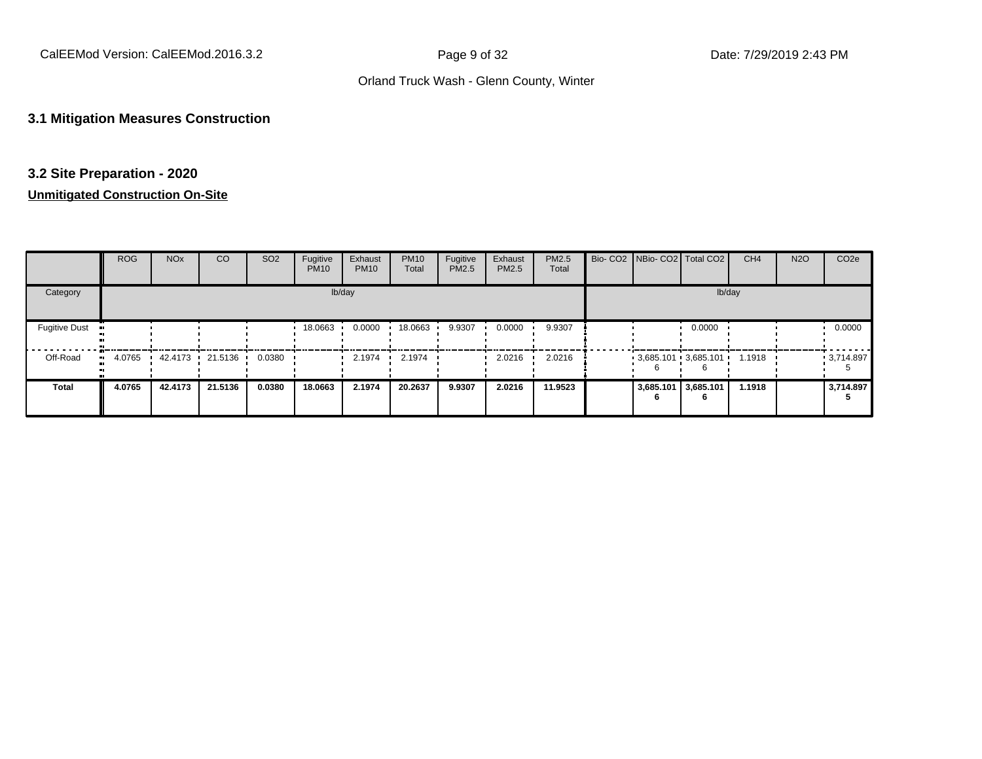#### **3.1 Mitigation Measures Construction**

#### **3.2 Site Preparation - 2020**

|                      | <b>ROG</b> | <b>NO<sub>x</sub></b> | CO      | SO <sub>2</sub> | Fugitive<br><b>PM10</b> | Exhaust<br><b>PM10</b> | <b>PM10</b><br>Total | Fugitive<br><b>PM2.5</b> | Exhaust<br>PM2.5 | PM2.5<br>Total |                | Bio- CO2 NBio- CO2 Total CO2 | CH <sub>4</sub> | <b>N2O</b> | CO <sub>2e</sub> |
|----------------------|------------|-----------------------|---------|-----------------|-------------------------|------------------------|----------------------|--------------------------|------------------|----------------|----------------|------------------------------|-----------------|------------|------------------|
| Category             |            |                       |         |                 |                         | lb/day                 |                      |                          |                  |                |                | lb/day                       |                 |            |                  |
| <b>Fugitive Dust</b> |            |                       |         |                 | 18.0663                 | 0.0000                 | 18.0663              | 9.9307                   | 0.0000           | 9.9307         |                | 0.0000                       |                 |            | 0.0000           |
| Off-Road             | 4.0765     | 42.4173 21.5136       |         | 0.0380          |                         | 2.1974                 | 2.1974               |                          | 2.0216           | 2.0216         |                | $3,685.101$ $3,685.101$      | 1.1918          |            | 3,714.897        |
| <b>Total</b>         | 4.0765     | 42.4173               | 21.5136 | 0.0380          | 18.0663                 | 2.1974                 | 20.2637              | 9.9307                   | 2.0216           | 11.9523        | 3,685.101<br>n | 3,685.101<br>6               | 1.1918          |            | 3,714.897        |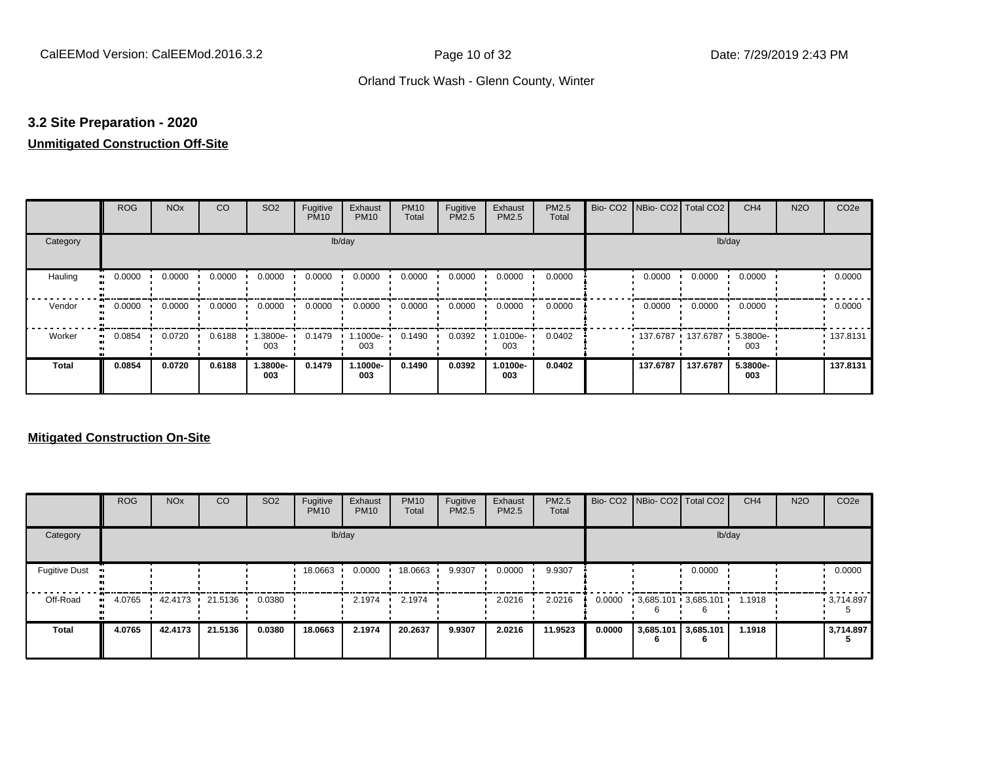#### **3.2 Site Preparation - 2020**

## **Unmitigated Construction Off-Site**

|                     | <b>ROG</b> | <b>NO<sub>x</sub></b> | CO     | SO <sub>2</sub> | Fugitive<br><b>PM10</b> | Exhaust<br><b>PM10</b> | <b>PM10</b><br>Total | Fugitive<br>PM2.5 | Exhaust<br>PM2.5 | PM2.5<br>Total | Bio- CO2   NBio- CO2   Total CO2 |            | CH <sub>4</sub>    | <b>N2O</b> | CO <sub>2e</sub> |
|---------------------|------------|-----------------------|--------|-----------------|-------------------------|------------------------|----------------------|-------------------|------------------|----------------|----------------------------------|------------|--------------------|------------|------------------|
| Category            |            |                       |        |                 |                         | lb/day                 |                      |                   |                  |                |                                  | lb/day     |                    |            |                  |
| Hauling             | 0.0000     | 0.0000                | 0.0000 | 0.0000          | 0.0000                  | 0.0000                 | 0.0000               | 0.0000            | 0.0000           | 0.0000         | 0.0000                           | 0.0000     | 0.0000             |            | 0.0000           |
| Vendor<br>$\bullet$ | 0.0000     | 0.0000                | 0.0000 | 0.0000          | 0.0000                  | 0.0000                 | 0.0000               | 0.0000            | 0.0000           | 0.0000         | 0.0000                           | 0.0000     | 0.0000             |            | 0.0000           |
| Worker<br>$\bullet$ | 0.0854     | 0.0720                | 0.6188 | -9000e-<br>003  | 0.1479                  | 1.1000e-<br>003        | 0.1490               | 0.0392            | -0100e.<br>003   | 0.0402         | 137.6787                         | ▪ 137.6787 | $5.3800e -$<br>003 |            | .137.8131        |
| Total               | 0.0854     | 0.0720                | 0.6188 | 1.3800e-<br>003 | 0.1479                  | 1.1000e-<br>003        | 0.1490               | 0.0392            | 1.0100e-<br>003  | 0.0402         | 137.6787                         | 137.6787   | 5.3800e-<br>003    |            | 137.8131         |

|                      | <b>ROG</b>   | <b>NO<sub>x</sub></b> | <b>CO</b> | SO <sub>2</sub> | Fugitive<br><b>PM10</b> | Exhaust<br><b>PM10</b> | <b>PM10</b><br>Total | Fugitive<br><b>PM2.5</b> | Exhaust<br><b>PM2.5</b> | PM2.5<br>Total |        |                          | Bio- CO2   NBio- CO2   Total CO2 | CH <sub>4</sub> | <b>N2O</b> | CO <sub>2e</sub>  |
|----------------------|--------------|-----------------------|-----------|-----------------|-------------------------|------------------------|----------------------|--------------------------|-------------------------|----------------|--------|--------------------------|----------------------------------|-----------------|------------|-------------------|
| Category             |              |                       |           |                 |                         | lb/day                 |                      |                          |                         |                |        |                          | lb/day                           |                 |            |                   |
| <b>Fugitive Dust</b> |              |                       |           |                 | 18.0663                 | 0.0000                 | 18.0663              | 9.9307                   | 0.0000                  | 9.9307         |        |                          | 0.0000                           |                 |            | 0.0000            |
| Off-Road             | 4.0765<br>ш. | 42.4173 21.5136       |           | 0.0380          |                         | 2.1974                 | 2.1974               |                          | 2.0216                  | 2.0216         | 0.0000 |                          | $3,685.101$ 3,685.101            | 1.1918          |            | $\cdot$ 3,714.897 |
| <b>Total</b>         | 4.0765       | 42.4173               | 21.5136   | 0.0380          | 18.0663                 | 2.1974                 | 20.2637              | 9.9307                   | 2.0216                  | 11.9523        | 0.0000 | 3,685.101 3,685.101<br>n | 6                                | 1.1918          |            | 3,714.897         |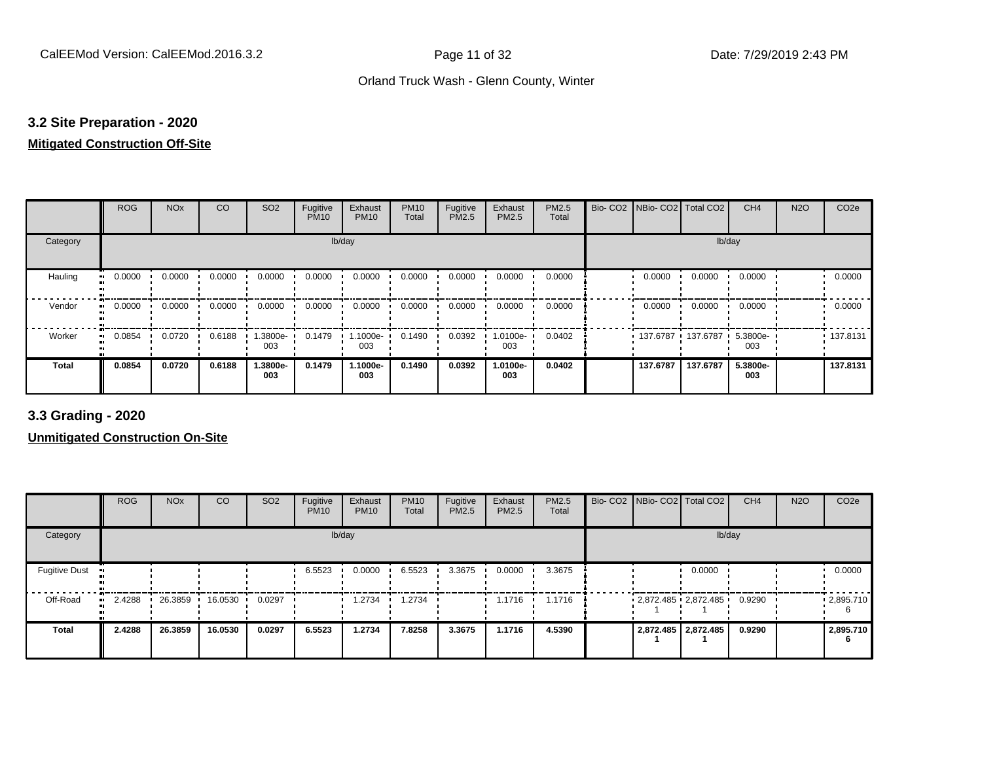#### **3.2 Site Preparation - 2020**

#### **Mitigated Construction Off-Site**

|                            | <b>ROG</b> | <b>NO<sub>x</sub></b> | CO     | SO <sub>2</sub> | Fugitive<br><b>PM10</b> | Exhaust<br><b>PM10</b> | <b>PM10</b><br>Total | Fugitive<br>PM2.5 | Exhaust<br>PM2.5 | PM2.5<br>Total | Bio- CO2   NBio- CO2   Total CO2 |                     | CH <sub>4</sub> | <b>N2O</b> | CO <sub>2e</sub> |
|----------------------------|------------|-----------------------|--------|-----------------|-------------------------|------------------------|----------------------|-------------------|------------------|----------------|----------------------------------|---------------------|-----------------|------------|------------------|
| Category                   |            |                       |        |                 |                         | lb/day                 |                      |                   |                  |                |                                  | lb/day              |                 |            |                  |
| Hauling<br>$\bullet$       | 0.0000     | 0.0000                | 0.0000 | 0.0000          | 0.0000                  | 0.0000                 | 0.0000               | 0.0000            | 0.0000           | 0.0000         | 0.0000                           | 0.0000              | 0.0000          |            | 0.0000           |
| Vendor<br>$\bullet\bullet$ | 0.0000     | 0.0000                | 0.0000 | 0.0000          | 0.0000                  | 0.0000                 | 0.0000               | 0.0000            | 0.0000           | 0.0000         | 0.0000                           | 0.0000              | 0.0000          |            | 0.0000           |
| Worker<br>$\bullet\bullet$ | 0.0854     | 0.0720                | 0.6188 | 1.3800e-<br>003 | 0.1479                  | 1.1000e-<br>003        | 0.1490               | 0.0392            | -0100e-<br>003   | 0.0402         |                                  | 137.6787 137.6787 1 | 5.3800e-<br>003 |            | .137.8131        |
| <b>Total</b>               | 0.0854     | 0.0720                | 0.6188 | 1.3800e-<br>003 | 0.1479                  | 1.1000e-<br>003        | 0.1490               | 0.0392            | 1.0100e-<br>003  | 0.0402         | 137.6787                         | 137.6787            | 5.3800e-<br>003 |            | 137.8131         |

**3.3 Grading - 2020**

|                             | <b>ROG</b> | <b>NO<sub>x</sub></b> | CO      | SO <sub>2</sub> | Fugitive<br><b>PM10</b> | Exhaust<br><b>PM10</b> | <b>PM10</b><br>Total | Fugitive<br><b>PM2.5</b> | Exhaust<br>PM2.5 | <b>PM2.5</b><br>Total |  | Bio- CO2   NBio- CO2   Total CO2 | CH <sub>4</sub> | <b>N2O</b> | CO <sub>2e</sub> |
|-----------------------------|------------|-----------------------|---------|-----------------|-------------------------|------------------------|----------------------|--------------------------|------------------|-----------------------|--|----------------------------------|-----------------|------------|------------------|
| Category                    |            |                       |         |                 |                         | lb/day                 |                      |                          |                  |                       |  | lb/day                           |                 |            |                  |
| <b>Fugitive Dust</b><br>-99 |            |                       |         |                 | 6.5523                  | 0.0000                 | 6.5523               | 3.3675                   | 0.0000           | 3.3675                |  | 0.0000                           |                 |            | 0.0000           |
| Off-Road                    | 2.4288<br> | 26.3859               | 16.0530 | 0.0297          |                         | 1.2734                 | 1.2734               |                          | 1.1716           | 1.1716                |  | 2,872.485 2,872.485              | 0.9290          |            | .2,895.710       |
| <b>Total</b>                | 2.4288     | 26.3859               | 16.0530 | 0.0297          | 6.5523                  | 1.2734                 | 7.8258               | 3.3675                   | 1.1716           | 4.5390                |  | 2,872.485 2,872.485              | 0.9290          |            | 2,895.710        |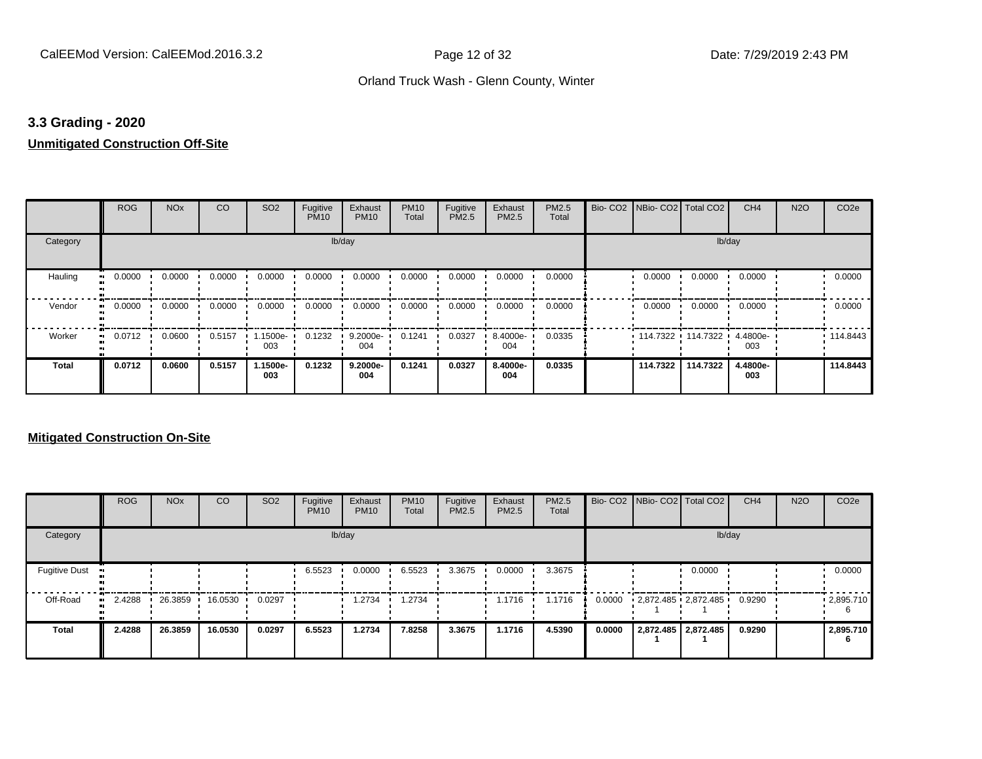#### **3.3 Grading - 2020**

#### **Unmitigated Construction Off-Site**

|              | <b>ROG</b> | <b>NO<sub>x</sub></b> | CO     | SO <sub>2</sub> | Fugitive<br><b>PM10</b> | Exhaust<br><b>PM10</b> | <b>PM10</b><br>Total | Fugitive<br>PM2.5 | Exhaust<br>PM2.5 | PM2.5<br>Total | Bio- CO2   NBio- CO2   Total CO2 |                     | CH <sub>4</sub> | <b>N2O</b> | CO <sub>2e</sub> |
|--------------|------------|-----------------------|--------|-----------------|-------------------------|------------------------|----------------------|-------------------|------------------|----------------|----------------------------------|---------------------|-----------------|------------|------------------|
| Category     |            |                       |        |                 | lb/day                  |                        |                      |                   |                  |                |                                  | lb/day              |                 |            |                  |
| Hauling      | 0.0000     | 0.0000                | 0.0000 | 0.0000          | 0.0000                  | 0.0000                 | 0.0000               | 0.0000            | 0.0000           | 0.0000         | 0.0000                           | 0.0000              | 0.0000          |            | 0.0000           |
| Vendor       | 0.0000     | 0.0000                | 0.0000 | 0.0000          | 0.0000                  | 0.0000                 | 0.0000               | 0.0000            | 0.0000           | 0.0000         | 0.0000                           | 0.0000              | 0.0000          |            | 0.0000           |
| Worker       | 0.0712     | 0.0600                | 0.5157 | 1.1500e-<br>003 | 0.1232                  | 9.2000e-<br>004        | 0.1241               | 0.0327            | 8.4000e-<br>004  | 0.0335         |                                  | 114.7322 114.7322 ' | 4.4800e-<br>003 |            | 114.8443         |
| <b>Total</b> | 0.0712     | 0.0600                | 0.5157 | 1.1500e-<br>003 | 0.1232                  | 9.2000e-<br>004        | 0.1241               | 0.0327            | 8.4000e-<br>004  | 0.0335         | 114.7322                         | 114.7322            | 4.4800e-<br>003 |            | 114.8443         |

|                      | <b>ROG</b>   | <b>NO<sub>x</sub></b> | <b>CO</b> | SO <sub>2</sub> | Fugitive<br><b>PM10</b> | Exhaust<br><b>PM10</b> | <b>PM10</b><br>Total | Fugitive<br><b>PM2.5</b> | Exhaust<br><b>PM2.5</b> | PM2.5<br>Total |        | Bio- CO2   NBio- CO2   Total CO2 |                       | CH <sub>4</sub> | <b>N2O</b> | CO <sub>2e</sub>  |
|----------------------|--------------|-----------------------|-----------|-----------------|-------------------------|------------------------|----------------------|--------------------------|-------------------------|----------------|--------|----------------------------------|-----------------------|-----------------|------------|-------------------|
| Category             |              |                       |           |                 |                         | lb/day                 |                      |                          |                         |                |        |                                  | lb/day                |                 |            |                   |
| <b>Fugitive Dust</b> |              |                       |           |                 | 6.5523                  | 0.0000                 | 6.5523               | 3.3675                   | 0.0000                  | 3.3675         |        |                                  | 0.0000                |                 |            | 0.0000            |
| Off-Road             | 2.4288<br>ш. | 26.3859               | 16.0530   | 0.0297          |                         | 1.2734                 | 1.2734               |                          | 1.1716                  | 1.1716         | 0.0000 | 2,872.485 2,872.485              |                       | 0.9290          |            | $\cdot$ 2,895.710 |
| Total                | 2.4288       | 26.3859               | 16.0530   | 0.0297          | 6.5523                  | 1.2734                 | 7.8258               | 3.3675                   | 1.1716                  | 4.5390         | 0.0000 |                                  | 2,872.485   2,872.485 | 0.9290          |            | 2,895.710<br>6    |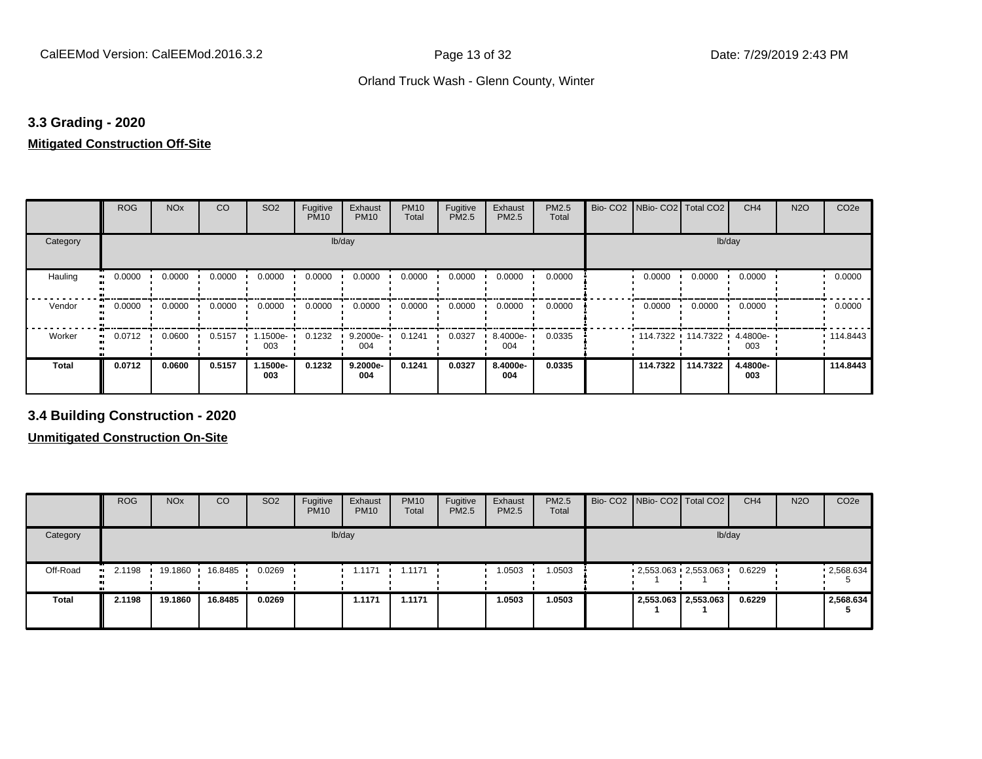#### **3.3 Grading - 2020**

#### **Mitigated Construction Off-Site**

|              | <b>ROG</b>   | <b>NO<sub>x</sub></b> | <b>CO</b> | SO <sub>2</sub> | Fugitive<br><b>PM10</b> | Exhaust<br><b>PM10</b> | <b>PM10</b><br>Total | Fugitive<br>PM2.5 | Exhaust<br><b>PM2.5</b> | PM2.5<br>Total | Bio- CO2   NBio- CO2   Total CO2 |          | CH <sub>4</sub> | <b>N2O</b> | CO <sub>2e</sub> |
|--------------|--------------|-----------------------|-----------|-----------------|-------------------------|------------------------|----------------------|-------------------|-------------------------|----------------|----------------------------------|----------|-----------------|------------|------------------|
| Category     |              |                       |           |                 | lb/day                  |                        |                      |                   |                         |                |                                  | lb/day   |                 |            |                  |
| Hauling      | 0.0000<br>ш. | 0.0000                | 0.0000    | 0.0000          | 0.0000                  | 0.0000                 | 0.0000               | 0.0000            | 0.0000                  | 0.0000         | 0.0000                           | 0.0000   | 0.0000          |            | 0.0000           |
| Vendor       | 0.0000<br>ш. | 0.0000                | 0.0000    | 0.0000          | 0.0000                  | 0.0000                 | 0.0000               | 0.0000            | 0.0000                  | 0.0000         | 0.0000                           | 0.0000   | 0.0000          |            | 0.0000           |
| Worker       | 0.0712<br>ш. | 0.0600                | 0.5157    | 1.1500e-<br>003 | 0.1232                  | 9.2000e-<br>004        | 0.1241               | 0.0327            | 8.4000e-<br>004         | 0.0335         | $114.7322$ 114.7322 ·            |          | 4.4800e-<br>003 |            | 114.8443         |
| <b>Total</b> | 0.0712       | 0.0600                | 0.5157    | 1.1500e-<br>003 | 0.1232                  | 9.2000e-<br>004        | 0.1241               | 0.0327            | 8.4000e-<br>004         | 0.0335         | 114.7322                         | 114.7322 | 4.4800e-<br>003 |            | 114,8443         |

**3.4 Building Construction - 2020**

|              | <b>ROG</b>          | <b>NO<sub>x</sub></b> | CO      | SO <sub>2</sub> | Fugitive<br><b>PM10</b> | Exhaust<br><b>PM10</b> | <b>PM10</b><br>Total | Fugitive<br><b>PM2.5</b> | Exhaust<br>PM2.5 | <b>PM2.5</b><br>Total |  | Bio- CO2 NBio- CO2 Total CO2 | CH <sub>4</sub> | <b>N2O</b> | CO <sub>2e</sub> |
|--------------|---------------------|-----------------------|---------|-----------------|-------------------------|------------------------|----------------------|--------------------------|------------------|-----------------------|--|------------------------------|-----------------|------------|------------------|
| Category     |                     |                       |         |                 |                         | lb/day                 |                      |                          |                  |                       |  | lb/day                       |                 |            |                  |
| Off-Road     | 2.1198<br><b>BU</b> | 19.1860               | 16.8485 | 0.0269          |                         | 1.1171                 | 1.1171               |                          | 1.0503           | 1.0503                |  | $-2,553.063 - 2,553.063$     | 0.6229          |            | .2,568.634       |
| <b>Total</b> | 2.1198              | 19.1860               | 16.8485 | 0.0269          |                         | 1.1171                 | 1.1171               |                          | 1.0503           | 1.0503                |  | 2,553.063 2,553.063          | 0.6229          |            | 2,568.634        |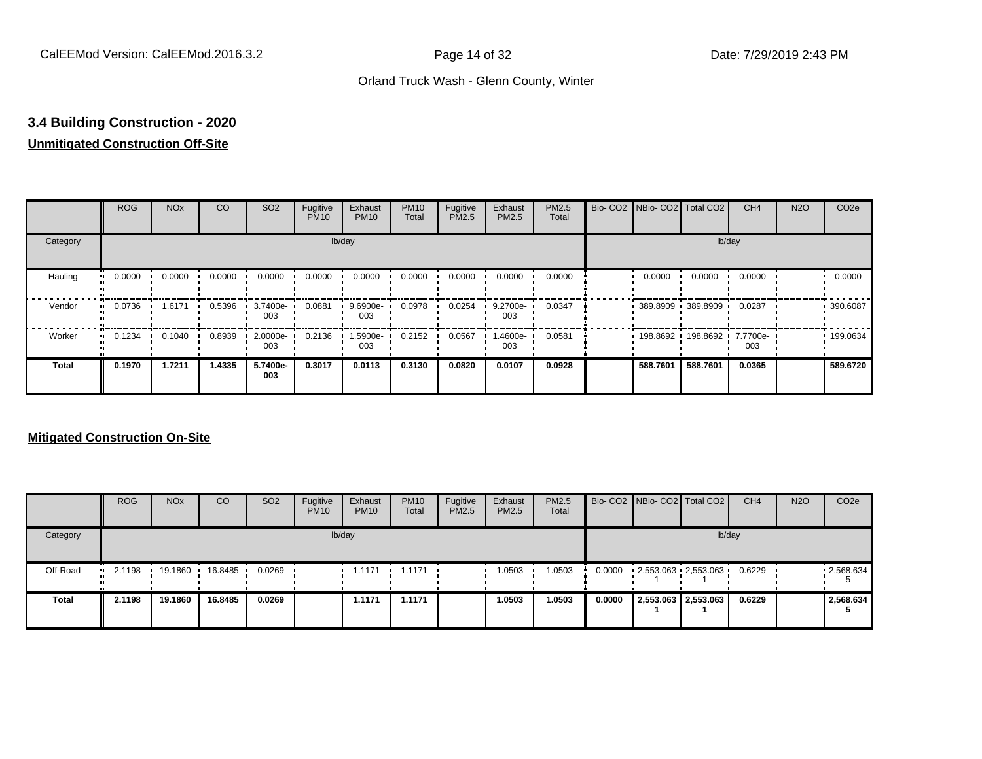## **3.4 Building Construction - 2020**

### **Unmitigated Construction Off-Site**

|              | <b>ROG</b>          | <b>NO<sub>x</sub></b> | CO     | SO <sub>2</sub> | Fugitive<br><b>PM10</b> | Exhaust<br><b>PM10</b> | <b>PM10</b><br>Total | Fugitive<br><b>PM2.5</b> | Exhaust<br>PM2.5 | PM2.5<br>Total | Bio- CO2   NBio- CO2   Total CO2 |                              | CH <sub>4</sub> | <b>N2O</b> | CO <sub>2e</sub> |
|--------------|---------------------|-----------------------|--------|-----------------|-------------------------|------------------------|----------------------|--------------------------|------------------|----------------|----------------------------------|------------------------------|-----------------|------------|------------------|
| Category     |                     |                       |        |                 |                         | lb/day                 |                      |                          |                  |                |                                  |                              | lb/day          |            |                  |
| Hauling<br>œ | 0.0000              | 0.0000                | 0.0000 | 0.0000          | 0.0000                  | 0.0000                 | 0.0000               | 0.0000                   | 0.0000           | 0.0000         | 0.0000                           | 0.0000                       | 0.0000          |            | 0.0000           |
| Vendor<br>œ  | 0.0736              | 1.6171                | 0.5396 | 3.7400e-<br>003 | 0.0881                  | 9.6900e-<br>003        | 0.0978               | 0.0254                   | 9.2700e-<br>003  | 0.0347         |                                  | 389.8909 389.8909            | 0.0287          |            | .390.6087        |
| Worker       | 0.1234<br>$\bullet$ | 0.1040                | 0.8939 | 2.0000e-<br>003 | 0.2136                  | -5900e-<br>003         | 0.2152               | 0.0567                   | -4600e.<br>003   | 0.0581         |                                  | 198.8692 198.8692 7.7700e- 1 | 003             |            | .199.0634        |
| <b>Total</b> | 0.1970              | 1.7211                | 1.4335 | 5.7400e-<br>003 | 0.3017                  | 0.0113                 | 0.3130               | 0.0820                   | 0.0107           | 0.0928         | 588.7601                         | 588.7601                     | 0.0365          |            | 589.6720         |

|              | <b>ROG</b>            | <b>NO<sub>x</sub></b> | CO      | SO <sub>2</sub> | Fugitive<br><b>PM10</b> | Exhaust<br><b>PM10</b> | <b>PM10</b><br>Total | Fugitive<br>PM2.5 | Exhaust<br><b>PM2.5</b> | <b>PM2.5</b><br>Total |        | Bio- CO2   NBio- CO2   Total CO2 | CH <sub>4</sub> | <b>N2O</b> | CO <sub>2e</sub> |
|--------------|-----------------------|-----------------------|---------|-----------------|-------------------------|------------------------|----------------------|-------------------|-------------------------|-----------------------|--------|----------------------------------|-----------------|------------|------------------|
| Category     |                       |                       |         |                 |                         | lb/day                 |                      |                   |                         |                       |        |                                  | lb/day          |            |                  |
| Off-Road     | $\blacksquare$ 2.1198 | 19.1860               | 16.8485 | 0.0269          |                         | 1.1171                 | 1.1171               |                   | 1.0503                  | 1.0503                | 0.0000 | $2,553.063$ $2,553.063$ $\cdot$  | 0.6229          |            | .2,568.634       |
| <b>Total</b> | 2.1198                | 19.1860               | 16.8485 | 0.0269          |                         | 1.1171                 | 1.1171               |                   | 1.0503                  | 1.0503                | 0.0000 | 2,553.063 2,553.063              | 0.6229          |            | 2,568.634        |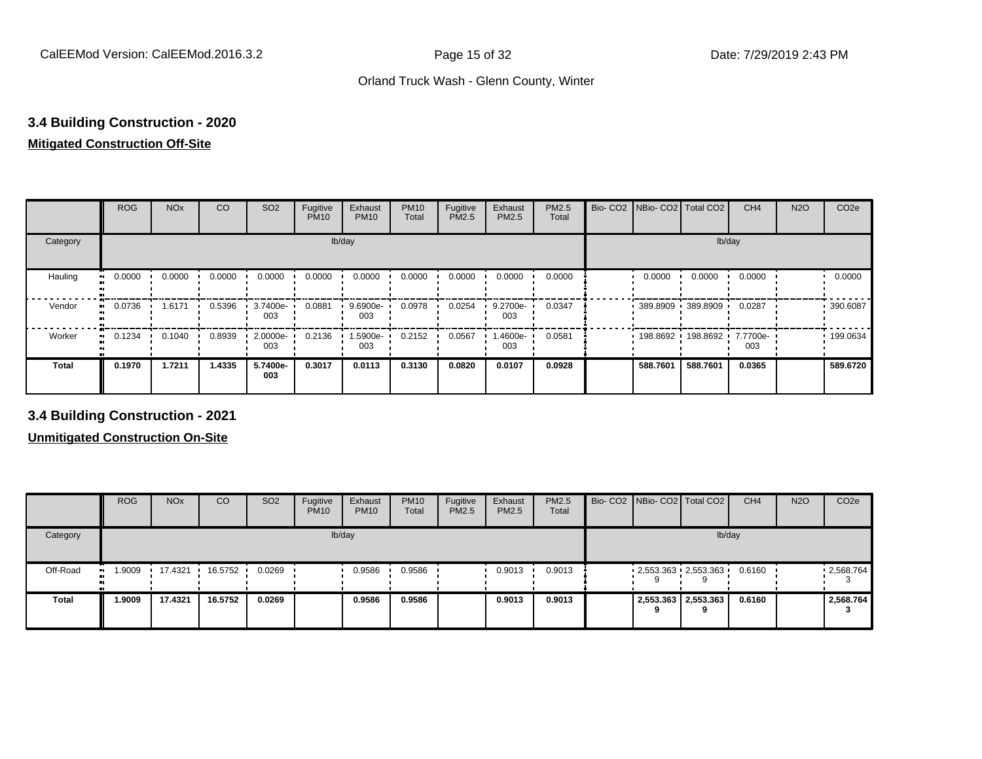## **3.4 Building Construction - 2020**

## **Mitigated Construction Off-Site**

|                          | <b>ROG</b> | <b>NO<sub>x</sub></b> | <b>CO</b> | SO <sub>2</sub> | Fugitive<br><b>PM10</b> | Exhaust<br><b>PM10</b> | <b>PM10</b><br>Total | Fugitive<br>PM2.5 | Exhaust<br>PM2.5 | PM2.5<br>Total | Bio-CO <sub>2</sub> | NBio- CO2   Total CO2 |                     | CH <sub>4</sub> | <b>N2O</b> | CO <sub>2e</sub> |
|--------------------------|------------|-----------------------|-----------|-----------------|-------------------------|------------------------|----------------------|-------------------|------------------|----------------|---------------------|-----------------------|---------------------|-----------------|------------|------------------|
| Category                 |            |                       |           |                 | lb/day                  |                        |                      |                   |                  |                |                     |                       | lb/day              |                 |            |                  |
| Hauling                  | 0.0000     | 0.0000                | 0.0000    | 0.0000          | 0.0000                  | 0.0000                 | 0.0000               | 0.0000            | 0.0000           | 0.0000         |                     | 0.0000                | 0.0000              | 0.0000          |            | 0.0000           |
| Vendor<br>$\blacksquare$ | 0.0736     | 1.6171                | 0.5396    | 3.7400e-<br>003 | 0.0881                  | 9.6900e-<br>003        | 0.0978               | 0.0254            | 9.2700e-<br>003  | 0.0347         |                     | 389.8909 389.8909     |                     | 0.0287          |            | .390.6087        |
| Worker<br>$\bullet$      | 0.1234     | 0.1040                | 0.8939    | 2.0000e-<br>003 | 0.2136                  | 1.5900e-<br>003        | 0.2152               | 0.0567            | .4600e-<br>003   | 0.0581         |                     |                       | 198.8692 198.8692 ' | 7.7700e-<br>003 |            | .199.0634        |
| Total                    | 0.1970     | 1.7211                | 1.4335    | 5.7400e-<br>003 | 0.3017                  | 0.0113                 | 0.3130               | 0.0820            | 0.0107           | 0.0928         |                     | 588.7601              | 588.7601            | 0.0365          |            | 589.6720         |

**3.4 Building Construction - 2021**

|              | <b>ROG</b>          | <b>NO<sub>x</sub></b> | CO      | SO <sub>2</sub> | Fugitive<br><b>PM10</b> | Exhaust<br><b>PM10</b> | <b>PM10</b><br>Total | Fugitive<br><b>PM2.5</b> | Exhaust<br><b>PM2.5</b> | <b>PM2.5</b><br>Total |   | Bio- CO2 NBio- CO2 Total CO2 | CH <sub>4</sub> | <b>N2O</b> | CO <sub>2e</sub> |
|--------------|---------------------|-----------------------|---------|-----------------|-------------------------|------------------------|----------------------|--------------------------|-------------------------|-----------------------|---|------------------------------|-----------------|------------|------------------|
| Category     |                     |                       |         |                 |                         | lb/day                 |                      |                          |                         |                       |   |                              | lb/day          |            |                  |
| Off-Road     | 1.9009<br>$\bullet$ | 17.4321               | 16.5752 | 0.0269          |                         | 0.9586                 | 0.9586               |                          | 0.9013                  | 0.9013                |   | $-2,553.363 - 2,553.363$     | 0.6160          |            | .2,568.764       |
| <b>Total</b> | 1.9009              | 17.4321               | 16.5752 | 0.0269          |                         | 0.9586                 | 0.9586               |                          | 0.9013                  | 0.9013                | 9 | 2,553.363 2,553.363          | 0.6160          |            | 2,568.764        |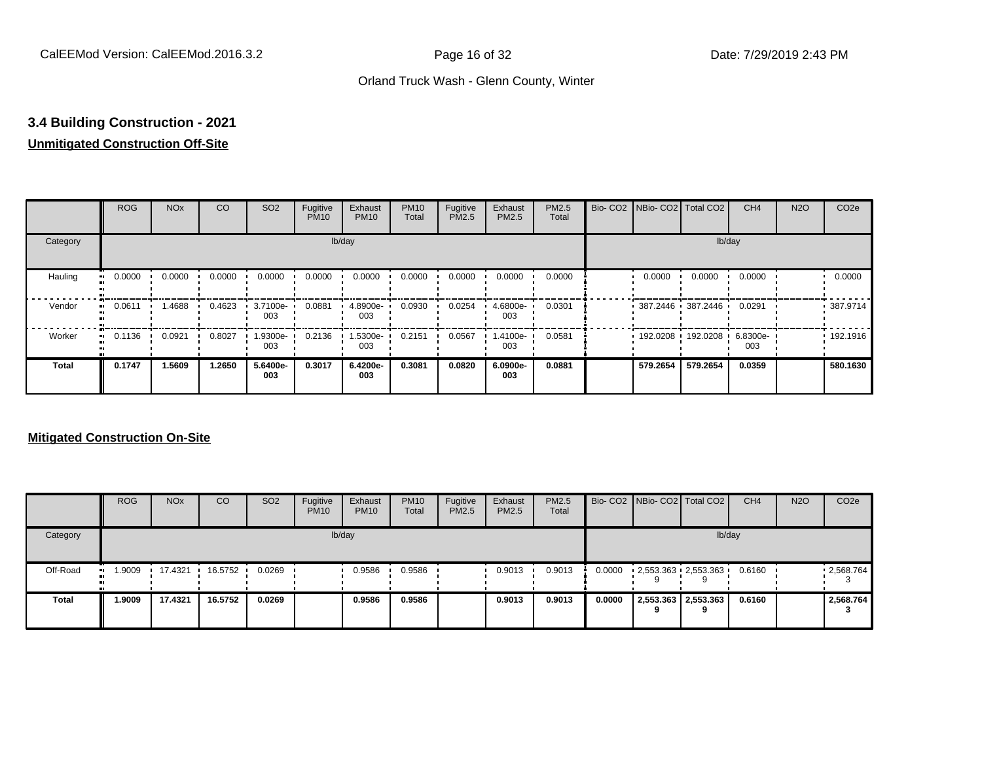## **3.4 Building Construction - 2021**

#### **Unmitigated Construction Off-Site**

|                        | <b>ROG</b> | <b>NO<sub>x</sub></b> | CO     | SO <sub>2</sub> | Fugitive<br><b>PM10</b> | Exhaust<br><b>PM10</b> | <b>PM10</b><br>Total | Fugitive<br><b>PM2.5</b> | Exhaust<br>PM2.5 | PM2.5<br>Total | Bio- CO2   NBio- CO2   Total CO2 |                            | CH <sub>4</sub> | <b>N2O</b> | CO <sub>2e</sub> |
|------------------------|------------|-----------------------|--------|-----------------|-------------------------|------------------------|----------------------|--------------------------|------------------|----------------|----------------------------------|----------------------------|-----------------|------------|------------------|
| Category               |            |                       |        |                 |                         | lb/day                 |                      |                          |                  |                |                                  |                            | lb/day          |            |                  |
| Hauling<br>œ           | 0.0000     | 0.0000                | 0.0000 | 0.0000          | 0.0000                  | 0.0000                 | 0.0000               | 0.0000                   | 0.0000           | 0.0000         | 0.0000                           | 0.0000                     | 0.0000          |            | 0.0000           |
| Vendor<br>œ            | 0.0611     | 1.4688                | 0.4623 | 3.7100e-<br>003 | 0.0881                  | 4.8900e-<br>003        | 0.0930               | 0.0254                   | 4.6800e-<br>003  | 0.0301         |                                  | 387.2446 387.2446          | 0.0291          |            | .387.9714        |
| Worker<br>$\mathbf{u}$ | 0.1136     | 0.0921                | 0.8027 | -9300e.<br>003  | 0.2136                  | 1.5300e-<br>003        | 0.2151               | 0.0567                   | -.4100e<br>003   | 0.0581         |                                  | 192.0208 192.0208 6.8300e- | 003             |            | 192.1916         |
| <b>Total</b>           | 0.1747     | 1.5609                | 1.2650 | 5.6400e-<br>003 | 0.3017                  | 6.4200e-<br>003        | 0.3081               | 0.0820                   | 6.0900e-<br>003  | 0.0881         | 579.2654                         | 579.2654                   | 0.0359          |            | 580.1630         |

|              | <b>ROG</b>           | <b>NO<sub>x</sub></b> | CO      | SO <sub>2</sub> | Fugitive<br><b>PM10</b> | Exhaust<br><b>PM10</b> | <b>PM10</b><br>Total | Fugitive<br><b>PM2.5</b> | Exhaust<br><b>PM2.5</b> | <b>PM2.5</b><br>Total |        | Bio- CO2   NBio- CO2   Total CO2 |   | CH <sub>4</sub> | <b>N2O</b> | CO <sub>2</sub> e |
|--------------|----------------------|-----------------------|---------|-----------------|-------------------------|------------------------|----------------------|--------------------------|-------------------------|-----------------------|--------|----------------------------------|---|-----------------|------------|-------------------|
| Category     |                      |                       |         |                 |                         | lb/day                 |                      |                          |                         |                       |        |                                  |   | lb/day          |            |                   |
| Off-Road     | 9009. ا<br>$\bullet$ | 17.4321               | 16.5752 | 0.0269          |                         | 0.9586                 | 0.9586               |                          | 0.9013                  | 0.9013                | 0.0000 | $-2,553.363 - 2,553.363$         |   | 0.6160          |            | 12,568.764        |
| <b>Total</b> | 1.9009               | 17.4321               | 16.5752 | 0.0269          |                         | 0.9586                 | 0.9586               |                          | 0.9013                  | 0.9013                | 0.0000 | 2,553.363 2,553.363              | 9 | 0.6160          |            | 2.568.764         |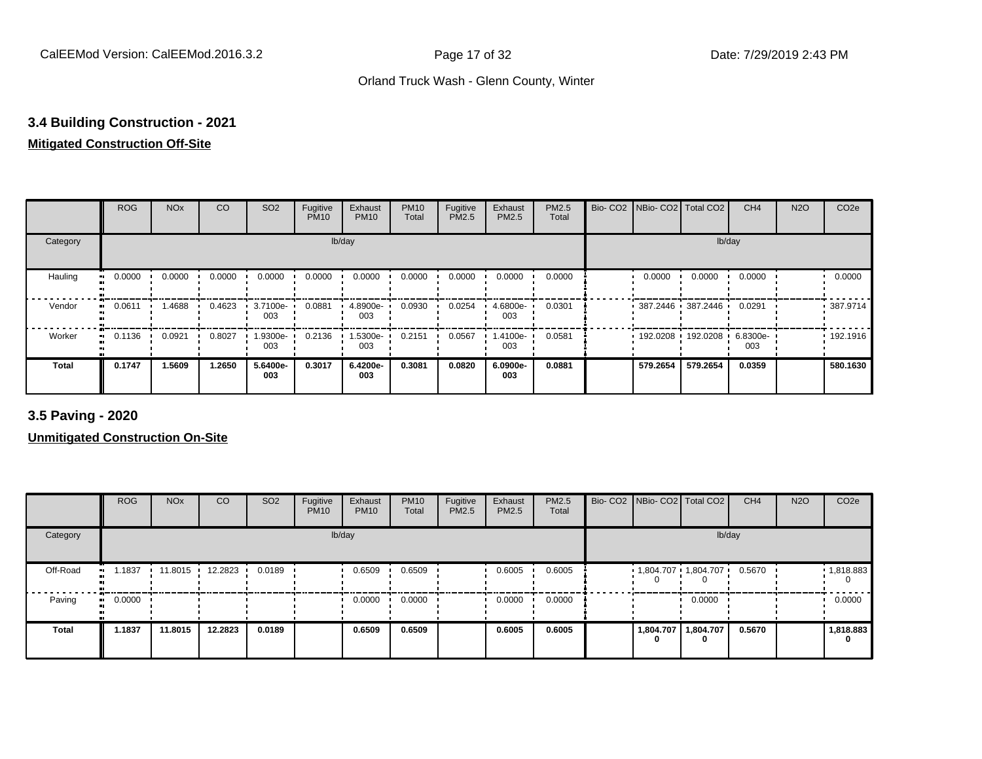## **3.4 Building Construction - 2021**

#### **Mitigated Construction Off-Site**

|                      | <b>ROG</b>                 | <b>NO<sub>x</sub></b> | CO     | SO <sub>2</sub> | Fugitive<br><b>PM10</b> | Exhaust<br><b>PM10</b> | <b>PM10</b><br>Total | Fugitive<br>PM2.5 | Exhaust<br>PM2.5 | PM2.5<br>Total | Bio- CO2   NBio- CO2   Total CO2 |                     | CH <sub>4</sub> | <b>N2O</b> | CO <sub>2e</sub> |
|----------------------|----------------------------|-----------------------|--------|-----------------|-------------------------|------------------------|----------------------|-------------------|------------------|----------------|----------------------------------|---------------------|-----------------|------------|------------------|
| Category             |                            |                       |        |                 |                         | lb/day                 |                      |                   |                  |                |                                  | lb/day              |                 |            |                  |
| Hauling<br>$\bullet$ | 0.0000                     | 0.0000                | 0.0000 | 0.0000          | 0.0000                  | 0.0000                 | 0.0000               | 0.0000            | 0.0000           | 0.0000         | 0.0000                           | 0.0000              | 0.0000          |            | 0.0000           |
| Vendor               | 0.0611<br>$\bullet\bullet$ | 1.4688                | 0.4623 | 3.7100e-<br>003 | 0.0881                  | 4.8900e-<br>003        | 0.0930               | 0.0254            | 4.6800e-<br>003  | 0.0301         | $387.2446$ 387.2446              |                     | 0.0291          |            | .387.9714        |
| Worker<br>$\bullet$  | 0.1136                     | 0.0921                | 0.8027 | 1.9300e-<br>003 | 0.2136                  | 1.5300e-<br>003        | 0.2151               | 0.0567            | .4100e-<br>003   | 0.0581         |                                  | 192.0208 192.0208 ' | 6.8300e-<br>003 |            | .192.1916        |
| <b>Total</b>         | 0.1747                     | 1.5609                | 1.2650 | 5.6400e-<br>003 | 0.3017                  | 6.4200e-<br>003        | 0.3081               | 0.0820            | 6.0900e-<br>003  | 0.0881         | 579.2654                         | 579.2654            | 0.0359          |            | 580.1630         |

**3.5 Paving - 2020**

|              | <b>ROG</b> | <b>NO<sub>x</sub></b> | CO      | SO <sub>2</sub> | Fugitive<br><b>PM10</b> | Exhaust<br><b>PM10</b> | <b>PM10</b><br>Total | Fugitive<br><b>PM2.5</b> | Exhaust<br>PM2.5 | <b>PM2.5</b><br>Total | Bio- CO2 NBio- CO2 Total CO2 |           | CH <sub>4</sub> | <b>N2O</b> | CO <sub>2e</sub> |
|--------------|------------|-----------------------|---------|-----------------|-------------------------|------------------------|----------------------|--------------------------|------------------|-----------------------|------------------------------|-----------|-----------------|------------|------------------|
| Category     |            |                       |         |                 |                         | lb/day                 |                      |                          |                  |                       |                              | lb/day    |                 |            |                  |
| Off-Road     | .1837      | 11.8015               | 12.2823 | 0.0189          |                         | 0.6509                 | 0.6509               |                          | 0.6005           | 0.6005                | 1,804.707 1,804.707          |           | 0.5670          |            | 1,818.883        |
| Paving       | 0.0000     |                       |         |                 |                         | 0.0000                 | 0.0000               |                          | 0.0000           | 0.0000                |                              | 0.0000    |                 |            | 0.0000           |
| <b>Total</b> | 1.1837     | 11.8015               | 12.2823 | 0.0189          |                         | 0.6509                 | 0.6509               |                          | 0.6005           | 0.6005                | 1,804.707                    | 1,804.707 | 0.5670          |            | 1,818.883<br>0   |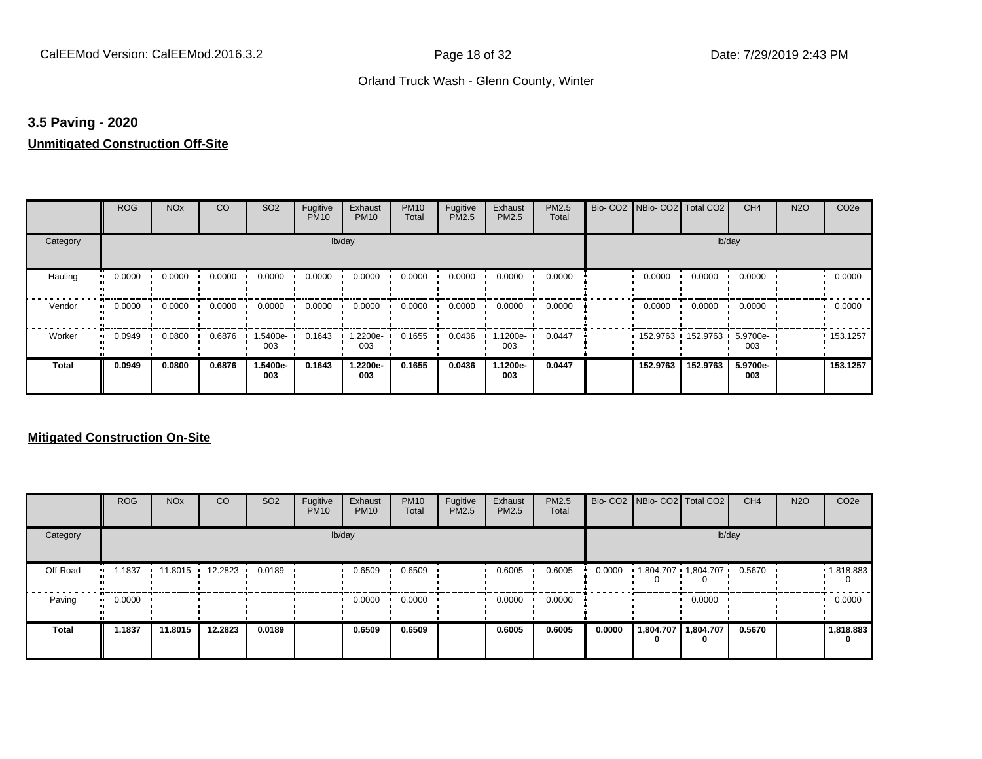#### **3.5 Paving - 2020**

#### **Unmitigated Construction Off-Site**

|          | <b>ROG</b>          | <b>NO<sub>x</sub></b> | CO     | SO <sub>2</sub> | Fugitive<br><b>PM10</b> | Exhaust<br><b>PM10</b> | <b>PM10</b><br>Total | Fugitive<br>PM2.5 | Exhaust<br>PM2.5 | PM2.5<br>Total | Bio- CO2   NBio- CO2   Total CO2 |                     | CH <sub>4</sub> | <b>N2O</b> | CO <sub>2e</sub> |
|----------|---------------------|-----------------------|--------|-----------------|-------------------------|------------------------|----------------------|-------------------|------------------|----------------|----------------------------------|---------------------|-----------------|------------|------------------|
| Category |                     |                       |        |                 | lb/day                  |                        |                      |                   |                  |                |                                  | lb/day              |                 |            |                  |
| Hauling  | 0.0000              | 0.0000                | 0.0000 | 0.0000          | 0.0000                  | 0.0000                 | 0.0000               | 0.0000            | 0.0000           | 0.0000         | 0.0000                           | 0.0000              | 0.0000          |            | 0.0000           |
| Vendor   | 0.0000<br>ш.        | 0.0000                | 0.0000 | 0.0000          | 0.0000                  | 0.0000                 | 0.0000               | 0.0000            | 0.0000           | 0.0000         | 0.0000                           | 0.0000              | 0.0000          |            | 0.0000           |
| Worker   | 0.0949<br>$\bullet$ | 0.0800                | 0.6876 | 1.5400e-<br>003 | 0.1643                  | 1.2200e-<br>003        | 0.1655               | 0.0436            | $.1200e-$<br>003 | 0.0447         |                                  | 152.9763 152.9763 1 | 5.9700e-<br>003 |            | .153.1257        |
| Total    | 0.0949              | 0.0800                | 0.6876 | 1.5400e-<br>003 | 0.1643                  | 1.2200e-<br>003        | 0.1655               | 0.0436            | 1.1200e-<br>003  | 0.0447         | 152.9763                         | 152.9763            | 5.9700e-<br>003 |            | 153.1257         |

|          | <b>ROG</b>   | <b>NO<sub>x</sub></b> | CO              | SO <sub>2</sub> | Fugitive<br><b>PM10</b> | Exhaust<br><b>PM10</b> | <b>PM10</b><br>Total | Fugitive<br><b>PM2.5</b> | Exhaust<br><b>PM2.5</b> | PM2.5<br>Total |        | Bio- CO2 NBio- CO2 Total CO2 |                | CH <sub>4</sub> | <b>N2O</b> | CO <sub>2e</sub> |
|----------|--------------|-----------------------|-----------------|-----------------|-------------------------|------------------------|----------------------|--------------------------|-------------------------|----------------|--------|------------------------------|----------------|-----------------|------------|------------------|
| Category |              |                       |                 |                 |                         | lb/day                 |                      |                          |                         |                |        |                              | lb/day         |                 |            |                  |
| Off-Road | .1837<br>. . |                       | 11.8015 12.2823 | 0.0189          |                         | 0.6509                 | 0.6509               |                          | 0.6005                  | 0.6005         | 0.0000 | 1,804.707 1,804.707          |                | 0.5670          |            | 1,818.883        |
| Paving   | 0.0000<br>ш. |                       |                 |                 |                         | 0.0000                 | 0.0000               |                          | 0.0000                  | 0.0000         |        |                              | 0.0000         |                 |            | 0.0000           |
| Total    | 1.1837       | 11.8015               | 12.2823         | 0.0189          |                         | 0.6509                 | 0.6509               |                          | 0.6005                  | 0.6005         | 0.0000 | 1,804.707<br>0               | 1,804.707<br>0 | 0.5670          |            | 1,818.883<br>0   |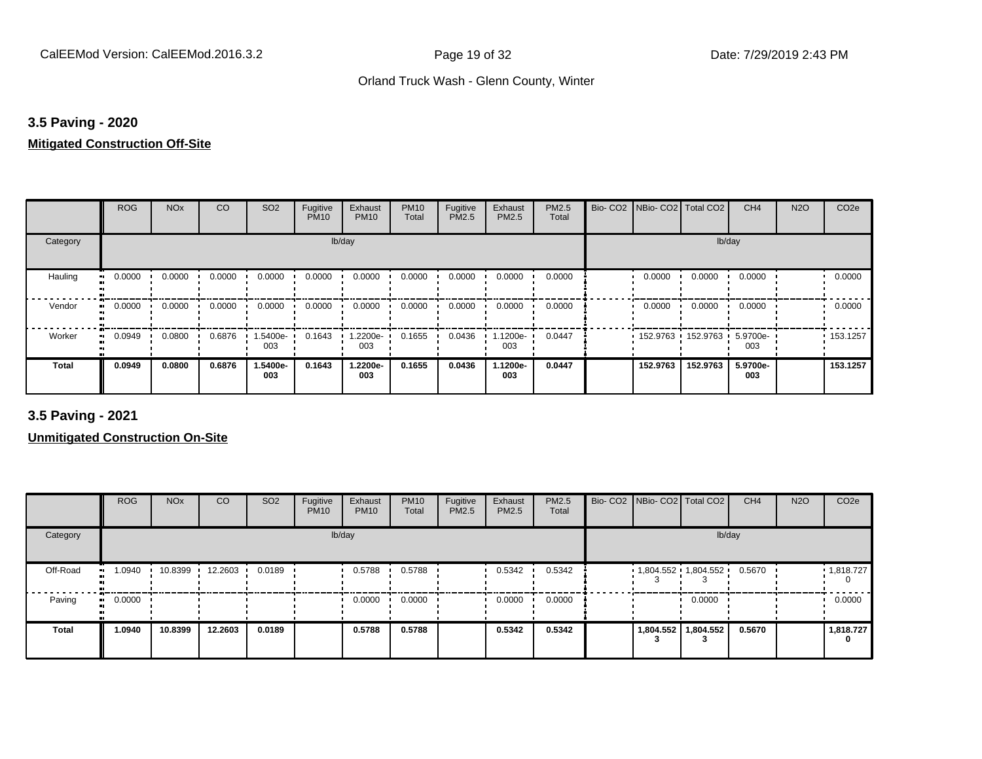#### **3.5 Paving - 2020**

#### **Mitigated Construction Off-Site**

|                     | <b>ROG</b> | <b>NO<sub>x</sub></b> | CO     | SO <sub>2</sub> | Fugitive<br><b>PM10</b> | Exhaust<br><b>PM10</b> | <b>PM10</b><br>Total | Fugitive<br>PM2.5 | Exhaust<br>PM2.5 | PM2.5<br>Total | Bio-CO <sub>2</sub> | NBio- CO2   Total CO2 |                     | CH <sub>4</sub> | <b>N2O</b> | CO <sub>2e</sub> |
|---------------------|------------|-----------------------|--------|-----------------|-------------------------|------------------------|----------------------|-------------------|------------------|----------------|---------------------|-----------------------|---------------------|-----------------|------------|------------------|
| Category            |            |                       |        |                 | lb/day                  |                        |                      |                   |                  |                |                     |                       | lb/day              |                 |            |                  |
| Hauling             | 0.0000     | 0.0000                | 0.0000 | 0.0000          | 0.0000                  | 0.0000                 | 0.0000               | 0.0000            | 0.0000           | 0.0000         |                     | 0.0000                | 0.0000              | 0.0000          |            | 0.0000           |
| Vendor<br>$\bullet$ | 0.0000     | 0.0000                | 0.0000 | 0.0000          | 0.0000                  | 0.0000                 | 0.0000               | 0.0000            | 0.0000           | 0.0000         |                     | 0.0000                | 0.0000              | 0.0000          |            | 0.0000           |
| Worker              | 0.0949     | 0.0800                | 0.6876 | -5400e-<br>003  | 0.1643                  | 1.2200e-<br>003        | 0.1655               | 0.0436            | 1.1200e-<br>003  | 0.0447         |                     |                       | 152.9763 152.9763 ' | 5.9700e-<br>003 |            | .153.1257        |
| <b>Total</b>        | 0.0949     | 0.0800                | 0.6876 | 1.5400e-<br>003 | 0.1643                  | 1.2200e-<br>003        | 0.1655               | 0.0436            | 1.1200e-<br>003  | 0.0447         |                     | 152.9763              | 152.9763            | 5.9700e-<br>003 |            | 153.1257         |

**3.5 Paving - 2021**

|          | <b>ROG</b> | <b>NO<sub>x</sub></b> | CO      | SO <sub>2</sub> | Fugitive<br><b>PM10</b> | Exhaust<br><b>PM10</b> | <b>PM10</b><br>Total | Fugitive<br><b>PM2.5</b> | Exhaust<br>PM2.5 | PM2.5<br>Total | Bio- CO2   NBio- CO2   Total CO2 |           | CH <sub>4</sub> | <b>N2O</b> | CO <sub>2e</sub> |
|----------|------------|-----------------------|---------|-----------------|-------------------------|------------------------|----------------------|--------------------------|------------------|----------------|----------------------------------|-----------|-----------------|------------|------------------|
| Category |            |                       |         |                 |                         | lb/day                 |                      |                          |                  |                |                                  | lb/day    |                 |            |                  |
| Off-Road | 1.0940     | 10.8399               | 12.2603 | 0.0189          |                         | 0.5788                 | 0.5788               |                          | 0.5342           | 0.5342         | $1,804.552$ $1,804.552$          |           | 0.5670          |            | 1,818.727        |
| Paving   | 0.0000     |                       |         |                 |                         | 0.0000                 | 0.0000               |                          | 0.0000           | 0.0000         |                                  | 0.0000    |                 |            | 0.0000           |
| Total    | 1.0940     | 10.8399               | 12.2603 | 0.0189          |                         | 0.5788                 | 0.5788               |                          | 0.5342           | 0.5342         | 1,804.552                        | 1,804.552 | 0.5670          |            | 1,818.727<br>0   |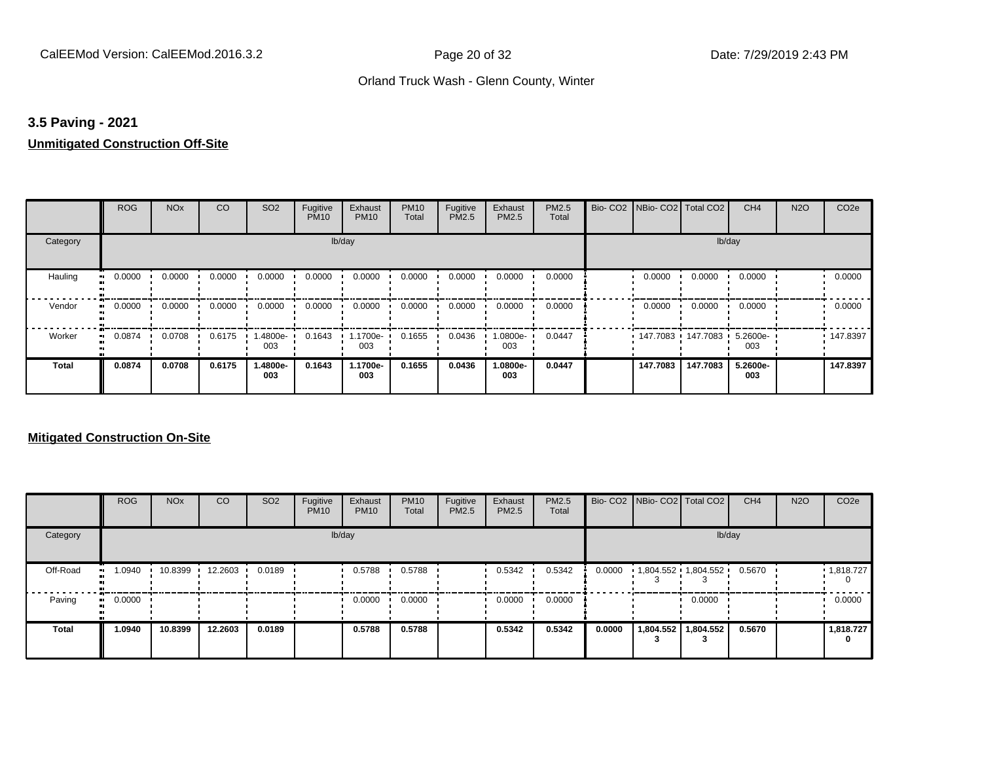#### **3.5 Paving - 2021**

#### **Unmitigated Construction Off-Site**

|              | <b>ROG</b> | <b>NO<sub>x</sub></b> | CO     | SO <sub>2</sub> | Fugitive<br><b>PM10</b> | Exhaust<br><b>PM10</b> | <b>PM10</b><br>Total | Fugitive<br>PM2.5 | Exhaust<br>PM2.5 | PM2.5<br>Total | Bio- CO2   NBio- CO2   Total CO2 |          | CH <sub>4</sub> | <b>N2O</b> | CO <sub>2e</sub> |
|--------------|------------|-----------------------|--------|-----------------|-------------------------|------------------------|----------------------|-------------------|------------------|----------------|----------------------------------|----------|-----------------|------------|------------------|
| Category     |            |                       |        |                 | lb/day                  |                        |                      |                   |                  |                |                                  |          | lb/day          |            |                  |
| Hauling      | 0.0000     | 0.0000                | 0.0000 | 0.0000          | 0.0000                  | 0.0000                 | 0.0000               | 0.0000            | 0.0000           | 0.0000         | 0.0000                           | 0.0000   | 0.0000          |            | 0.0000           |
| Vendor       | 0.0000     | 0.0000                | 0.0000 | 0.0000          | 0.0000                  | 0.0000                 | 0.0000               | 0.0000            | 0.0000           | 0.0000         | 0.0000                           | 0.0000   | 0.0000          |            | 0.0000           |
| Worker       | 0.0874     | 0.0708                | 0.6175 | 1.4800e-<br>003 | 0.1643                  | 1.1700e-<br>003        | 0.1655               | 0.0436            | $.0800e-$<br>003 | 0.0447         | 147.7083 147.7083 '              |          | 5.2600e-<br>003 |            | 147.8397         |
| <b>Total</b> | 0.0874     | 0.0708                | 0.6175 | 1.4800e-<br>003 | 0.1643                  | 1.1700e-<br>003        | 0.1655               | 0.0436            | 1.0800e-<br>003  | 0.0447         | 147.7083                         | 147.7083 | 5.2600e-<br>003 |            | 147.8397         |

|              | <b>ROG</b>   | <b>NO<sub>x</sub></b> | <b>CO</b> | SO <sub>2</sub> | Fugitive<br><b>PM10</b> | Exhaust<br><b>PM10</b> | <b>PM10</b><br>Total | Fugitive<br><b>PM2.5</b> | Exhaust<br><b>PM2.5</b> | <b>PM2.5</b><br>Total |        | Bio- CO2   NBio- CO2   Total CO2 |                       | CH <sub>4</sub> | <b>N2O</b> | CO <sub>2e</sub>       |
|--------------|--------------|-----------------------|-----------|-----------------|-------------------------|------------------------|----------------------|--------------------------|-------------------------|-----------------------|--------|----------------------------------|-----------------------|-----------------|------------|------------------------|
| Category     |              |                       |           |                 |                         | lb/day                 |                      |                          |                         |                       |        |                                  | lb/day                |                 |            |                        |
| Off-Road     | 1.0940<br>   | 10.8399               | 12.2603   | 0.0189          |                         | 0.5788                 | 0.5788               |                          | 0.5342                  | 0.5342                | 0.0000 |                                  | 1,804.552 1,804.552 ' | 0.5670          |            | $\cdot$ 1,818.727<br>0 |
| Paving       | 0.0000<br>ш. |                       |           |                 |                         | 0.0000                 | 0.0000               |                          | 0.0000                  | 0.0000                |        |                                  | 0.0000                |                 |            | 0.0000                 |
| <b>Total</b> | 1.0940       | 10.8399               | 12.2603   | 0.0189          |                         | 0.5788                 | 0.5788               |                          | 0.5342                  | 0.5342                | 0.0000 | 1,804.552                        | 1,804.552             | 0.5670          |            | 1,818.727<br>0         |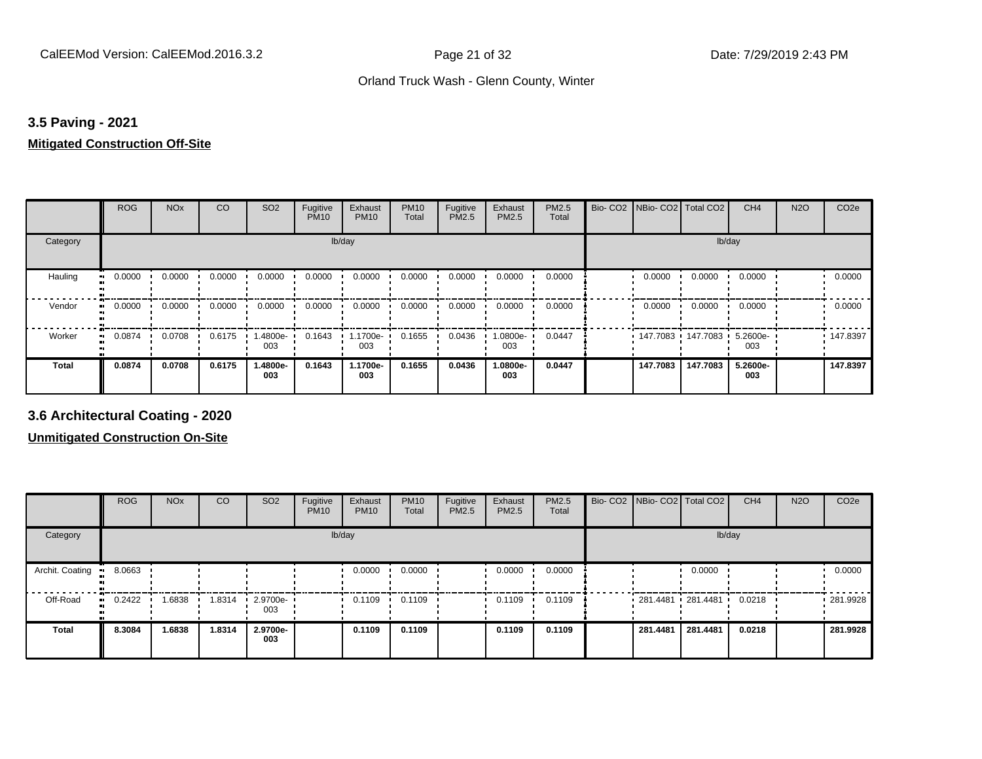#### **3.5 Paving - 2021**

#### **Mitigated Construction Off-Site**

|          | <b>ROG</b> | <b>NO<sub>x</sub></b> | CO     | SO <sub>2</sub> | Fugitive<br><b>PM10</b> | Exhaust<br><b>PM10</b> | <b>PM10</b><br>Total | Fugitive<br>PM2.5 | Exhaust<br>PM2.5 | PM2.5<br>Total | Bio-CO <sub>2</sub> | NBio- CO2   Total CO2 |                     | CH <sub>4</sub> | <b>N2O</b> | CO <sub>2e</sub> |
|----------|------------|-----------------------|--------|-----------------|-------------------------|------------------------|----------------------|-------------------|------------------|----------------|---------------------|-----------------------|---------------------|-----------------|------------|------------------|
| Category |            |                       |        |                 |                         | lb/day                 |                      |                   |                  |                |                     |                       | lb/day              |                 |            |                  |
| Hauling  | 0.0000     | 0.0000                | 0.0000 | 0.0000          | 0.0000                  | 0.0000                 | 0.0000               | 0.0000            | 0.0000           | 0.0000         |                     | 0.0000                | 0.0000              | 0.0000          |            | 0.0000           |
| Vendor   | 0.0000     | 0.0000                | 0.0000 | 0.0000          | 0.0000                  | 0.0000                 | 0.0000               | 0.0000            | 0.0000           | 0.0000         |                     | 0.0000                | 0.0000              | 0.0000          |            | 0.0000           |
| Worker   | 0.0874     | 0.0708                | 0.6175 | 1.4800e-<br>003 | 0.1643                  | 1.1700e-<br>003        | 0.1655               | 0.0436            | 1.0800e-<br>003  | 0.0447         |                     |                       | 147.7083 147.7083 1 | 5.2600e-<br>003 |            | .147.8397        |
| Total    | 0.0874     | 0.0708                | 0.6175 | 1.4800e-<br>003 | 0.1643                  | 1.1700e-<br>003        | 0.1655               | 0.0436            | -.0800e<br>003   | 0.0447         |                     | 147.7083              | 147.7083            | 5.2600e-<br>003 |            | 147.8397         |

**3.6 Architectural Coating - 2020**

|                         | <b>ROG</b>  | <b>NO<sub>x</sub></b> | CO     | SO <sub>2</sub>         | Fugitive<br><b>PM10</b> | Exhaust<br><b>PM10</b> | <b>PM10</b><br>Total | Fugitive<br><b>PM2.5</b> | Exhaust<br>PM2.5 | PM2.5<br>Total | Bio- CO2 NBio- CO2 Total CO2 |          | CH <sub>4</sub> | <b>N2O</b> | CO <sub>2e</sub> |
|-------------------------|-------------|-----------------------|--------|-------------------------|-------------------------|------------------------|----------------------|--------------------------|------------------|----------------|------------------------------|----------|-----------------|------------|------------------|
| Category                |             |                       |        |                         |                         | lb/day                 |                      |                          |                  |                |                              | lb/day   |                 |            |                  |
| Archit. Coating<br>- 90 | 8.0663      |                       |        |                         |                         | 0.0000                 | 0.0000               |                          | 0.0000           | 0.0000         |                              | 0.0000   |                 |            | 0.0000           |
| Off-Road                | 0.2422<br>. | 1.6838                | 1.8314 | $\cdot$ 2.9700e-<br>003 |                         | 0.1109                 | 0.1109               |                          | 0.1109           | 0.1109         | $281.4481$ 281.4481          |          | 0.0218          |            | 281.9928         |
| <b>Total</b>            | 8.3084      | 1.6838                | 1.8314 | 2.9700e-<br>003         |                         | 0.1109                 | 0.1109               |                          | 0.1109           | 0.1109         | 281.4481                     | 281.4481 | 0.0218          |            | 281.9928         |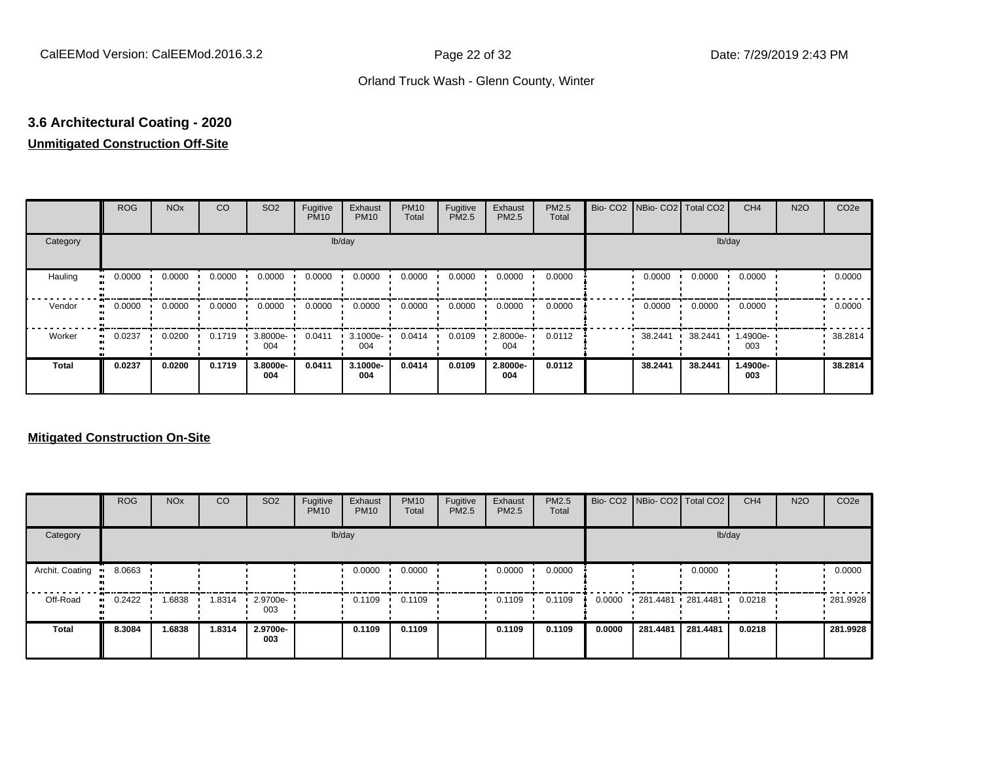# **3.6 Architectural Coating - 2020**

## **Unmitigated Construction Off-Site**

|                     | <b>ROG</b> | <b>NO<sub>x</sub></b> | CO     | SO <sub>2</sub> | Fugitive<br><b>PM10</b> | Exhaust<br><b>PM10</b> | <b>PM10</b><br>Total | Fugitive<br>PM2.5 | Exhaust<br>PM2.5 | PM2.5<br>Total | Bio- CO2   NBio- CO2   Total CO2 |         | CH <sub>4</sub> | <b>N2O</b> | CO <sub>2e</sub> |
|---------------------|------------|-----------------------|--------|-----------------|-------------------------|------------------------|----------------------|-------------------|------------------|----------------|----------------------------------|---------|-----------------|------------|------------------|
| Category            |            |                       |        |                 |                         | lb/day                 |                      |                   |                  |                |                                  | lb/day  |                 |            |                  |
| Hauling<br>œ        | 0.0000     | 0.0000                | 0.0000 | 0.0000          | 0.0000                  | 0.0000                 | 0.0000               | 0.0000            | 0.0000           | 0.0000         | 0.0000                           | 0.0000  | 0.0000          |            | 0.0000           |
| Vendor<br>$\bullet$ | 0.0000     | 0.0000                | 0.0000 | 0.0000          | 0.0000                  | 0.0000                 | 0.0000               | 0.0000            | 0.0000           | 0.0000         | 0.0000                           | 0.0000  | 0.0000          |            | 0.0000           |
| Worker<br>$\bullet$ | 0.0237     | 0.0200                | 0.1719 | 3.8000e-<br>004 | 0.0411                  | 3.1000e-<br>004        | 0.0414               | 0.0109            | 2.8000e-<br>004  | 0.0112         | 38.2441                          | 38.2441 | 1.4900e-<br>003 |            | 38.2814          |
| <b>Total</b>        | 0.0237     | 0.0200                | 0.1719 | 3.8000e-<br>004 | 0.0411                  | 3.1000e-<br>004        | 0.0414               | 0.0109            | 2.8000e-<br>004  | 0.0112         | 38.2441                          | 38.2441 | 1.4900e-<br>003 |            | 38.2814          |

|                 | <b>ROG</b>    | <b>NO<sub>x</sub></b> | <b>CO</b> | SO <sub>2</sub> | Fugitive<br><b>PM10</b> | Exhaust<br><b>PM10</b> | <b>PM10</b><br>Total | Fugitive<br><b>PM2.5</b> | Exhaust<br><b>PM2.5</b> | PM2.5<br>Total |        | Bio- CO2   NBio- CO2   Total CO2 |          | CH <sub>4</sub> | <b>N2O</b> | CO <sub>2e</sub> |
|-----------------|---------------|-----------------------|-----------|-----------------|-------------------------|------------------------|----------------------|--------------------------|-------------------------|----------------|--------|----------------------------------|----------|-----------------|------------|------------------|
| Category        |               |                       |           |                 |                         | lb/day                 |                      |                          |                         |                |        |                                  | lb/day   |                 |            |                  |
| Archit. Coating | 8.0663        |                       |           |                 |                         | 0.0000                 | 0.0000               |                          | 0.0000                  | 0.0000         |        |                                  | 0.0000   |                 |            | 0.0000           |
| Off-Road        | 0.2422<br>. . | .6838                 | 1.8314    | 2.9700e-<br>003 |                         | 0.1109                 | 0.1109               |                          | 0.1109                  | 0.1109         | 0.0000 | 281.4481 281.4481                |          | 0.0218          |            | $-281.9928$      |
| <b>Total</b>    | 8.3084        | 1.6838                | 1.8314    | 2.9700e-<br>003 |                         | 0.1109                 | 0.1109               |                          | 0.1109                  | 0.1109         | 0.0000 | 281.4481                         | 281.4481 | 0.0218          |            | 281.9928         |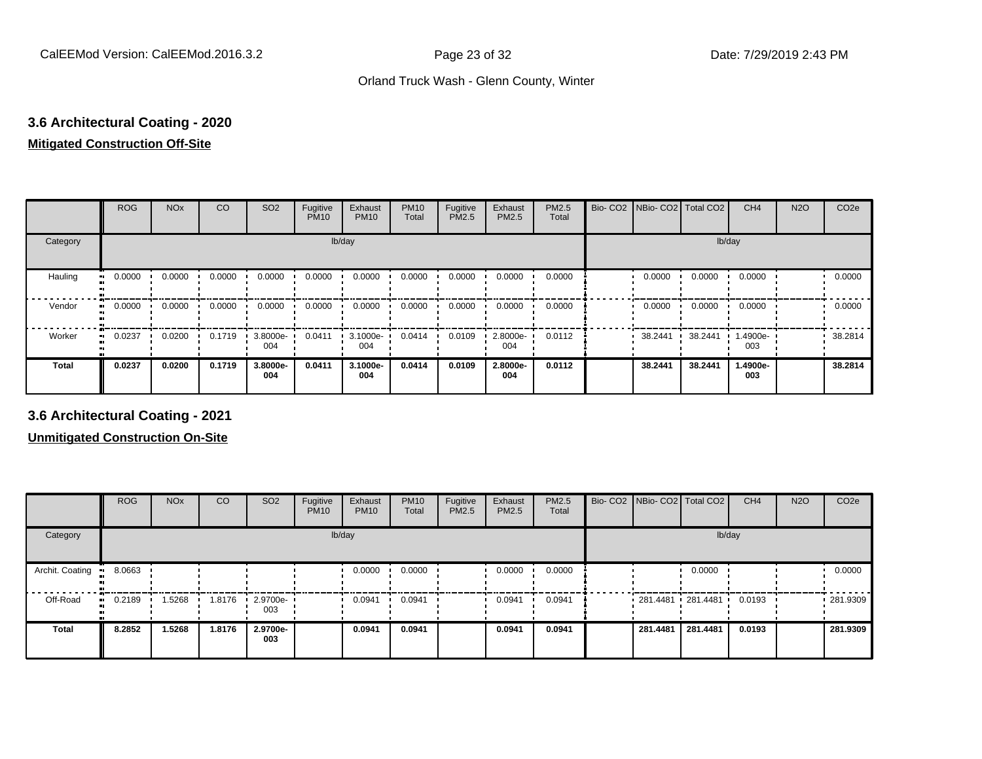## **3.6 Architectural Coating - 2020 Mitigated Construction Off-Site**

|                      | <b>ROG</b> | <b>NO<sub>x</sub></b> | <b>CO</b> | SO <sub>2</sub> | Fugitive<br><b>PM10</b> | Exhaust<br><b>PM10</b> | <b>PM10</b><br>Total | Fugitive<br>PM2.5 | Exhaust<br>PM2.5 | PM2.5<br>Total | Bio- CO2   NBio- CO2   Total CO2 |         | CH <sub>4</sub> | <b>N2O</b> | CO <sub>2e</sub> |
|----------------------|------------|-----------------------|-----------|-----------------|-------------------------|------------------------|----------------------|-------------------|------------------|----------------|----------------------------------|---------|-----------------|------------|------------------|
| Category             |            |                       |           |                 | lb/day                  |                        |                      |                   |                  |                |                                  | lb/day  |                 |            |                  |
| Hauling<br>$\bullet$ | 0.0000     | 0.0000                | 0.0000    | 0.0000          | 0.0000                  | 0.0000                 | 0.0000               | 0.0000            | 0.0000           | 0.0000         | 0.0000                           | 0.0000  | 0.0000          |            | 0.0000           |
| Vendor               | 0.0000     | 0.0000                | 0.0000    | 0.0000          | 0.0000                  | 0.0000                 | 0.0000               | 0.0000            | 0.0000           | 0.0000         | 0.0000                           | 0.0000  | 0.0000          |            | 0.0000           |
| Worker               | 0.0237     | 0.0200                | 0.1719    | 3.8000e-<br>004 | 0.0411                  | 3.1000e-<br>004        | 0.0414               | 0.0109            | 2.8000e-<br>004  | 0.0112         | 38.2441                          | 38.2441 | 1.4900e-<br>003 |            | 38.2814          |
| <b>Total</b>         | 0.0237     | 0.0200                | 0.1719    | 3.8000e-<br>004 | 0.0411                  | 3.1000e-<br>004        | 0.0414               | 0.0109            | 2.8000e-<br>004  | 0.0112         | 38.2441                          | 38.2441 | 1.4900e-<br>003 |            | 38.2814          |

**3.6 Architectural Coating - 2021**

|                        | <b>ROG</b>   | <b>NO<sub>x</sub></b> | CO     | SO <sub>2</sub>    | Fugitive<br><b>PM10</b> | Exhaust<br><b>PM10</b> | <b>PM10</b><br>Total | Fugitive<br><b>PM2.5</b> | Exhaust<br><b>PM2.5</b> | PM2.5<br>Total | Bio- CO2   NBio- CO2   Total CO2 |                     | CH <sub>4</sub> | <b>N2O</b> | CO <sub>2e</sub> |
|------------------------|--------------|-----------------------|--------|--------------------|-------------------------|------------------------|----------------------|--------------------------|-------------------------|----------------|----------------------------------|---------------------|-----------------|------------|------------------|
| Category               |              |                       |        |                    |                         | lb/day                 |                      |                          |                         |                |                                  | lb/day              |                 |            |                  |
| Archit. Coating<br>-91 | 8.0663       |                       |        |                    |                         | 0.0000                 | 0.0000               |                          | 0.0000                  | 0.0000         |                                  | 0.0000              |                 |            | 0.0000           |
| Off-Road               | 0.2189<br>ш. | .5268                 | 1.8176 | $-2.9700e-$<br>003 |                         | 0.0941                 | 0.0941               |                          | 0.0941                  | 0.0941         |                                  | 281.4481 281.4481 ' | 0.0193          |            | .281.9309        |
| <b>Total</b>           | 8.2852       | 1.5268                | 1.8176 | 2.9700e-<br>003    |                         | 0.0941                 | 0.0941               |                          | 0.0941                  | 0.0941         | 281.4481                         | 281.4481            | 0.0193          |            | 281.9309         |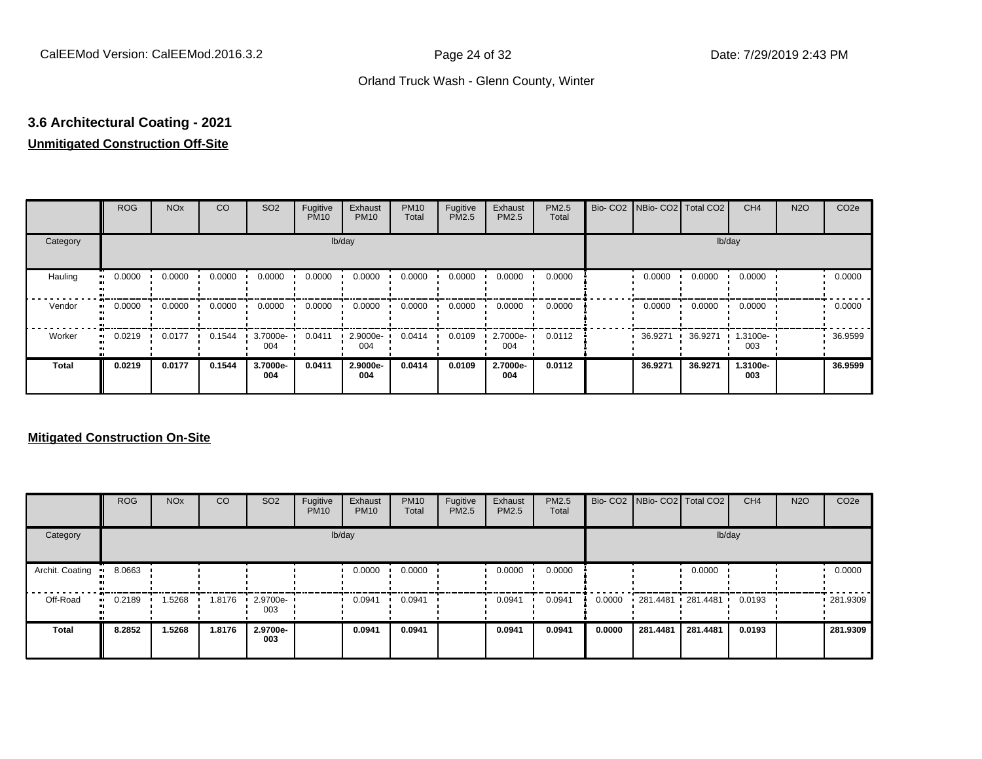# **3.6 Architectural Coating - 2021**

## **Unmitigated Construction Off-Site**

|                     | <b>ROG</b> | <b>NO<sub>x</sub></b> | CO     | SO <sub>2</sub> | Fugitive<br><b>PM10</b> | Exhaust<br><b>PM10</b> | <b>PM10</b><br>Total | Fugitive<br>PM2.5 | Exhaust<br>PM2.5 | PM2.5<br>Total | Bio- CO2   NBio- CO2   Total CO2 |         | CH <sub>4</sub> | <b>N2O</b> | CO <sub>2e</sub> |
|---------------------|------------|-----------------------|--------|-----------------|-------------------------|------------------------|----------------------|-------------------|------------------|----------------|----------------------------------|---------|-----------------|------------|------------------|
| Category            |            |                       |        |                 |                         | lb/day                 |                      |                   |                  |                |                                  |         | lb/day          |            |                  |
| Hauling<br>œ        | 0.0000     | 0.0000                | 0.0000 | 0.0000          | 0.0000                  | 0.0000                 | 0.0000               | 0.0000            | 0.0000           | 0.0000         | 0.0000                           | 0.0000  | 0.0000          |            | 0.0000           |
| Vendor<br>$\bullet$ | 0.0000     | 0.0000                | 0.0000 | 0.0000          | 0.0000                  | 0.0000                 | 0.0000               | 0.0000            | 0.0000           | 0.0000         | 0.0000                           | 0.0000  | 0.0000          |            | 0.0000           |
| Worker<br>$\bullet$ | 0.0219     | 0.0177                | 0.1544 | 3.7000e-<br>004 | 0.0411                  | 2.9000e-<br>004        | 0.0414               | 0.0109            | 2.7000e-<br>004  | 0.0112         | 36.9271                          | 36.9271 | 1.3100e-<br>003 |            | 36.9599          |
| <b>Total</b>        | 0.0219     | 0.0177                | 0.1544 | 3.7000e-<br>004 | 0.0411                  | 2.9000e-<br>004        | 0.0414               | 0.0109            | 2.7000e-<br>004  | 0.0112         | 36.9271                          | 36.9271 | 1.3100e-<br>003 |            | 36.9599          |

|                 | <b>ROG</b> | <b>NO<sub>x</sub></b> | <b>CO</b> | SO <sub>2</sub> | Fugitive<br><b>PM10</b> | Exhaust<br><b>PM10</b> | <b>PM10</b><br>Total | Fugitive<br><b>PM2.5</b> | Exhaust<br><b>PM2.5</b> | PM2.5<br>Total |        | Bio- CO2   NBio- CO2   Total CO2 |          | CH <sub>4</sub> | <b>N2O</b> | CO <sub>2e</sub> |
|-----------------|------------|-----------------------|-----------|-----------------|-------------------------|------------------------|----------------------|--------------------------|-------------------------|----------------|--------|----------------------------------|----------|-----------------|------------|------------------|
| Category        |            |                       |           |                 |                         | lb/day                 |                      |                          |                         |                |        |                                  | lb/day   |                 |            |                  |
| Archit. Coating | 8.0663     |                       |           |                 |                         | 0.0000                 | 0.0000               |                          | 0.0000                  | 0.0000         |        |                                  | 0.0000   |                 |            | 0.0000           |
| Off-Road        | 0.2189<br> | .5268                 | 1.8176    | 2.9700e-<br>003 |                         | 0.0941                 | 0.0941               |                          | 0.0941                  | 0.0941         | 0.0000 | 281.4481 281.4481                |          | 0.0193          |            | .281.9309        |
| Total           | 8.2852     | 1.5268                | 1.8176    | 2.9700e-<br>003 |                         | 0.0941                 | 0.0941               |                          | 0.0941                  | 0.0941         | 0.0000 | 281.4481                         | 281.4481 | 0.0193          |            | 281.9309         |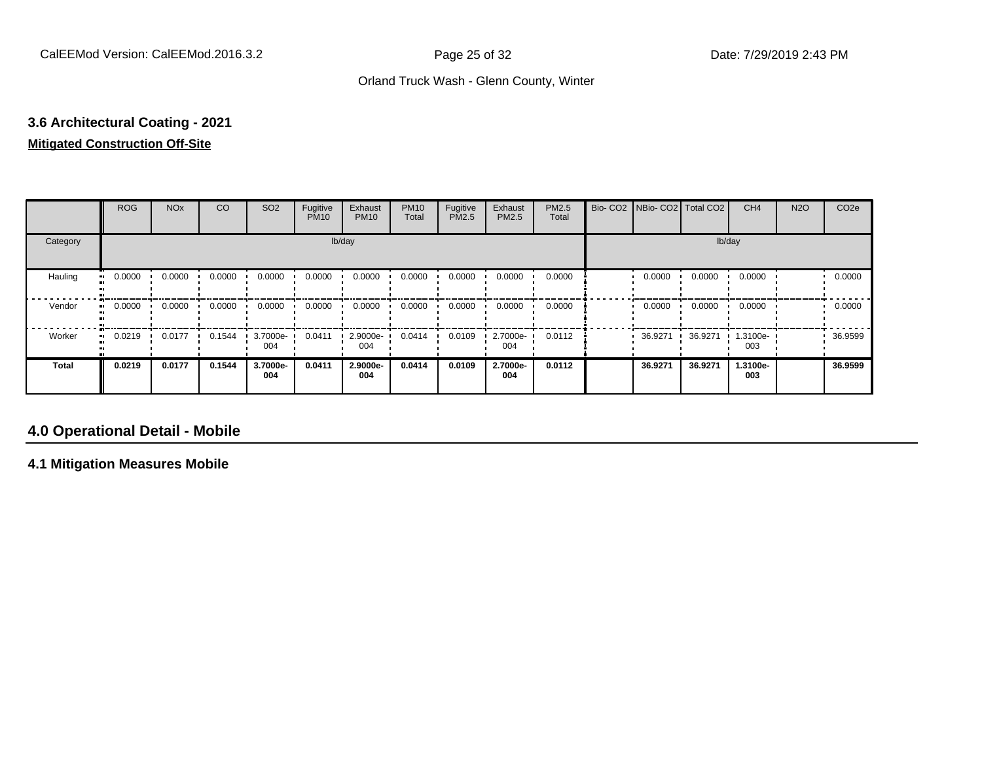## **3.6 Architectural Coating - 2021 Mitigated Construction Off-Site**

|                     | <b>ROG</b> | <b>NO<sub>x</sub></b> | CO     | SO <sub>2</sub> | Fugitive<br><b>PM10</b> | Exhaust<br><b>PM10</b> | <b>PM10</b><br>Total | Fugitive<br>PM2.5 | Exhaust<br>PM2.5 | PM2.5<br>Total | Bio- CO2   NBio- CO2   Total CO2 |         | CH <sub>4</sub> | <b>N2O</b> | CO <sub>2e</sub> |
|---------------------|------------|-----------------------|--------|-----------------|-------------------------|------------------------|----------------------|-------------------|------------------|----------------|----------------------------------|---------|-----------------|------------|------------------|
| Category            |            |                       |        |                 |                         | lb/day                 |                      |                   |                  |                |                                  |         | lb/day          |            |                  |
| Hauling<br>œ        | 0.0000     | 0.0000                | 0.0000 | 0.0000          | 0.0000                  | 0.0000                 | 0.0000               | 0.0000            | 0.0000           | 0.0000         | 0.0000                           | 0.0000  | 0.0000          |            | 0.0000           |
| Vendor<br>$\bullet$ | 0.0000     | 0.0000                | 0.0000 | 0.0000          | 0.0000                  | 0.0000                 | 0.0000               | 0.0000            | 0.0000           | 0.0000         | 0.0000                           | 0.0000  | 0.0000          |            | 0.0000           |
| Worker<br>$\bullet$ | 0.0219     | 0.0177                | 0.1544 | 3.7000e-<br>004 | 0.0411                  | 2.9000e-<br>004        | 0.0414               | 0.0109            | 2.7000e-<br>004  | 0.0112         | 36.9271                          | 36.9271 | 1.3100e-<br>003 |            | 36.9599          |
| <b>Total</b>        | 0.0219     | 0.0177                | 0.1544 | 3.7000e-<br>004 | 0.0411                  | 2.9000e-<br>004        | 0.0414               | 0.0109            | 2.7000e-<br>004  | 0.0112         | 36.9271                          | 36.9271 | 1.3100e-<br>003 |            | 36.9599          |

## **4.0 Operational Detail - Mobile**

**4.1 Mitigation Measures Mobile**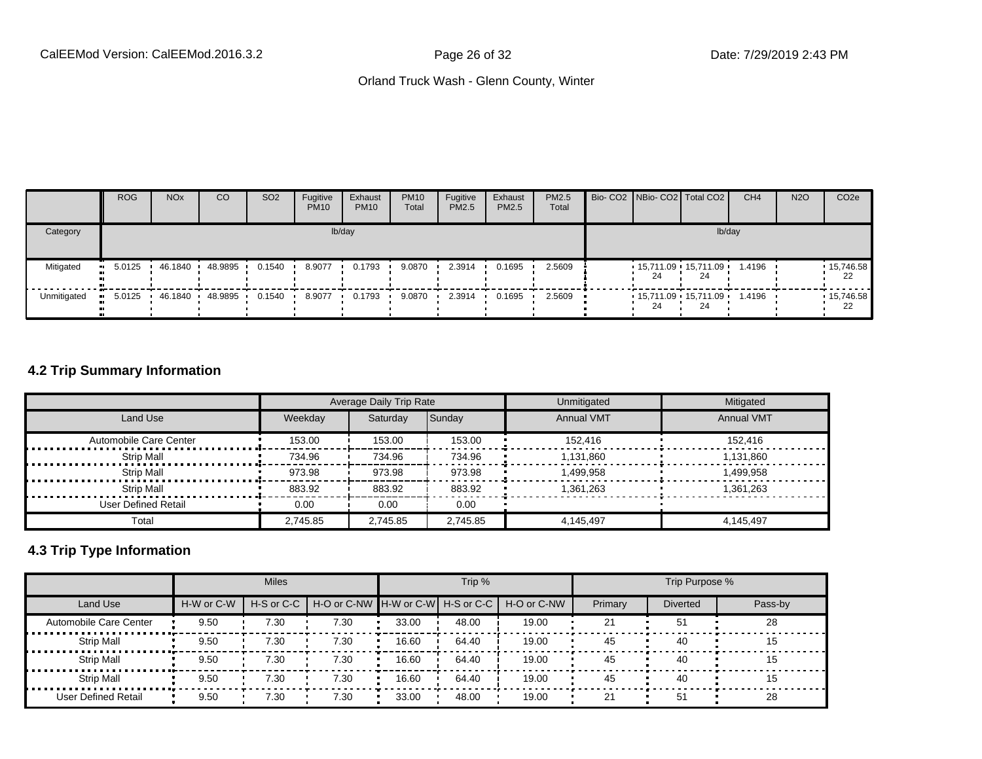|             | <b>ROG</b>           | <b>NO<sub>x</sub></b> | CO      | SO <sub>2</sub> | Fugitive<br><b>PM10</b> | Exhaust<br><b>PM10</b> | <b>PM10</b><br>Total | Fugitive<br><b>PM2.5</b> | Exhaust<br>PM2.5 | PM2.5<br>Total |    | Bio- CO2 NBio- CO2 Total CO2  | CH <sub>4</sub> | <b>N2O</b> | CO <sub>2e</sub> |
|-------------|----------------------|-----------------------|---------|-----------------|-------------------------|------------------------|----------------------|--------------------------|------------------|----------------|----|-------------------------------|-----------------|------------|------------------|
| Category    |                      |                       |         |                 |                         | lb/day                 |                      |                          |                  |                |    | lb/day                        |                 |            |                  |
| Mitigated   | 5.0125<br>ш.         | 46.1840               | 48.9895 | 0.1540          | 8.9077                  | 0.1793                 | 9.0870               | 2.3914                   | 0.1695           | 2.5609         | 24 | $15,711.09$ 15,711.09<br>24   | 1.4196          |            | 15,746.58<br>-22 |
| Unmitigated | 5.0125<br><b>COL</b> | 46.1840               | 48.9895 | 0.1540          | 8.9077                  | 0.1793                 | 9.0870               | 2.3914                   | 0.1695           | 2.5609         | 24 | $15,711.09$ $15,711.09$<br>24 | 1.4196          |            | .15,746.58<br>22 |

### **4.2 Trip Summary Information**

|                        |          | Average Daily Trip Rate |          | Unmitigated       | Mitigated         |
|------------------------|----------|-------------------------|----------|-------------------|-------------------|
| Land Use               | Weekday  | Saturday                | Sunday   | <b>Annual VMT</b> | <b>Annual VMT</b> |
| Automobile Care Center | 153.00   | 153.00                  | 153.00   | 152.416           | 152.416           |
| Strip Mall             | 734.96   | 734.96                  | 734.96   | 1.131.860         | 1.131.860         |
| <b>Strip Mall</b>      | 973.98   | 973.98                  | 973.98   | 1.499.958         | 1.499.958         |
| Strip Mall             | 883.92   | 883.92                  | 883.92   | 1,361,263         | 1,361,263         |
| User Defined Retail    | 0.00     | 0.00                    | 0.00     |                   |                   |
| Total                  | 2.745.85 | 2,745.85                | 2,745.85 | 4.145.497         | 4.145.497         |

## **4.3 Trip Type Information**

|                        |            | <b>Miles</b>   |                                   |       | Trip % |             |         | Trip Purpose %  |         |
|------------------------|------------|----------------|-----------------------------------|-------|--------|-------------|---------|-----------------|---------|
| Land Use               | H-W or C-W | $H-S$ or $C-C$ | H-O or C-NW H-W or C-W H-S or C-C |       |        | H-O or C-NW | Primary | <b>Diverted</b> | Pass-by |
| Automobile Care Center | 9.50       | 7.30           | 7.30                              | 33.00 | 48.00  | 19.00       | 21      | 51              | 28      |
| <b>Strip Mall</b>      | 9.50       | 7.30           | 7.30                              | 16.60 | 64.40  | 19.00       | 45      | 40              | 15      |
| <b>Strip Mall</b>      | 9.50       | 7.30           | 7.30                              | 16.60 | 64.40  | 19.00       | 45      | 40              | 15      |
| <b>Strip Mall</b>      | 9.50       | 7.30           | 7.30                              | 16.60 | 64.40  | 19.00       | 45      | 40              | 15      |
| User Defined Retail    | 9.50       | 7.30           | 7.30                              | 33.00 | 48.00  | 19.00       | 21      | 51              | 28      |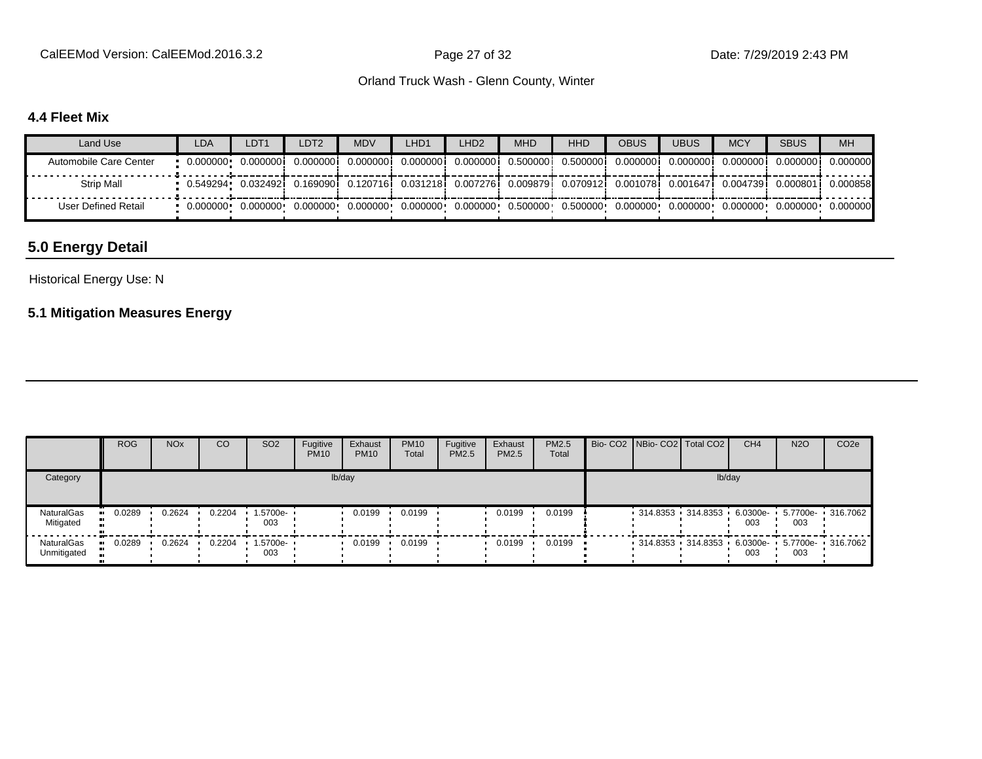CalEEMod Version: CalEEMod.2016.3.2 **Page 27 of 32** Page 27 of 32 Date: 7/29/2019 2:43 PM

#### Orland Truck Wash - Glenn County, Winter

### **4.4 Fleet Mix**

| Land Use               | <b>LDA</b> | LDT <sub>1</sub>                                                                                                                 | LDT2      | <b>MDV</b>          | LHD1 | LHD <sub>2</sub> | <b>MHD</b> | <b>HHD</b>                                                                                  | OBUS       | <b>UBUS</b> | <b>MCY</b> | <b>SBUS</b>                      | <b>MH</b>          |
|------------------------|------------|----------------------------------------------------------------------------------------------------------------------------------|-----------|---------------------|------|------------------|------------|---------------------------------------------------------------------------------------------|------------|-------------|------------|----------------------------------|--------------------|
| Automobile Care Center |            |                                                                                                                                  |           | 0.000000i 0.000000i |      |                  |            | 0.0000001 0.0000001 0.5000001 0.5000001                                                     | 0.000000 i | 0.000000    | 0.000000   |                                  | 0.0000001 0.000000 |
| Strip Mall             |            | 0.549294• 0.032492; 0.169090; 0.120716; 0.031218; 0.007276; 0.009879; 0.070912; 0.001078; 0.001647; 0.004739; 0.000801; 0.000858 |           |                     |      |                  |            |                                                                                             |            |             |            |                                  |                    |
| User Defined Retail    |            | 0.000000   0.000000                                                                                                              | 0.000000+ | $0.000000 \cdot$    |      |                  |            | $0.000000 \cdot 0.000000 \cdot 0.500000 \cdot 0.500000 \cdot 0.000000 \cdot 0.000000 \cdot$ |            |             |            | $0.000000$ $0.000000$ $0.000000$ |                    |

## **5.0 Energy Detail**

#### Historical Energy Use: N

## **5.1 Mitigation Measures Energy**

|                                  | <b>ROG</b> | <b>NO<sub>x</sub></b> | <b>CO</b> | SO <sub>2</sub>                 | Fugitive<br><b>PM10</b> | Exhaust<br><b>PM10</b> | <b>PM10</b><br>Total | Fugitive<br>PM2.5 | Exhaust<br><b>PM2.5</b> | PM2.5<br>Total |  | Bio- CO2   NBio- CO2   Total CO2             | CH <sub>4</sub> | <b>N2O</b> | CO <sub>2e</sub> |
|----------------------------------|------------|-----------------------|-----------|---------------------------------|-------------------------|------------------------|----------------------|-------------------|-------------------------|----------------|--|----------------------------------------------|-----------------|------------|------------------|
| Category                         |            |                       |           |                                 |                         | lb/day                 |                      |                   |                         |                |  | lb/day                                       |                 |            |                  |
| NaturalGas<br>Mitigated          | 0.0289     | 0.2624                | 0.2204    | 1.5700e-<br>003                 |                         | 0.0199                 | 0.0199               |                   | 0.0199                  | 0.0199         |  | 314.8353 314.8353 6.0300e- 5.7700e- 316.7062 | 003             | 003        |                  |
| <b>NaturalGas</b><br>Unmitigated | 0.0289     | 0.2624                | 0.2204    | $\cdot$ 1.5700e- $\cdot$<br>003 |                         | 0.0199                 | 0.0199               |                   | 0.0199                  | 0.0199         |  | 314.8353 314.8353 6.0300e- 5.7700e- 316.7062 | 003             | 003        |                  |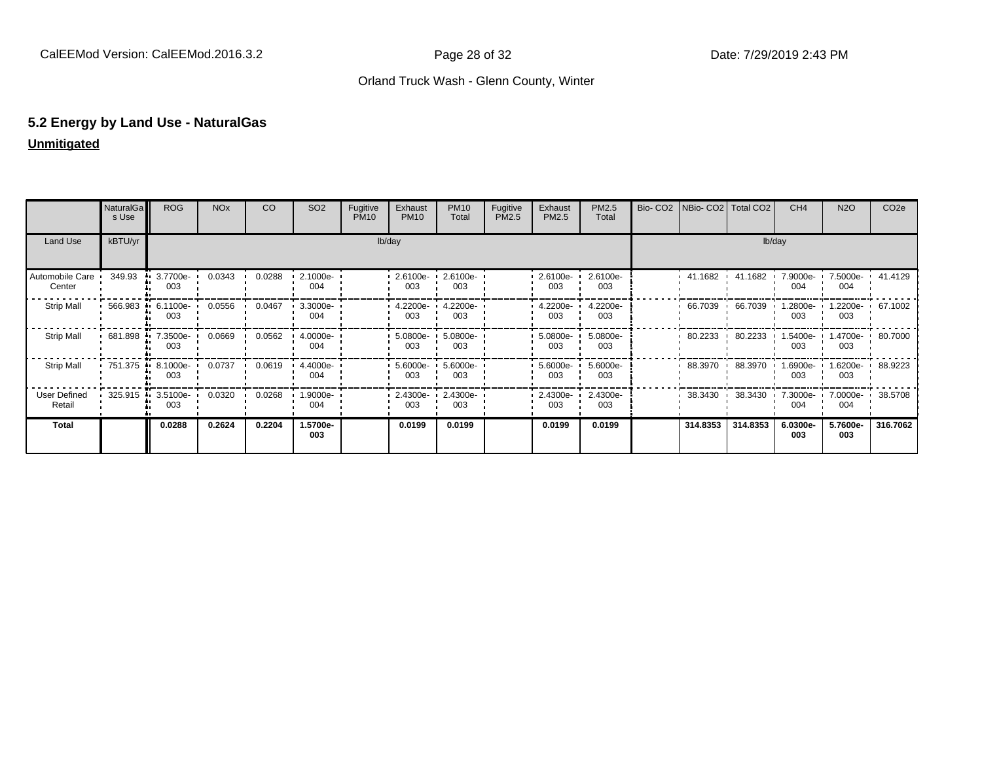## **5.2 Energy by Land Use - NaturalGas Unmitigated**

|                           | NaturalGa<br>s Use  | <b>ROG</b>              | <b>NO<sub>x</sub></b> | CO     | SO <sub>2</sub> | Fugitive<br><b>PM10</b> | Exhaust<br><b>PM10</b>      | <b>PM10</b><br>Total     | Fugitive<br>PM2.5 | Exhaust<br>PM2.5     | PM2.5<br>Total  | Bio- CO2   NBio- CO2   Total CO2 |                                 | CH <sub>4</sub>                   | <b>N2O</b>                | CO <sub>2</sub> e |
|---------------------------|---------------------|-------------------------|-----------------------|--------|-----------------|-------------------------|-----------------------------|--------------------------|-------------------|----------------------|-----------------|----------------------------------|---------------------------------|-----------------------------------|---------------------------|-------------------|
| Land Use                  | kBTU/yr             |                         |                       |        |                 |                         | lb/day                      |                          |                   |                      |                 |                                  | lb/day                          |                                   |                           |                   |
| Automobile Care<br>Center | 349.93              | 3.7700e-<br>003         | 0.0343                | 0.0288 | 2.1000e-<br>004 |                         | 2.6100e- 2.6100e-<br>003    | 003                      |                   | 2.6100e-<br>003      | 2.6100e-<br>003 |                                  |                                 | 41.1682  41.1682  7.9000e-<br>004 | 7.5000e- 1 41.4129<br>004 |                   |
| <b>Strip Mall</b>         | $566.983$ $\bullet$ | 6.1100e-<br>003         | 0.0556                | 0.0467 | 3.3000e-<br>004 |                         | 003                         | 4.2200e- 4.2200e-<br>003 |                   | 4.2200e-<br>003      | 4.2200e-<br>003 | 66.7039 ·                        | 66.7039                         | $1.2800e -$<br>003                | 1.2200e- 1 67.1002<br>003 |                   |
| <b>Strip Mall</b>         | 681.898 ·           | 7.3500e-<br>003         | 0.0669                | 0.0562 | 4.0000e-<br>004 |                         | 003                         | 5.0800e- 5.0800e-<br>003 |                   | $5.0800e - 1$<br>003 | 5.0800e-<br>003 |                                  | 80.2233 80.2233<br>$\mathbf{L}$ | $1.5400e -$<br>003                | 1.4700e- 1 80.7000<br>003 |                   |
| <b>Strip Mall</b>         |                     | 751.375 8.1000e-<br>003 | 0.0737                | 0.0619 | 4.4000e-<br>004 |                         | 003                         | 5.6000e- 5.6000e-<br>003 |                   | 5.6000e-<br>003      | 5.6000e-<br>003 |                                  | 88.3970 88.3970                 | 1.6900e- '<br>003                 | 1.6200e- 1 88.9223<br>003 |                   |
| User Defined<br>Retail    | 325.915             | 3.5100e ·<br>003        | 0.0320                | 0.0268 | 1.9000e-<br>004 |                         | $-2.4300e - 2.4300e$<br>003 | 003                      |                   | $2.4300e -$<br>003   | 2.4300e-<br>003 |                                  |                                 | 004                               | 004                       |                   |
| Total                     |                     | 0.0288                  | 0.2624                | 0.2204 | 1.5700e-<br>003 |                         | 0.0199                      | 0.0199                   |                   | 0.0199               | 0.0199          | 314.8353                         | 314.8353                        | 6.0300e-<br>003                   | 5.7600e-<br>003           | 316.7062          |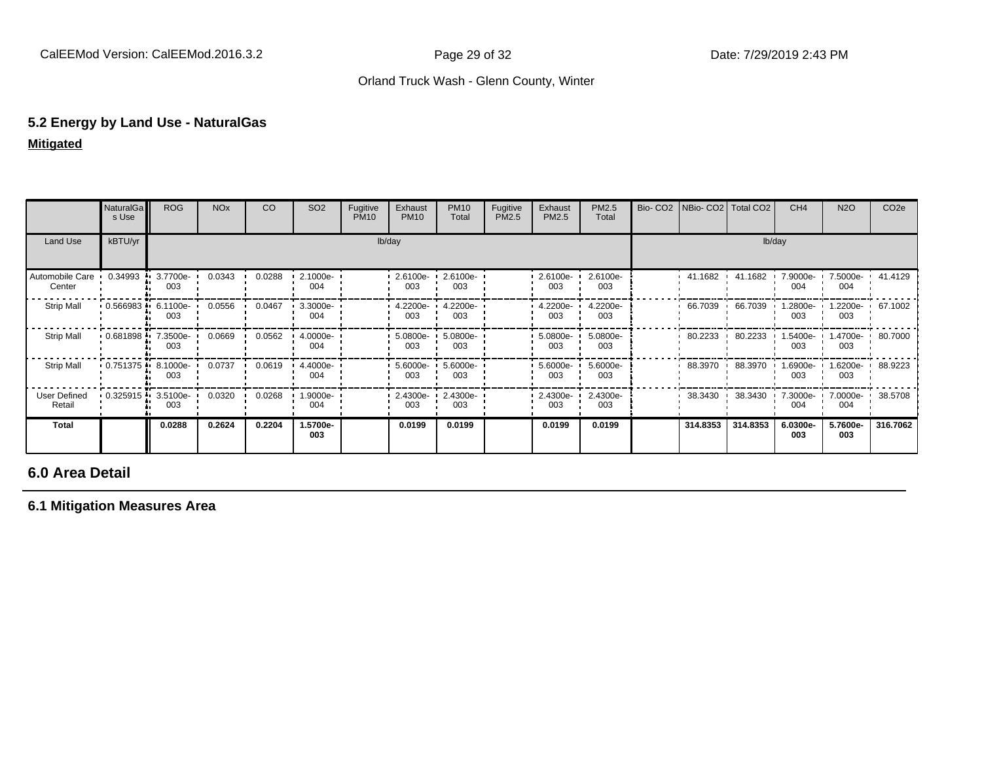## **5.2 Energy by Land Use - NaturalGas Mitigated**

|                           | NaturalGa<br>s Use   | <b>ROG</b>      | <b>NO<sub>x</sub></b> | CO     | <b>SO2</b>         | Fugitive<br><b>PM10</b> | Exhaust<br><b>PM10</b> | <b>PM10</b><br>Total     | Fugitive<br>PM2.5 | Exhaust<br>PM2.5   | PM2.5<br>Total  |        | Bio- CO2   NBio- CO2   Total CO2 |          | CH <sub>4</sub>   | <b>N2O</b>                     | CO <sub>2e</sub> |  |
|---------------------------|----------------------|-----------------|-----------------------|--------|--------------------|-------------------------|------------------------|--------------------------|-------------------|--------------------|-----------------|--------|----------------------------------|----------|-------------------|--------------------------------|------------------|--|
| Land Use                  | kBTU/yr              |                 |                       |        |                    |                         | lb/day                 |                          |                   |                    |                 | lb/day |                                  |          |                   |                                |                  |  |
| Automobile Care<br>Center | 0.34993              | 3.7700e-<br>003 | 0.0343                | 0.0288 | 2.1000e-<br>004    |                         | $2.6100e-$<br>003      | 2.6100e-<br>003          |                   | 2.6100e-<br>003    | 2.6100e-<br>003 |        | 41.1682                          | 41.1682  | 7.9000e-<br>004   | 7.5000e-<br>004                | 41.4129          |  |
| Strip Mall                | $0.566983 - 6.1100e$ | 003             | 0.0556                | 0.0467 | $3.3000e -$<br>004 |                         | 4.2200e-<br>003        | 4.2200e-<br>003          |                   | 4.2200e-<br>003    | 4.2200e-<br>003 |        | 66.7039                          | 66.7039  | $.2800e -$<br>003 | 1.2200e- 67.1002<br>003        |                  |  |
| Strip Mall                | $0.681898 - 7.3500e$ | 003             | 0.0669                | 0.0562 | 4.0000e-<br>004    |                         | 003                    | 5.0800e- 5.0800e-<br>003 |                   | 5.0800e-<br>003    | 5.0800e-<br>003 |        | 80.2233                          | 80.2233  | .5400e- '<br>003  | 1.4700e- 1 80.7000<br>003      |                  |  |
| Strip Mall                | 0.751375             | 8.1000e-<br>003 | 0.0737                | 0.0619 | 4.4000e-<br>004    |                         | 5.6000e-<br>003        | $5.6000e -$<br>003       |                   | 5.6000e-<br>003    | 5.6000e-<br>003 |        | 88.3970                          | 88.3970  | $.6900e -$<br>003 | 003                            | 6200e- 88.9223   |  |
| User Defined<br>Retail    | 0.325915             | 3.5100e-<br>003 | 0.0320                | 0.0268 | 1.9000e-<br>004    |                         | 003                    | 2.4300e- 2.4300e-<br>003 |                   | $-2.4300e-$<br>003 | 2.4300e-<br>003 |        | 38.3430                          | 38.3430  | 004               | 7.3000e 7.0000e 38.5708<br>004 |                  |  |
| Total                     |                      | 0.0288          | 0.2624                | 0.2204 | 1.5700e-<br>003    |                         | 0.0199                 | 0.0199                   |                   | 0.0199             | 0.0199          |        | 314.8353                         | 314.8353 | 6.0300e-<br>003   | 5.7600e-<br>003                | 316.7062         |  |

#### **6.0 Area Detail**

#### **6.1 Mitigation Measures Area**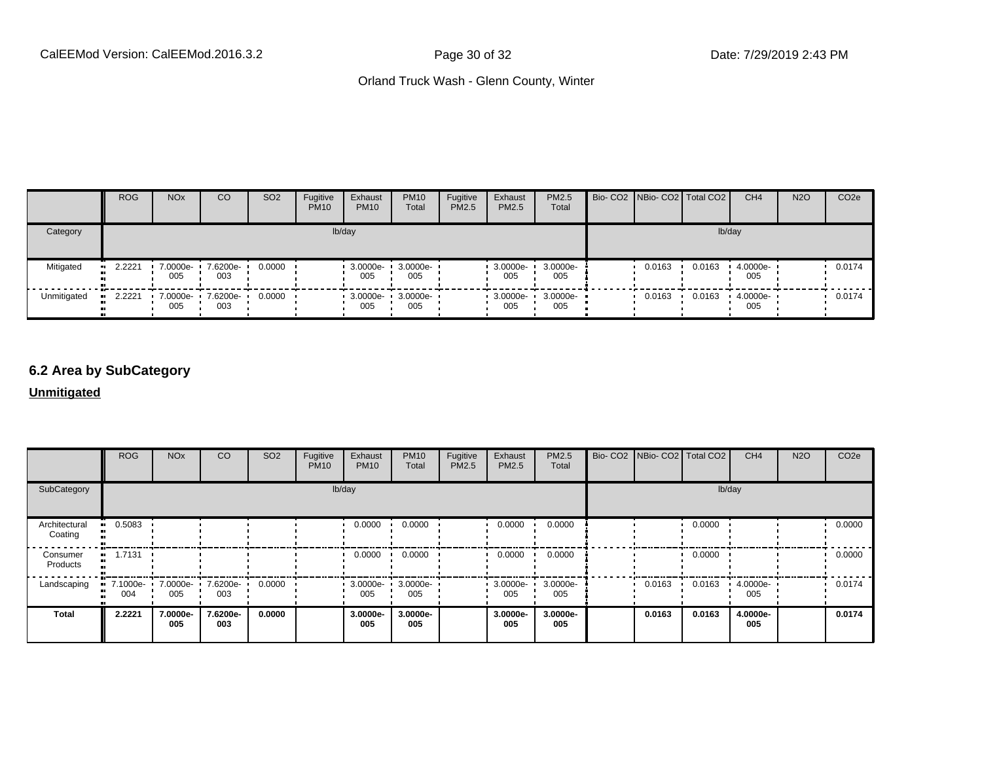|             | <b>ROG</b>    | <b>NO<sub>x</sub></b> | CO                       | SO <sub>2</sub> | Fugitive<br><b>PM10</b> | Exhaust<br><b>PM10</b>   | <b>PM10</b><br>Total | Fugitive<br><b>PM2.5</b> | Exhaust<br>PM2.5    | <b>PM2.5</b><br>Total | Bio- CO2   NBio- CO2   Total CO2 |        | CH <sub>4</sub> | <b>N2O</b> | CO <sub>2</sub> e |
|-------------|---------------|-----------------------|--------------------------|-----------------|-------------------------|--------------------------|----------------------|--------------------------|---------------------|-----------------------|----------------------------------|--------|-----------------|------------|-------------------|
| Category    |               |                       |                          |                 |                         | lb/day                   |                      |                          |                     |                       |                                  |        | lb/day          |            |                   |
| Mitigated   | $-2.2221$     | 7.0000e-<br>005       | 7.6200e-<br>003          | 0.0000          |                         | 3.0000e-<br>005          | 3.0000e-<br>005      |                          | 3.0000e-<br>005     | 3.0000e-<br>005       | 0.0163                           | 0.0163 | 4.0000e-<br>005 |            | 0.0174            |
| Unmitigated | 2.2221<br>. . | 005                   | 7.0000e- 7.6200e-<br>003 | 0.0000          |                         | 3.0000e- 3.0000e-<br>005 | 005                  |                          | $-3.0000e -$<br>005 | 3.0000e-<br>005       | 0.0163                           | 0.0163 | 4.0000e-<br>005 |            | 0.0174            |

## **6.2 Area by SubCategory**

#### **Unmitigated**

|                          | ROG                            | <b>NO<sub>x</sub></b> | <sub>CO</sub>   | SO <sub>2</sub> | Fugitive<br><b>PM10</b> | Exhaust<br><b>PM10</b> | <b>PM10</b><br>Total     | Fugitive<br>PM2.5 | Exhaust<br><b>PM2.5</b> | PM2.5<br>Total  | Bio- CO2   NBio- CO2   Total CO2 |        | CH <sub>4</sub> | <b>N2O</b> | CO <sub>2</sub> e |
|--------------------------|--------------------------------|-----------------------|-----------------|-----------------|-------------------------|------------------------|--------------------------|-------------------|-------------------------|-----------------|----------------------------------|--------|-----------------|------------|-------------------|
| SubCategory              | lb/day                         |                       |                 |                 |                         |                        |                          |                   |                         |                 |                                  |        | lb/day          |            |                   |
| Architectural<br>Coating | $-0.5083$                      |                       |                 |                 |                         | 0.0000                 | 0.0000                   |                   | 0.0000                  | 0.0000          |                                  | 0.0000 |                 |            | 0.0000            |
| Consumer<br>Products     | $-1.7131$                      |                       |                 |                 |                         | 0.0000                 | 0.0000                   |                   | 0.0000                  | 0.0000          |                                  | 0.0000 |                 |            | 0.0000            |
| Landscaping              | 7.1000e 7.0000e 7.6200e<br>004 | 005                   | 003             | 0.0000          |                         | 005                    | 3.0000e- 3.0000e-<br>005 |                   | $-3.0000e - 1$<br>005   | 3.0000e-<br>005 | 0.0163                           | 0.0163 | 4.0000e-<br>005 |            | 0.0174            |
| <b>Total</b>             | 2.2221                         | 7.0000e-<br>005       | 7.6200e-<br>003 | 0.0000          |                         | 3.0000e-<br>005        | 3.0000e-<br>005          |                   | 3.0000e-<br>005         | 3.0000e-<br>005 | 0.0163                           | 0.0163 | 4.0000e-<br>005 |            | 0.0174            |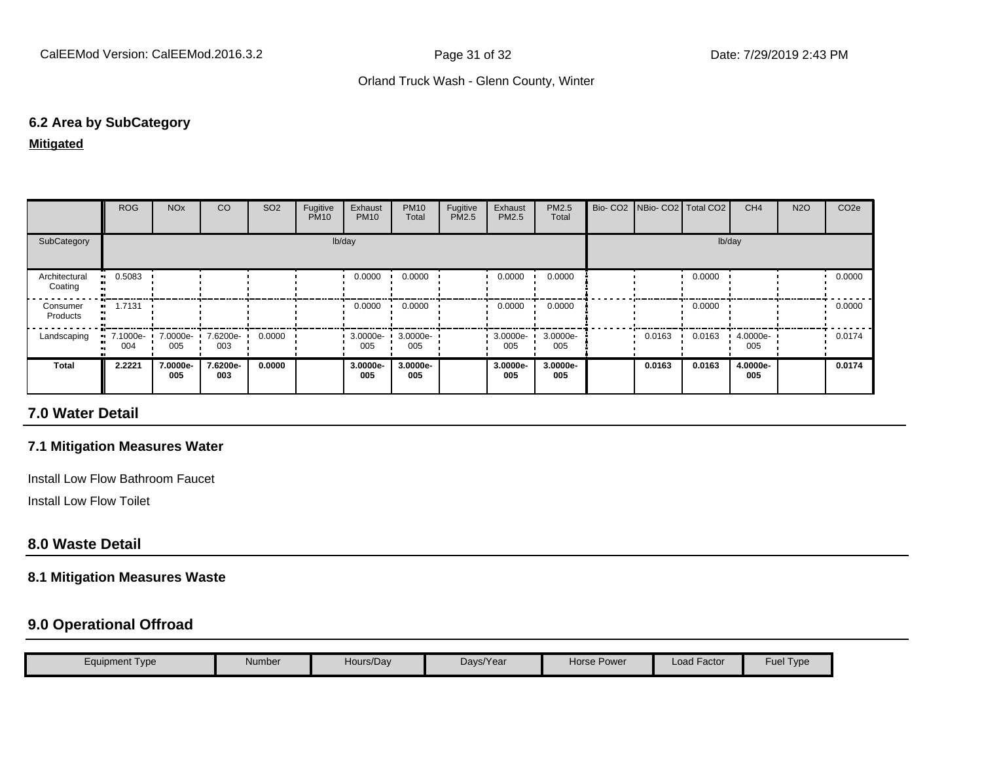#### **6.2 Area by SubCategory**

#### **Mitigated**

|                          | <b>ROG</b>      | <b>NO<sub>x</sub></b> | CO              | SO <sub>2</sub> | Fugitive<br><b>PM10</b> | Exhaust<br><b>PM10</b> | <b>PM10</b><br>Total | Fugitive<br>PM2.5 | Exhaust<br>PM2.5 | <b>PM2.5</b><br>Total |        | Bio- CO2   NBio- CO2   Total CO2 |        | CH <sub>4</sub> | <b>N2O</b> | CO <sub>2e</sub> |
|--------------------------|-----------------|-----------------------|-----------------|-----------------|-------------------------|------------------------|----------------------|-------------------|------------------|-----------------------|--------|----------------------------------|--------|-----------------|------------|------------------|
| SubCategory              | lb/day          |                       |                 |                 |                         |                        |                      |                   |                  |                       | lb/day |                                  |        |                 |            |                  |
| Architectural<br>Coating | 0.5083          |                       |                 |                 |                         | 0.0000                 | 0.0000               |                   | 0.0000           | 0.0000                |        |                                  | 0.0000 |                 |            | 0.0000           |
| Consumer<br>Products     | 1.7131          |                       |                 |                 |                         | 0.0000                 | 0.0000               |                   | 0.0000           | 0.0000                |        |                                  | 0.0000 |                 |            | 0.0000           |
| Landscaping              | 7.1000e-<br>004 | 7.0000e-<br>005       | 7.6200e-<br>003 | 0.0000          |                         | $3.0000e - 1$<br>005   | 3.0000e-<br>005      |                   | 3.0000e-<br>005  | 3.0000e-<br>005       |        | 0.0163                           | 0.0163 | 4.0000e-<br>005 |            | 0.0174           |
| <b>Total</b>             | 2.2221          | 7.0000e-<br>005       | 7.6200e-<br>003 | 0.0000          |                         | 3.0000e-<br>005        | 3.0000e-<br>005      |                   | 3.0000e-<br>005  | 3.0000e-<br>005       |        | 0.0163                           | 0.0163 | 4.0000e-<br>005 |            | 0.0174           |

## **7.0 Water Detail**

#### **7.1 Mitigation Measures Water**

Install Low Flow Bathroom Faucet

Install Low Flow Toilet

#### **8.0 Waste Detail**

#### **8.1 Mitigation Measures Waste**

### **9.0 Operational Offroad**

| Equipment Type | Number | Hours/Day | Days/Year | Horse Power | Load Factor | $\overline{\phantom{a}}$<br>$\overline{\phantom{0}}$<br>Fuel<br>Type |
|----------------|--------|-----------|-----------|-------------|-------------|----------------------------------------------------------------------|